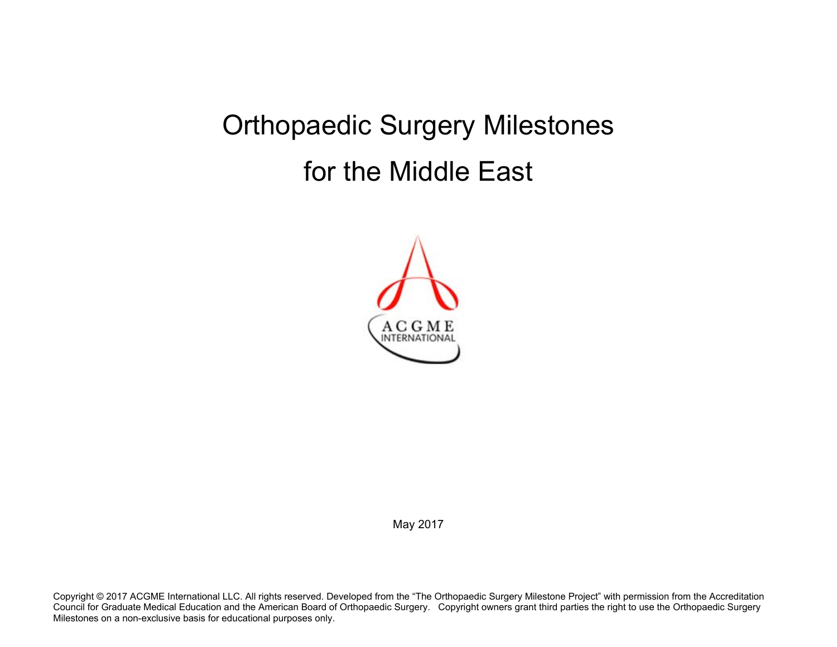## Orthopaedic Surgery Milestones for the Middle East



May 2017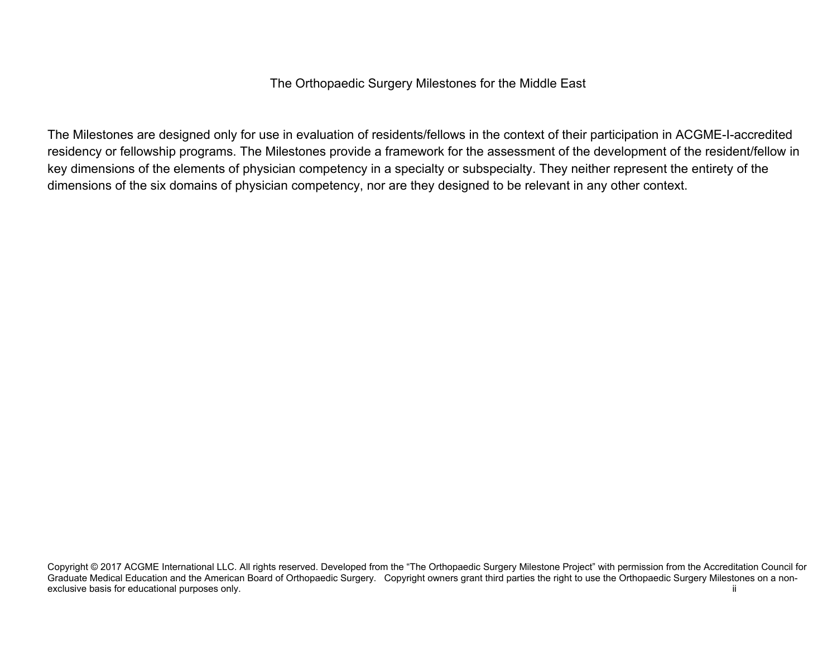## The Orthopaedic Surgery Milestones for the Middle East

The Milestones are designed only for use in evaluation of residents/fellows in the context of their participation in ACGME-I-accredited residency or fellowship programs. The Milestones provide a framework for the assessment of the development of the resident/fellow in key dimensions of the elements of physician competency in a specialty or subspecialty. They neither represent the entirety of the dimensions of the six domains of physician competency, nor are they designed to be relevant in any other context.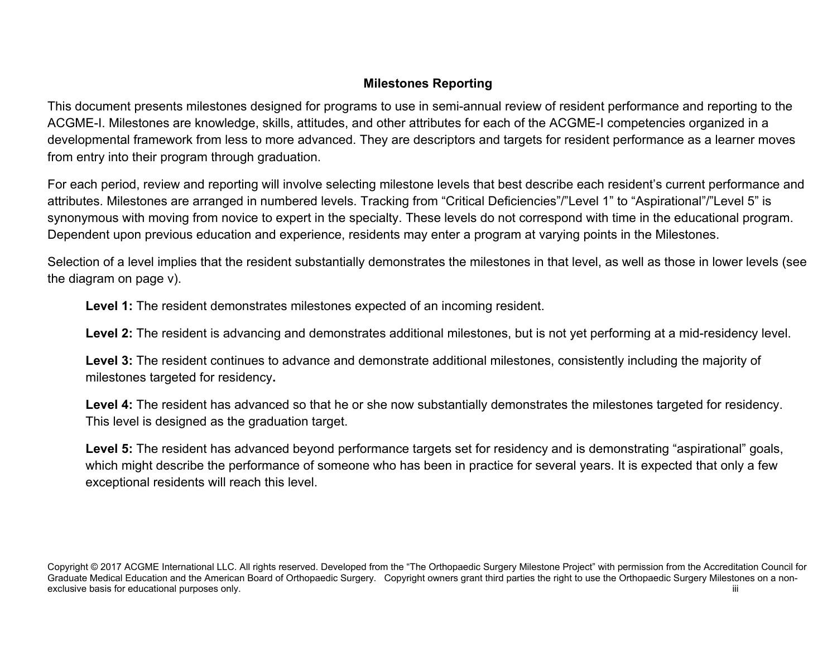## **Milestones Reporting**

This document presents milestones designed for programs to use in semi-annual review of resident performance and reporting to the ACGME-I. Milestones are knowledge, skills, attitudes, and other attributes for each of the ACGME-I competencies organized in a developmental framework from less to more advanced. They are descriptors and targets for resident performance as a learner moves from entry into their program through graduation.

For each period, review and reporting will involve selecting milestone levels that best describe each resident's current performance and attributes. Milestones are arranged in numbered levels. Tracking from "Critical Deficiencies"/"Level 1" to "Aspirational"/"Level 5" is synonymous with moving from novice to expert in the specialty. These levels do not correspond with time in the educational program. Dependent upon previous education and experience, residents may enter a program at varying points in the Milestones.

Selection of a level implies that the resident substantially demonstrates the milestones in that level, as well as those in lower levels (see the diagram on page v).

**Level 1:** The resident demonstrates milestones expected of an incoming resident.

**Level 2:** The resident is advancing and demonstrates additional milestones, but is not yet performing at a mid-residency level.

**Level 3:** The resident continues to advance and demonstrate additional milestones, consistently including the majority of milestones targeted for residency**.** 

Level 4: The resident has advanced so that he or she now substantially demonstrates the milestones targeted for residency. This level is designed as the graduation target.

Level 5: The resident has advanced beyond performance targets set for residency and is demonstrating "aspirational" goals, which might describe the performance of someone who has been in practice for several years. It is expected that only a few exceptional residents will reach this level.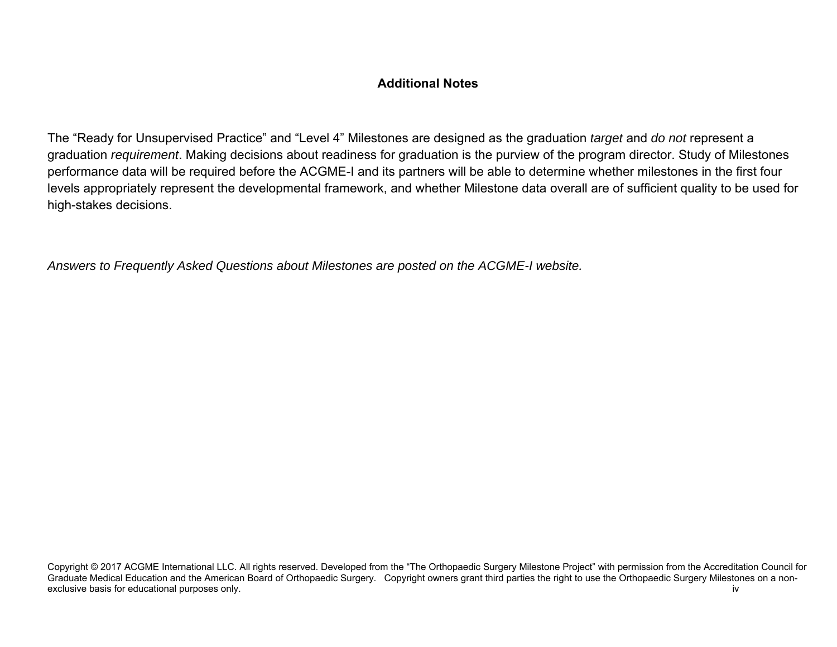## **Additional Notes**

The "Ready for Unsupervised Practice" and "Level 4" Milestones are designed as the graduation *target* and *do not* represent a graduation *requirement*. Making decisions about readiness for graduation is the purview of the program director. Study of Milestones performance data will be required before the ACGME-I and its partners will be able to determine whether milestones in the first four levels appropriately represent the developmental framework, and whether Milestone data overall are of sufficient quality to be used for high-stakes decisions.

*Answers to Frequently Asked Questions about Milestones are posted on the ACGME-I website.* 

Copyright © 2017 ACGME International LLC. All rights reserved. Developed from the "The Orthopaedic Surgery Milestone Project" with permission from the Accreditation Council for Graduate Medical Education and the American Board of Orthopaedic Surgery. Copyright owners grant third parties the right to use the Orthopaedic Surgery Milestones on a nonexclusive basis for educational purposes only. iverally a state of the state of the state of the state of the state of the state of the state of the state of the state of the state of the state of the state of the state of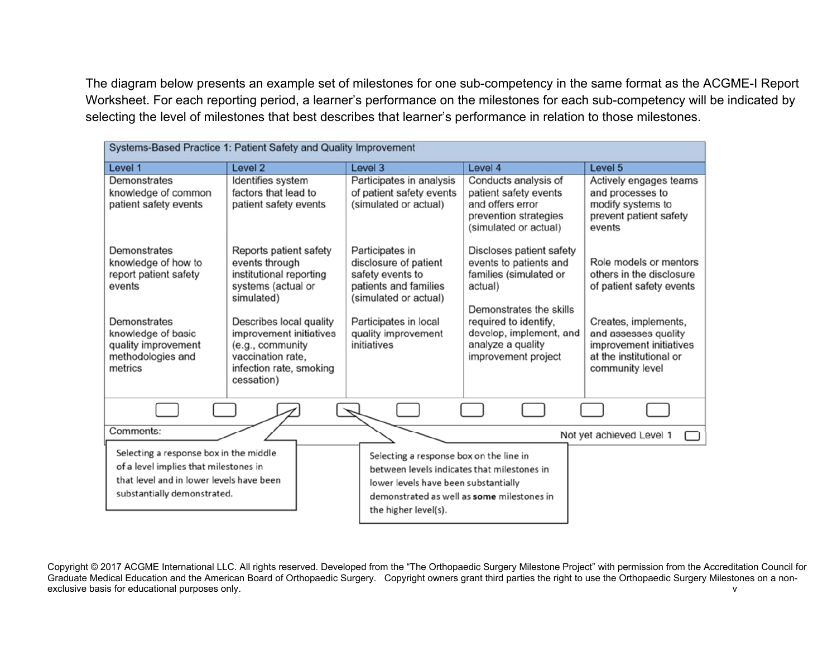The diagram below presents an example set of milestones for one sub-competency in the same format as the ACGME-I Report Worksheet. For each reporting period, a learner's performance on the milestones for each sub-competency will be indicated by selecting the level of milestones that best describes that learner's performance in relation to those milestones.

| Systems-Based Practice 1: Patient Safety and Quality Improvement                                                                                                    |                                                                                                                                                                                                                                   |                                                                                                                                                                                                      |                                                                                                                                                                                                                    |                                                                                                                                                                                                         |  |  |
|---------------------------------------------------------------------------------------------------------------------------------------------------------------------|-----------------------------------------------------------------------------------------------------------------------------------------------------------------------------------------------------------------------------------|------------------------------------------------------------------------------------------------------------------------------------------------------------------------------------------------------|--------------------------------------------------------------------------------------------------------------------------------------------------------------------------------------------------------------------|---------------------------------------------------------------------------------------------------------------------------------------------------------------------------------------------------------|--|--|
| Level 1                                                                                                                                                             | Level 2                                                                                                                                                                                                                           | Level 3                                                                                                                                                                                              | Level 4                                                                                                                                                                                                            | Level 5                                                                                                                                                                                                 |  |  |
| Demonstrates<br>knowledge of common<br>patient safety events                                                                                                        | Identifies system<br>factors that lead to<br>patient safety events                                                                                                                                                                | Participates in analysis<br>of patient safety events<br>(simulated or actual)                                                                                                                        | Conducts analysis of<br>patient safety events<br>and offers error<br>prevention strategies<br>(simulated or actual)                                                                                                | Actively engages teams<br>and processes to<br>modify systems to<br>prevent patient safety<br>events                                                                                                     |  |  |
| Demonstrates<br>knowledge of how to<br>report patient safety<br>events<br>Demonstrates<br>knowledge of basic<br>quality improvement<br>methodologies and<br>metrics | Reports patient safety<br>events through<br>institutional reporting<br>systems (actual or<br>simulated)<br>Describes local quality<br>improvement initiatives<br>(e.g., community<br>vaccination rate.<br>infection rate, smoking | Participates in<br>disclosure of patient<br>safety events to<br>patients and families<br>(simulated or actual)<br>Participates in local<br>quality improvement<br>initiatives                        | Discloses patient safety<br>events to patients and<br>families (simulated or<br>actual)<br>Demonstrates the skills<br>required to identify,<br>develop, implement, and<br>analyze a quality<br>improvement project | Role models or mentors<br>others in the disclosure<br>of patient safety events<br>Creates, implements,<br>and assesses quality<br>improvement initiatives<br>at the institutional or<br>community level |  |  |
|                                                                                                                                                                     | cessation)                                                                                                                                                                                                                        |                                                                                                                                                                                                      |                                                                                                                                                                                                                    |                                                                                                                                                                                                         |  |  |
| Comments:                                                                                                                                                           |                                                                                                                                                                                                                                   |                                                                                                                                                                                                      |                                                                                                                                                                                                                    | Not yet achieved Level 1                                                                                                                                                                                |  |  |
| Selecting a response box in the middle<br>of a level implies that milestones in<br>that level and in lower levels have been<br>substantially demonstrated.          |                                                                                                                                                                                                                                   | Selecting a response box on the line in<br>between levels indicates that milestones in<br>lower levels have been substantially<br>demonstrated as well as some milestones in<br>the higher level(s). |                                                                                                                                                                                                                    |                                                                                                                                                                                                         |  |  |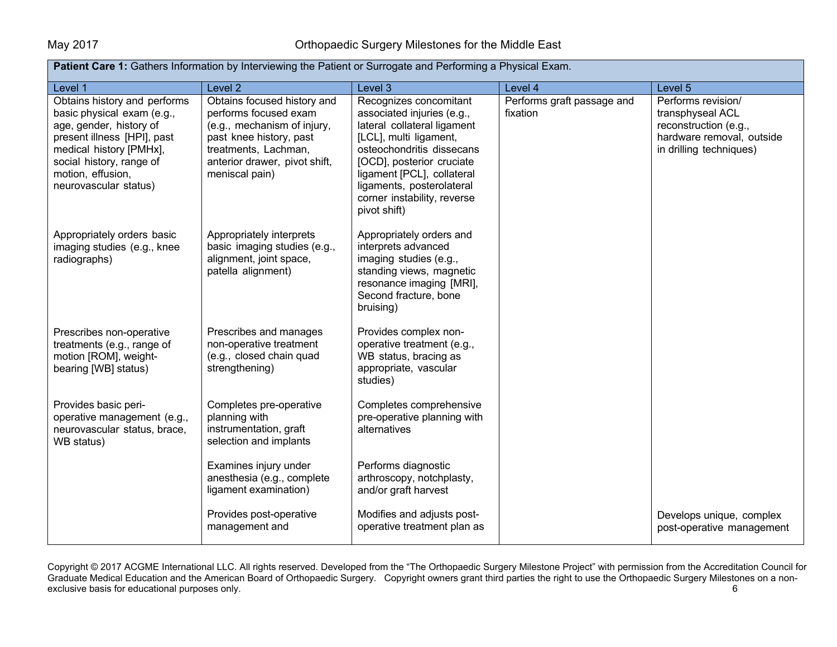| <b>Patient Care 1:</b> Gathers Information by Interviewing the Patient or Surrogate and Performing a Physical Exam.                                                                                                       |                                                                                                                                                                                           |                                                                                                                                                                                                                                                                                   |                                        |                                                                                                                         |  |
|---------------------------------------------------------------------------------------------------------------------------------------------------------------------------------------------------------------------------|-------------------------------------------------------------------------------------------------------------------------------------------------------------------------------------------|-----------------------------------------------------------------------------------------------------------------------------------------------------------------------------------------------------------------------------------------------------------------------------------|----------------------------------------|-------------------------------------------------------------------------------------------------------------------------|--|
| Level 1                                                                                                                                                                                                                   | Level <sub>2</sub>                                                                                                                                                                        | Level 3                                                                                                                                                                                                                                                                           | Level 4                                | Level 5                                                                                                                 |  |
| Obtains history and performs<br>basic physical exam (e.g.,<br>age, gender, history of<br>present illness [HPI], past<br>medical history [PMHx],<br>social history, range of<br>motion, effusion,<br>neurovascular status) | Obtains focused history and<br>performs focused exam<br>(e.g., mechanism of injury,<br>past knee history, past<br>treatments, Lachman,<br>anterior drawer, pivot shift,<br>meniscal pain) | Recognizes concomitant<br>associated injuries (e.g.,<br>lateral collateral ligament<br>[LCL], multi ligament,<br>osteochondritis dissecans<br>[OCD], posterior cruciate<br>ligament [PCL], collateral<br>ligaments, posterolateral<br>corner instability, reverse<br>pivot shift) | Performs graft passage and<br>fixation | Performs revision/<br>transphyseal ACL<br>reconstruction (e.g.,<br>hardware removal, outside<br>in drilling techniques) |  |
| Appropriately orders basic<br>imaging studies (e.g., knee<br>radiographs)                                                                                                                                                 | Appropriately interprets<br>basic imaging studies (e.g.,<br>alignment, joint space,<br>patella alignment)                                                                                 | Appropriately orders and<br>interprets advanced<br>imaging studies (e.g.,<br>standing views, magnetic<br>resonance imaging [MRI],<br>Second fracture, bone<br>bruising)                                                                                                           |                                        |                                                                                                                         |  |
| Prescribes non-operative<br>treatments (e.g., range of<br>motion [ROM], weight-<br>bearing [WB] status)                                                                                                                   | Prescribes and manages<br>non-operative treatment<br>(e.g., closed chain quad<br>strengthening)                                                                                           | Provides complex non-<br>operative treatment (e.g.,<br>WB status, bracing as<br>appropriate, vascular<br>studies)                                                                                                                                                                 |                                        |                                                                                                                         |  |
| Provides basic peri-<br>operative management (e.g.,<br>neurovascular status, brace,<br>WB status)                                                                                                                         | Completes pre-operative<br>planning with<br>instrumentation, graft<br>selection and implants                                                                                              | Completes comprehensive<br>pre-operative planning with<br>alternatives                                                                                                                                                                                                            |                                        |                                                                                                                         |  |
|                                                                                                                                                                                                                           | Examines injury under<br>anesthesia (e.g., complete<br>ligament examination)                                                                                                              | Performs diagnostic<br>arthroscopy, notchplasty,<br>and/or graft harvest                                                                                                                                                                                                          |                                        |                                                                                                                         |  |
|                                                                                                                                                                                                                           | Provides post-operative<br>management and                                                                                                                                                 | Modifies and adjusts post-<br>operative treatment plan as                                                                                                                                                                                                                         |                                        | Develops unique, complex<br>post-operative management                                                                   |  |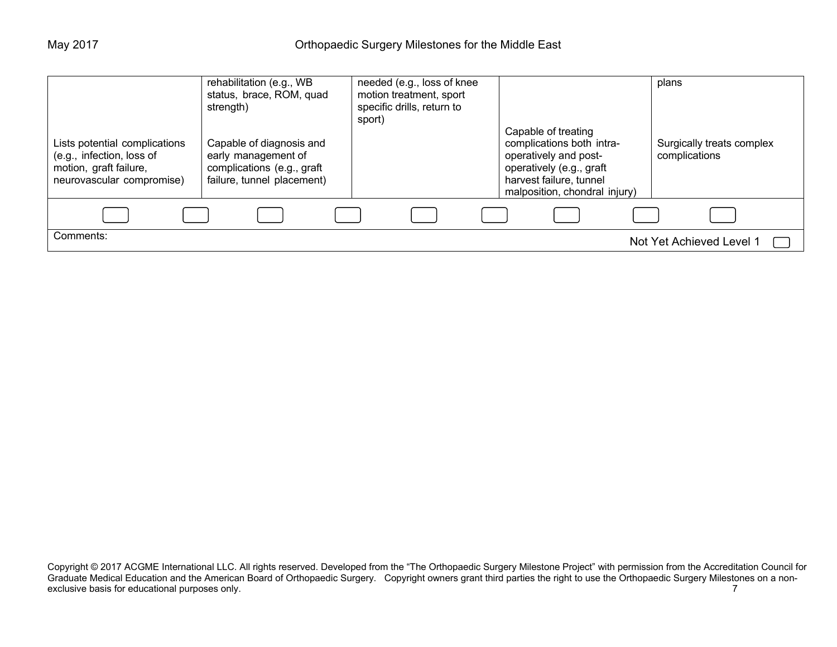| Lists potential complications<br>(e.g., infection, loss of<br>motion, graft failure,<br>neurovascular compromise) | rehabilitation (e.g., WB<br>status, brace, ROM, quad<br>strength)<br>Capable of diagnosis and<br>early management of<br>complications (e.g., graft<br>failure, tunnel placement) | needed (e.g., loss of knee<br>motion treatment, sport<br>specific drills, return to<br>sport) | Capable of treating<br>complications both intra-<br>operatively and post-<br>operatively (e.g., graft<br>harvest failure, tunnel<br>malposition, chondral injury) | plans<br>Surgically treats complex<br>complications |
|-------------------------------------------------------------------------------------------------------------------|----------------------------------------------------------------------------------------------------------------------------------------------------------------------------------|-----------------------------------------------------------------------------------------------|-------------------------------------------------------------------------------------------------------------------------------------------------------------------|-----------------------------------------------------|
|                                                                                                                   |                                                                                                                                                                                  |                                                                                               |                                                                                                                                                                   |                                                     |
| Comments:                                                                                                         |                                                                                                                                                                                  |                                                                                               |                                                                                                                                                                   | Not Yet Achieved Level 1                            |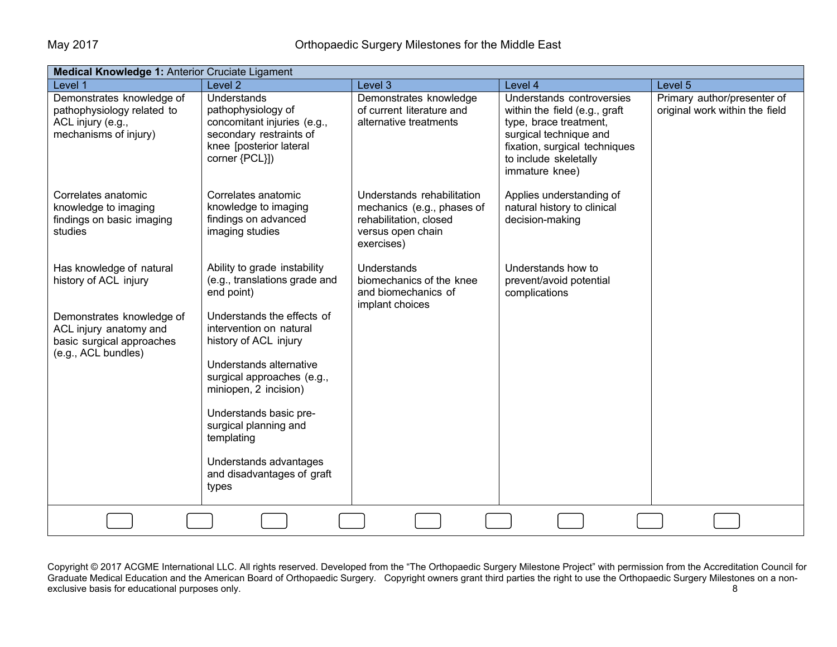| Medical Knowledge 1: Anterior Cruciate Ligament                                                                                                              |                                                                                                                                                                                                                                                                                                                                                                                   |                                                                                                                       |                                                                                                                                                                                            |                                                               |  |  |
|--------------------------------------------------------------------------------------------------------------------------------------------------------------|-----------------------------------------------------------------------------------------------------------------------------------------------------------------------------------------------------------------------------------------------------------------------------------------------------------------------------------------------------------------------------------|-----------------------------------------------------------------------------------------------------------------------|--------------------------------------------------------------------------------------------------------------------------------------------------------------------------------------------|---------------------------------------------------------------|--|--|
| Level 1                                                                                                                                                      | Level <sub>2</sub>                                                                                                                                                                                                                                                                                                                                                                | Level 3                                                                                                               | Level 4                                                                                                                                                                                    | Level 5                                                       |  |  |
| Demonstrates knowledge of<br>pathophysiology related to<br>ACL injury (e.g.,<br>mechanisms of injury)                                                        | <b>Understands</b><br>pathophysiology of<br>concomitant injuries (e.g.,<br>secondary restraints of<br>knee [posterior lateral<br>corner {PCL}])                                                                                                                                                                                                                                   | Demonstrates knowledge<br>of current literature and<br>alternative treatments                                         | Understands controversies<br>within the field (e.g., graft<br>type, brace treatment,<br>surgical technique and<br>fixation, surgical techniques<br>to include skeletally<br>immature knee) | Primary author/presenter of<br>original work within the field |  |  |
| Correlates anatomic<br>knowledge to imaging<br>findings on basic imaging<br>studies                                                                          | Correlates anatomic<br>knowledge to imaging<br>findings on advanced<br>imaging studies                                                                                                                                                                                                                                                                                            | Understands rehabilitation<br>mechanics (e.g., phases of<br>rehabilitation, closed<br>versus open chain<br>exercises) | Applies understanding of<br>natural history to clinical<br>decision-making                                                                                                                 |                                                               |  |  |
| Has knowledge of natural<br>history of ACL injury<br>Demonstrates knowledge of<br>ACL injury anatomy and<br>basic surgical approaches<br>(e.g., ACL bundles) | Ability to grade instability<br>(e.g., translations grade and<br>end point)<br>Understands the effects of<br>intervention on natural<br>history of ACL injury<br>Understands alternative<br>surgical approaches (e.g.,<br>miniopen, 2 incision)<br>Understands basic pre-<br>surgical planning and<br>templating<br>Understands advantages<br>and disadvantages of graft<br>types | Understands<br>biomechanics of the knee<br>and biomechanics of<br>implant choices                                     | Understands how to<br>prevent/avoid potential<br>complications                                                                                                                             |                                                               |  |  |
|                                                                                                                                                              |                                                                                                                                                                                                                                                                                                                                                                                   |                                                                                                                       |                                                                                                                                                                                            |                                                               |  |  |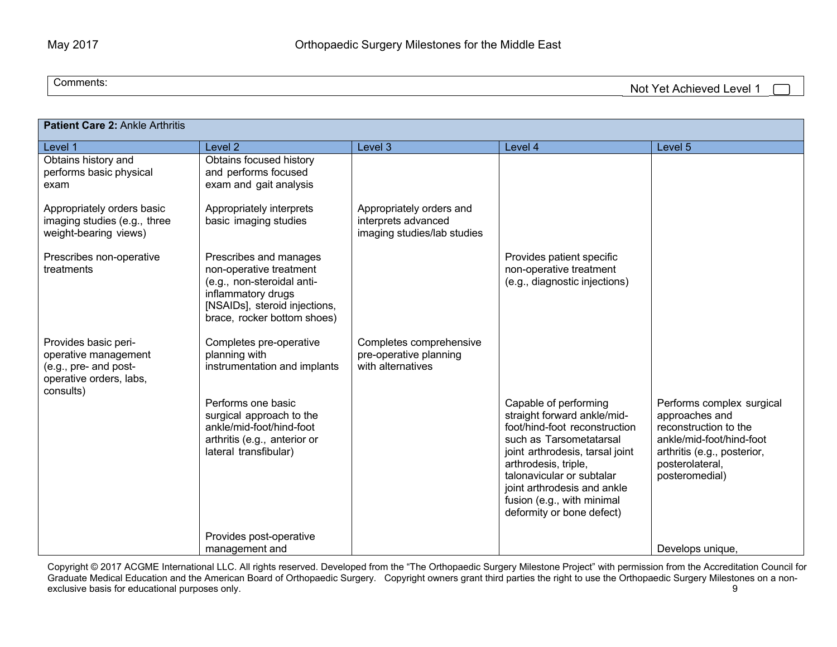Comments:

Not Yet Achieved Level 1

| Patient Care 2: Ankle Arthritis                                                                               |                                                                                                                                                                       |                                                                                |                                                                                                                                                                                                                                                                                                    |                                                                                                                                                                      |  |  |
|---------------------------------------------------------------------------------------------------------------|-----------------------------------------------------------------------------------------------------------------------------------------------------------------------|--------------------------------------------------------------------------------|----------------------------------------------------------------------------------------------------------------------------------------------------------------------------------------------------------------------------------------------------------------------------------------------------|----------------------------------------------------------------------------------------------------------------------------------------------------------------------|--|--|
| Level 1                                                                                                       | Level <sub>2</sub>                                                                                                                                                    | Level 3                                                                        | Level 4                                                                                                                                                                                                                                                                                            | Level 5                                                                                                                                                              |  |  |
| Obtains history and<br>performs basic physical<br>exam                                                        | Obtains focused history<br>and performs focused<br>exam and gait analysis                                                                                             |                                                                                |                                                                                                                                                                                                                                                                                                    |                                                                                                                                                                      |  |  |
| Appropriately orders basic<br>imaging studies (e.g., three<br>weight-bearing views)                           | Appropriately interprets<br>basic imaging studies                                                                                                                     | Appropriately orders and<br>interprets advanced<br>imaging studies/lab studies |                                                                                                                                                                                                                                                                                                    |                                                                                                                                                                      |  |  |
| Prescribes non-operative<br>treatments                                                                        | Prescribes and manages<br>non-operative treatment<br>(e.g., non-steroidal anti-<br>inflammatory drugs<br>[NSAIDs], steroid injections,<br>brace, rocker bottom shoes) |                                                                                | Provides patient specific<br>non-operative treatment<br>(e.g., diagnostic injections)                                                                                                                                                                                                              |                                                                                                                                                                      |  |  |
| Provides basic peri-<br>operative management<br>(e.g., pre- and post-<br>operative orders, labs,<br>consults) | Completes pre-operative<br>planning with<br>instrumentation and implants                                                                                              | Completes comprehensive<br>pre-operative planning<br>with alternatives         |                                                                                                                                                                                                                                                                                                    |                                                                                                                                                                      |  |  |
|                                                                                                               | Performs one basic<br>surgical approach to the<br>ankle/mid-foot/hind-foot<br>arthritis (e.g., anterior or<br>lateral transfibular)                                   |                                                                                | Capable of performing<br>straight forward ankle/mid-<br>foot/hind-foot reconstruction<br>such as Tarsometatarsal<br>joint arthrodesis, tarsal joint<br>arthrodesis, triple,<br>talonavicular or subtalar<br>joint arthrodesis and ankle<br>fusion (e.g., with minimal<br>deformity or bone defect) | Performs complex surgical<br>approaches and<br>reconstruction to the<br>ankle/mid-foot/hind-foot<br>arthritis (e.g., posterior,<br>posterolateral,<br>posteromedial) |  |  |
|                                                                                                               | Provides post-operative<br>management and                                                                                                                             |                                                                                |                                                                                                                                                                                                                                                                                                    | Develops unique,                                                                                                                                                     |  |  |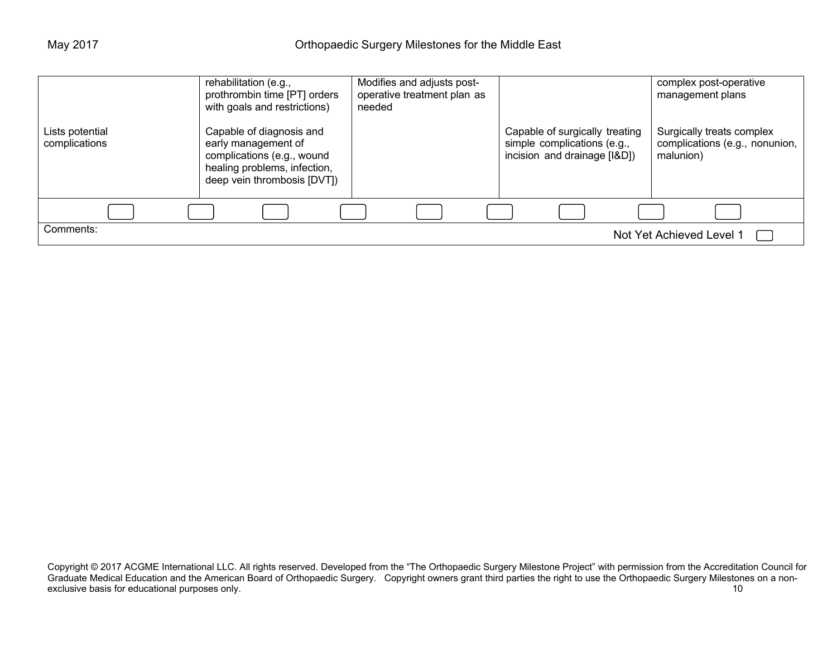| Lists potential | rehabilitation (e.g.,<br>prothrombin time [PT] orders<br>with goals and restrictions)<br>Capable of diagnosis and | Modifies and adjusts post-<br>operative treatment plan as<br>needed | Capable of surgically treating                              | complex post-operative<br>management plans<br>Surgically treats complex |
|-----------------|-------------------------------------------------------------------------------------------------------------------|---------------------------------------------------------------------|-------------------------------------------------------------|-------------------------------------------------------------------------|
| complications   | early management of<br>complications (e.g., wound<br>healing problems, infection,<br>deep vein thrombosis [DVT])  |                                                                     | simple complications (e.g.,<br>incision and drainage [I&D]) | complications (e.g., nonunion,  <br>malunion)                           |
|                 |                                                                                                                   |                                                                     |                                                             |                                                                         |
| Comments:       |                                                                                                                   |                                                                     |                                                             | Not Yet Achieved Level 1                                                |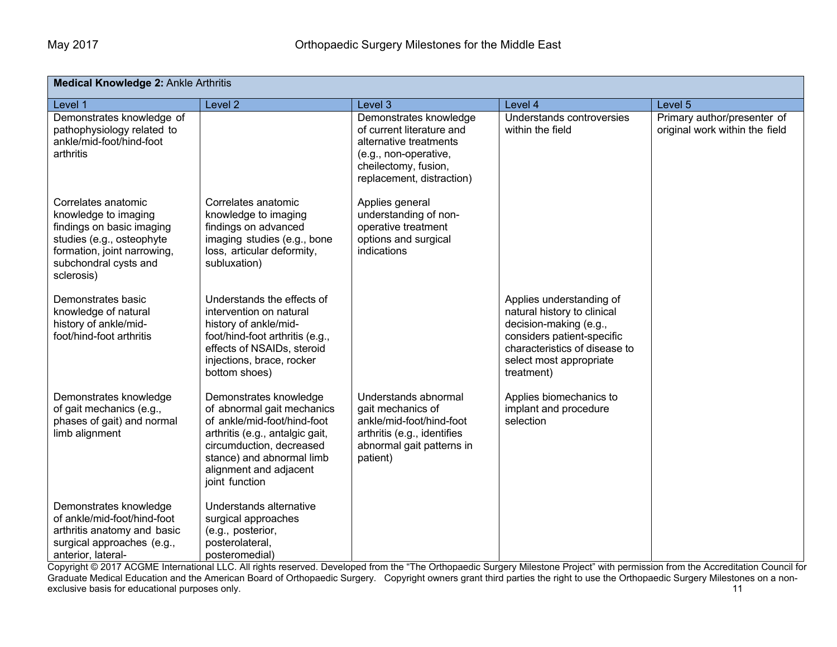| <b>Medical Knowledge 2: Ankle Arthritis</b>                                                                                                                                 |                                                                                                                                                                                                                             |                                                                                                                                                             |                                                                                                                                                                                           |                                                               |  |  |
|-----------------------------------------------------------------------------------------------------------------------------------------------------------------------------|-----------------------------------------------------------------------------------------------------------------------------------------------------------------------------------------------------------------------------|-------------------------------------------------------------------------------------------------------------------------------------------------------------|-------------------------------------------------------------------------------------------------------------------------------------------------------------------------------------------|---------------------------------------------------------------|--|--|
| Level 1                                                                                                                                                                     | Level <sub>2</sub>                                                                                                                                                                                                          | Level 3                                                                                                                                                     | Level 4                                                                                                                                                                                   | Level 5                                                       |  |  |
| Demonstrates knowledge of<br>pathophysiology related to<br>ankle/mid-foot/hind-foot<br>arthritis                                                                            |                                                                                                                                                                                                                             | Demonstrates knowledge<br>of current literature and<br>alternative treatments<br>(e.g., non-operative,<br>cheilectomy, fusion,<br>replacement, distraction) | Understands controversies<br>within the field                                                                                                                                             | Primary author/presenter of<br>original work within the field |  |  |
| Correlates anatomic<br>knowledge to imaging<br>findings on basic imaging<br>studies (e.g., osteophyte<br>formation, joint narrowing,<br>subchondral cysts and<br>sclerosis) | Correlates anatomic<br>knowledge to imaging<br>findings on advanced<br>imaging studies (e.g., bone<br>loss, articular deformity,<br>subluxation)                                                                            | Applies general<br>understanding of non-<br>operative treatment<br>options and surgical<br>indications                                                      |                                                                                                                                                                                           |                                                               |  |  |
| Demonstrates basic<br>knowledge of natural<br>history of ankle/mid-<br>foot/hind-foot arthritis                                                                             | Understands the effects of<br>intervention on natural<br>history of ankle/mid-<br>foot/hind-foot arthritis (e.g.,<br>effects of NSAIDs, steroid<br>injections, brace, rocker<br>bottom shoes)                               |                                                                                                                                                             | Applies understanding of<br>natural history to clinical<br>decision-making (e.g.,<br>considers patient-specific<br>characteristics of disease to<br>select most appropriate<br>treatment) |                                                               |  |  |
| Demonstrates knowledge<br>of gait mechanics (e.g.,<br>phases of gait) and normal<br>limb alignment                                                                          | Demonstrates knowledge<br>of abnormal gait mechanics<br>of ankle/mid-foot/hind-foot<br>arthritis (e.g., antalgic gait,<br>circumduction, decreased<br>stance) and abnormal limb<br>alignment and adjacent<br>joint function | Understands abnormal<br>gait mechanics of<br>ankle/mid-foot/hind-foot<br>arthritis (e.g., identifies<br>abnormal gait patterns in<br>patient)               | Applies biomechanics to<br>implant and procedure<br>selection                                                                                                                             |                                                               |  |  |
| Demonstrates knowledge<br>of ankle/mid-foot/hind-foot<br>arthritis anatomy and basic<br>surgical approaches (e.g.,<br>anterior, lateral-                                    | Understands alternative<br>surgical approaches<br>(e.g., posterior,<br>posterolateral,<br>posteromedial)                                                                                                                    |                                                                                                                                                             |                                                                                                                                                                                           |                                                               |  |  |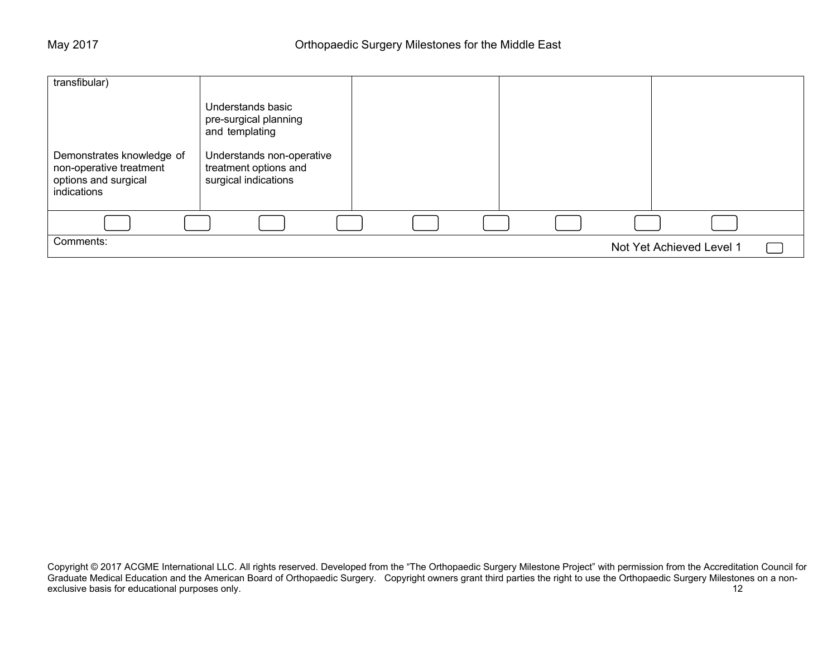| transfibular)                                                                               |                                                                            |  |                          |  |
|---------------------------------------------------------------------------------------------|----------------------------------------------------------------------------|--|--------------------------|--|
|                                                                                             | Understands basic<br>pre-surgical planning<br>and templating               |  |                          |  |
| Demonstrates knowledge of<br>non-operative treatment<br>options and surgical<br>indications | Understands non-operative<br>treatment options and<br>surgical indications |  |                          |  |
|                                                                                             |                                                                            |  |                          |  |
| Comments:                                                                                   |                                                                            |  | Not Yet Achieved Level 1 |  |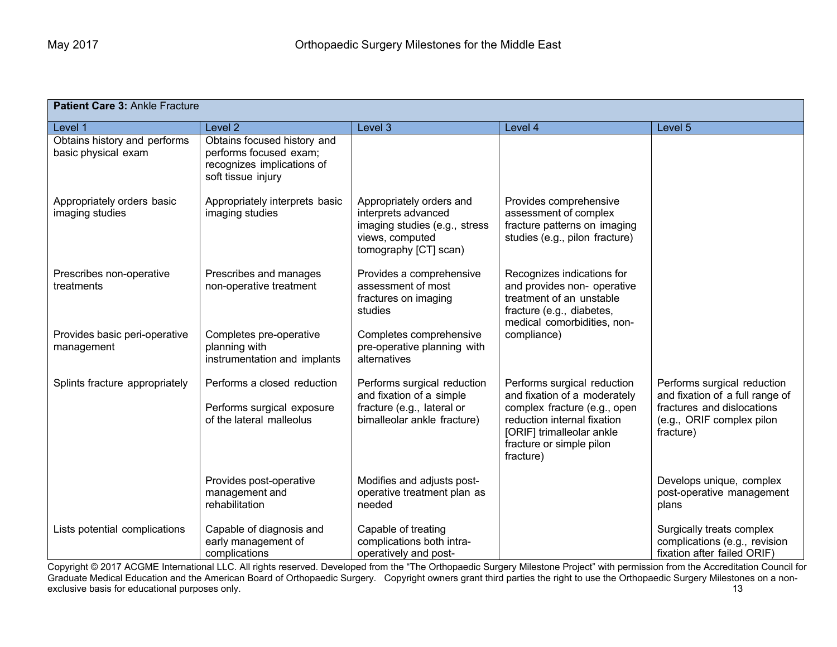| Patient Care 3: Ankle Fracture                      |                                                                                                           |                                                                                                                              |                                                                                                                                                                                                  |                                                                                                                                        |  |  |
|-----------------------------------------------------|-----------------------------------------------------------------------------------------------------------|------------------------------------------------------------------------------------------------------------------------------|--------------------------------------------------------------------------------------------------------------------------------------------------------------------------------------------------|----------------------------------------------------------------------------------------------------------------------------------------|--|--|
| Level 1                                             | Level 2                                                                                                   | Level 3                                                                                                                      | Level 4                                                                                                                                                                                          | Level 5                                                                                                                                |  |  |
| Obtains history and performs<br>basic physical exam | Obtains focused history and<br>performs focused exam;<br>recognizes implications of<br>soft tissue injury |                                                                                                                              |                                                                                                                                                                                                  |                                                                                                                                        |  |  |
| Appropriately orders basic<br>imaging studies       | Appropriately interprets basic<br>imaging studies                                                         | Appropriately orders and<br>interprets advanced<br>imaging studies (e.g., stress<br>views, computed<br>tomography [CT] scan) | Provides comprehensive<br>assessment of complex<br>fracture patterns on imaging<br>studies (e.g., pilon fracture)                                                                                |                                                                                                                                        |  |  |
| Prescribes non-operative<br>treatments              | Prescribes and manages<br>non-operative treatment                                                         | Provides a comprehensive<br>assessment of most<br>fractures on imaging<br>studies                                            | Recognizes indications for<br>and provides non- operative<br>treatment of an unstable<br>fracture (e.g., diabetes,<br>medical comorbidities, non-                                                |                                                                                                                                        |  |  |
| Provides basic peri-operative<br>management         | Completes pre-operative<br>planning with<br>instrumentation and implants                                  | Completes comprehensive<br>pre-operative planning with<br>alternatives                                                       | compliance)                                                                                                                                                                                      |                                                                                                                                        |  |  |
| Splints fracture appropriately                      | Performs a closed reduction<br>Performs surgical exposure<br>of the lateral malleolus                     | Performs surgical reduction<br>and fixation of a simple<br>fracture (e.g., lateral or<br>bimalleolar ankle fracture)         | Performs surgical reduction<br>and fixation of a moderately<br>complex fracture (e.g., open<br>reduction internal fixation<br>[ORIF] trimalleolar ankle<br>fracture or simple pilon<br>fracture) | Performs surgical reduction<br>and fixation of a full range of<br>fractures and dislocations<br>(e.g., ORIF complex pilon<br>fracture) |  |  |
|                                                     | Provides post-operative<br>management and<br>rehabilitation                                               | Modifies and adjusts post-<br>operative treatment plan as<br>needed                                                          |                                                                                                                                                                                                  | Develops unique, complex<br>post-operative management<br>plans                                                                         |  |  |
| Lists potential complications                       | Capable of diagnosis and<br>early management of<br>complications                                          | Capable of treating<br>complications both intra-<br>operatively and post-                                                    |                                                                                                                                                                                                  | Surgically treats complex<br>complications (e.g., revision<br>fixation after failed ORIF)                                              |  |  |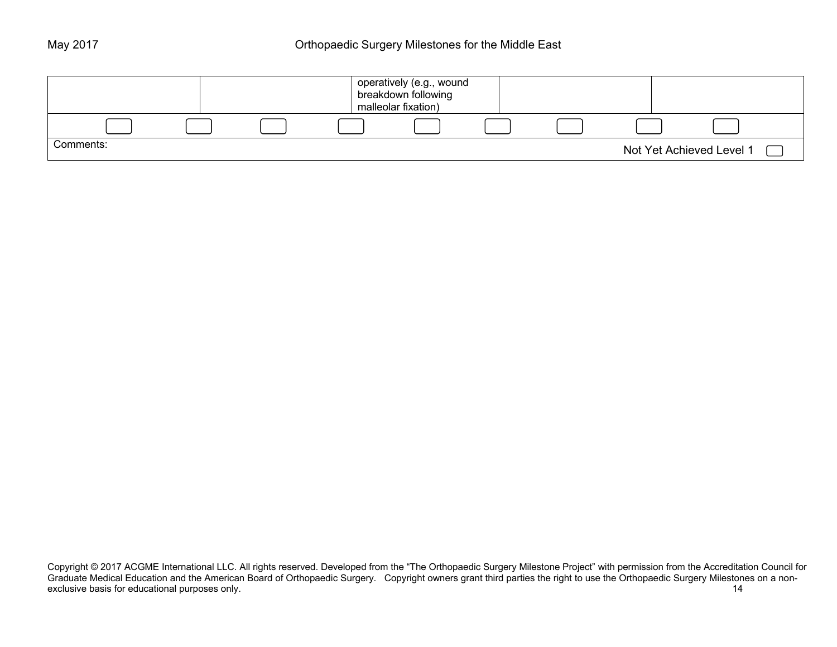|           |  | operatively (e.g., wound<br>breakdown following<br>malleolar fixation) |  |                          |  |
|-----------|--|------------------------------------------------------------------------|--|--------------------------|--|
|           |  |                                                                        |  |                          |  |
| Comments: |  |                                                                        |  | Not Yet Achieved Level 1 |  |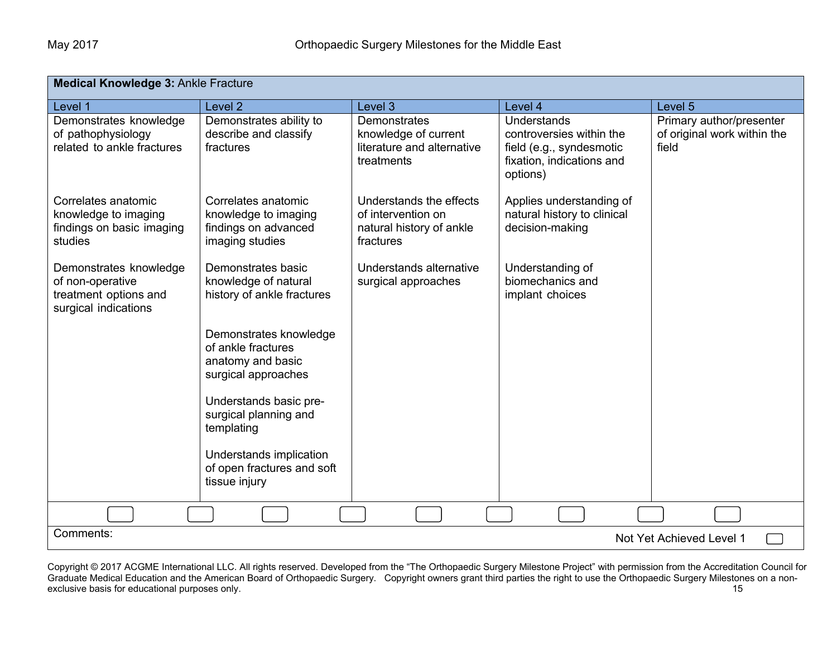| <b>Medical Knowledge 3: Ankle Fracture</b>                                                  |                                                                                          |                                                                                         |                                                                                                              |                                                                  |  |  |
|---------------------------------------------------------------------------------------------|------------------------------------------------------------------------------------------|-----------------------------------------------------------------------------------------|--------------------------------------------------------------------------------------------------------------|------------------------------------------------------------------|--|--|
| Level 1                                                                                     | Level <sub>2</sub>                                                                       | Level 3                                                                                 | Level 4                                                                                                      | Level 5                                                          |  |  |
| Demonstrates knowledge<br>of pathophysiology<br>related to ankle fractures                  | Demonstrates ability to<br>describe and classify<br>fractures                            | <b>Demonstrates</b><br>knowledge of current<br>literature and alternative<br>treatments | Understands<br>controversies within the<br>field (e.g., syndesmotic<br>fixation, indications and<br>options) | Primary author/presenter<br>of original work within the<br>field |  |  |
| Correlates anatomic<br>knowledge to imaging<br>findings on basic imaging<br>studies         | Correlates anatomic<br>knowledge to imaging<br>findings on advanced<br>imaging studies   | Understands the effects<br>of intervention on<br>natural history of ankle<br>fractures  | Applies understanding of<br>natural history to clinical<br>decision-making                                   |                                                                  |  |  |
| Demonstrates knowledge<br>of non-operative<br>treatment options and<br>surgical indications | Demonstrates basic<br>knowledge of natural<br>history of ankle fractures                 | Understands alternative<br>surgical approaches                                          | Understanding of<br>biomechanics and<br>implant choices                                                      |                                                                  |  |  |
|                                                                                             | Demonstrates knowledge<br>of ankle fractures<br>anatomy and basic<br>surgical approaches |                                                                                         |                                                                                                              |                                                                  |  |  |
|                                                                                             | Understands basic pre-<br>surgical planning and<br>templating                            |                                                                                         |                                                                                                              |                                                                  |  |  |
|                                                                                             | Understands implication<br>of open fractures and soft<br>tissue injury                   |                                                                                         |                                                                                                              |                                                                  |  |  |
|                                                                                             |                                                                                          |                                                                                         |                                                                                                              |                                                                  |  |  |
| Comments:<br>Not Yet Achieved Level 1                                                       |                                                                                          |                                                                                         |                                                                                                              |                                                                  |  |  |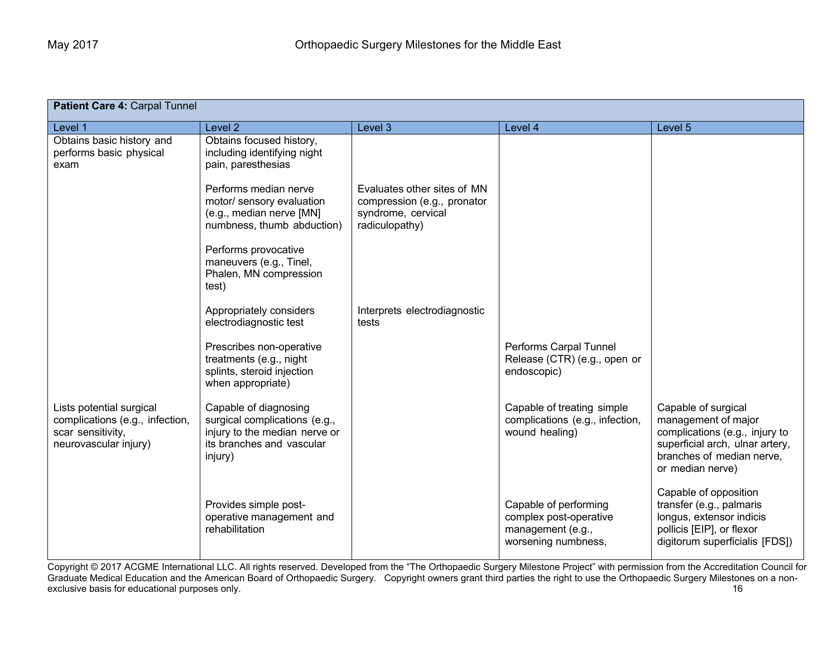| Patient Care 4: Carpal Tunnel                                                                             |                                                                                                                                 |                                                                                                    |                                                                                             |                                                                                                                                                                  |  |  |
|-----------------------------------------------------------------------------------------------------------|---------------------------------------------------------------------------------------------------------------------------------|----------------------------------------------------------------------------------------------------|---------------------------------------------------------------------------------------------|------------------------------------------------------------------------------------------------------------------------------------------------------------------|--|--|
| Level 1                                                                                                   | Level <sub>2</sub>                                                                                                              | Level 3                                                                                            | Level 4                                                                                     | Level 5                                                                                                                                                          |  |  |
| Obtains basic history and<br>performs basic physical<br>exam                                              | Obtains focused history,<br>including identifying night<br>pain, paresthesias                                                   |                                                                                                    |                                                                                             |                                                                                                                                                                  |  |  |
|                                                                                                           | Performs median nerve<br>motor/ sensory evaluation<br>(e.g., median nerve [MN]<br>numbness, thumb abduction)                    | Evaluates other sites of MN<br>compression (e.g., pronator<br>syndrome, cervical<br>radiculopathy) |                                                                                             |                                                                                                                                                                  |  |  |
|                                                                                                           | Performs provocative<br>maneuvers (e.g., Tinel,<br>Phalen, MN compression<br>test)                                              |                                                                                                    |                                                                                             |                                                                                                                                                                  |  |  |
|                                                                                                           | Appropriately considers<br>electrodiagnostic test                                                                               | Interprets electrodiagnostic<br>tests                                                              |                                                                                             |                                                                                                                                                                  |  |  |
|                                                                                                           | Prescribes non-operative<br>treatments (e.g., night<br>splints, steroid injection<br>when appropriate)                          |                                                                                                    | Performs Carpal Tunnel<br>Release (CTR) (e.g., open or<br>endoscopic)                       |                                                                                                                                                                  |  |  |
| Lists potential surgical<br>complications (e.g., infection,<br>scar sensitivity,<br>neurovascular injury) | Capable of diagnosing<br>surgical complications (e.g.,<br>injury to the median nerve or<br>its branches and vascular<br>injury) |                                                                                                    | Capable of treating simple<br>complications (e.g., infection,<br>wound healing)             | Capable of surgical<br>management of major<br>complications (e.g., injury to<br>superficial arch, ulnar artery,<br>branches of median nerve,<br>or median nerve) |  |  |
|                                                                                                           | Provides simple post-<br>operative management and<br>rehabilitation                                                             |                                                                                                    | Capable of performing<br>complex post-operative<br>management (e.g.,<br>worsening numbness, | Capable of opposition<br>transfer (e.g., palmaris<br>longus, extensor indicis<br>pollicis [EIP], or flexor<br>digitorum superficialis [FDS])                     |  |  |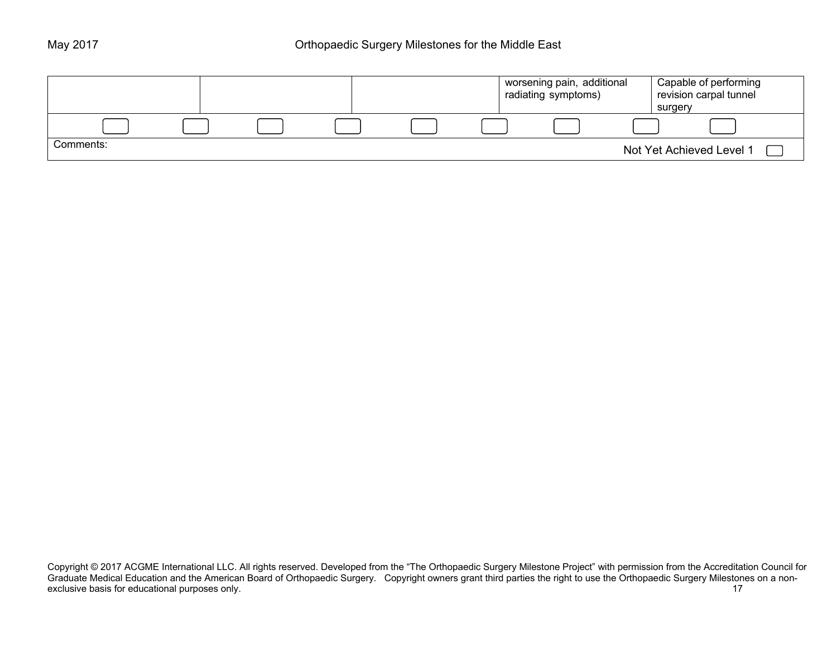|           |  |  | I worsening pain, additional<br>radiating symptoms) | Capable of performing<br>revision carpal tunnel |
|-----------|--|--|-----------------------------------------------------|-------------------------------------------------|
|           |  |  |                                                     | surgery                                         |
|           |  |  |                                                     |                                                 |
| Comments: |  |  |                                                     | Not Yet Achieved Level 1                        |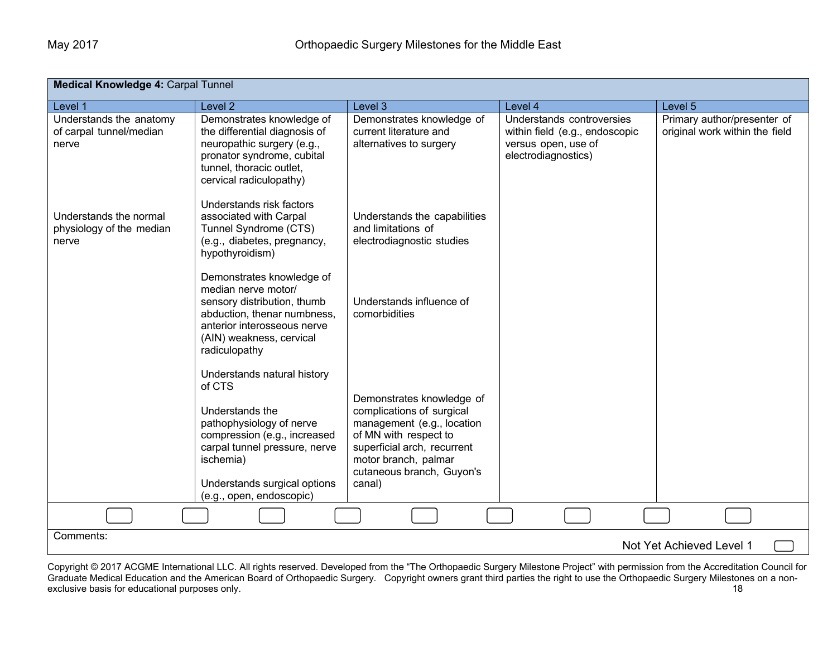| Medical Knowledge 4: Carpal Tunnel                          |                                                                                                                                                                                                                                |                                                                                                                                                                                                             |                                                                                                           |                                                               |  |
|-------------------------------------------------------------|--------------------------------------------------------------------------------------------------------------------------------------------------------------------------------------------------------------------------------|-------------------------------------------------------------------------------------------------------------------------------------------------------------------------------------------------------------|-----------------------------------------------------------------------------------------------------------|---------------------------------------------------------------|--|
| Level 1                                                     | Level <sub>2</sub>                                                                                                                                                                                                             | Level 3                                                                                                                                                                                                     | Level 4                                                                                                   | Level 5                                                       |  |
| Understands the anatomy<br>of carpal tunnel/median<br>nerve | Demonstrates knowledge of<br>the differential diagnosis of<br>neuropathic surgery (e.g.,<br>pronator syndrome, cubital<br>tunnel, thoracic outlet,<br>cervical radiculopathy)                                                  | Demonstrates knowledge of<br>current literature and<br>alternatives to surgery                                                                                                                              | Understands controversies<br>within field (e.g., endoscopic<br>versus open, use of<br>electrodiagnostics) | Primary author/presenter of<br>original work within the field |  |
| Understands the normal<br>physiology of the median<br>nerve | Understands risk factors<br>associated with Carpal<br>Tunnel Syndrome (CTS)<br>(e.g., diabetes, pregnancy,<br>hypothyroidism)                                                                                                  | Understands the capabilities<br>and limitations of<br>electrodiagnostic studies                                                                                                                             |                                                                                                           |                                                               |  |
|                                                             | Demonstrates knowledge of<br>median nerve motor/<br>sensory distribution, thumb<br>abduction, thenar numbness,<br>anterior interosseous nerve<br>(AIN) weakness, cervical<br>radiculopathy                                     | Understands influence of<br>comorbidities                                                                                                                                                                   |                                                                                                           |                                                               |  |
|                                                             | Understands natural history<br>of CTS<br>Understands the<br>pathophysiology of nerve<br>compression (e.g., increased<br>carpal tunnel pressure, nerve<br>ischemia)<br>Understands surgical options<br>(e.g., open, endoscopic) | Demonstrates knowledge of<br>complications of surgical<br>management (e.g., location<br>of MN with respect to<br>superficial arch, recurrent<br>motor branch, palmar<br>cutaneous branch, Guyon's<br>canal) |                                                                                                           |                                                               |  |
|                                                             |                                                                                                                                                                                                                                |                                                                                                                                                                                                             |                                                                                                           |                                                               |  |
| Comments:                                                   |                                                                                                                                                                                                                                |                                                                                                                                                                                                             |                                                                                                           | Not Yet Achieved Level 1                                      |  |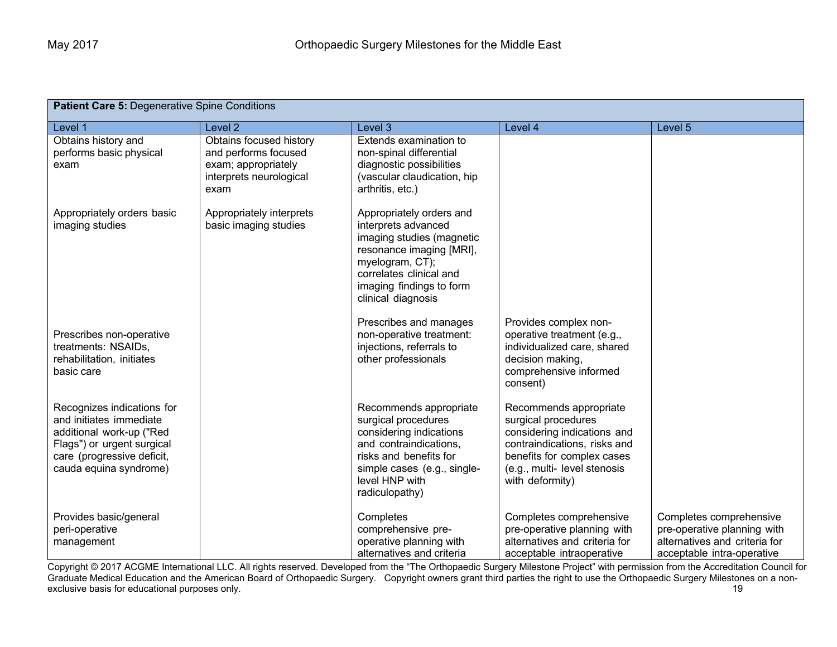| Patient Care 5: Degenerative Spine Conditions                                                                                                                           |                                                                                                           |                                                                                                                                                                                                          |                                                                                                                                                                                              |                                                                                                                       |
|-------------------------------------------------------------------------------------------------------------------------------------------------------------------------|-----------------------------------------------------------------------------------------------------------|----------------------------------------------------------------------------------------------------------------------------------------------------------------------------------------------------------|----------------------------------------------------------------------------------------------------------------------------------------------------------------------------------------------|-----------------------------------------------------------------------------------------------------------------------|
| Level 1                                                                                                                                                                 | Level <sub>2</sub>                                                                                        | Level 3                                                                                                                                                                                                  | Level 4                                                                                                                                                                                      | Level 5                                                                                                               |
| Obtains history and<br>performs basic physical<br>exam                                                                                                                  | Obtains focused history<br>and performs focused<br>exam; appropriately<br>interprets neurological<br>exam | Extends examination to<br>non-spinal differential<br>diagnostic possibilities<br>(vascular claudication, hip<br>arthritis, etc.)                                                                         |                                                                                                                                                                                              |                                                                                                                       |
| Appropriately orders basic<br>imaging studies                                                                                                                           | Appropriately interprets<br>basic imaging studies                                                         | Appropriately orders and<br>interprets advanced<br>imaging studies (magnetic<br>resonance imaging [MRI],<br>myelogram, CT);<br>correlates clinical and<br>imaging findings to form<br>clinical diagnosis |                                                                                                                                                                                              |                                                                                                                       |
| Prescribes non-operative<br>treatments: NSAIDs,<br>rehabilitation, initiates<br>basic care                                                                              |                                                                                                           | Prescribes and manages<br>non-operative treatment:<br>injections, referrals to<br>other professionals                                                                                                    | Provides complex non-<br>operative treatment (e.g.,<br>individualized care, shared<br>decision making,<br>comprehensive informed<br>consent)                                                 |                                                                                                                       |
| Recognizes indications for<br>and initiates immediate<br>additional work-up ("Red<br>Flags") or urgent surgical<br>care (progressive deficit,<br>cauda equina syndrome) |                                                                                                           | Recommends appropriate<br>surgical procedures<br>considering indications<br>and contraindications,<br>risks and benefits for<br>simple cases (e.g., single-<br>level HNP with<br>radiculopathy)          | Recommends appropriate<br>surgical procedures<br>considering indications and<br>contraindications, risks and<br>benefits for complex cases<br>(e.g., multi-level stenosis<br>with deformity) |                                                                                                                       |
| Provides basic/general<br>peri-operative<br>management                                                                                                                  |                                                                                                           | Completes<br>comprehensive pre-<br>operative planning with<br>alternatives and criteria                                                                                                                  | Completes comprehensive<br>pre-operative planning with<br>alternatives and criteria for<br>acceptable intraoperative                                                                         | Completes comprehensive<br>pre-operative planning with<br>alternatives and criteria for<br>acceptable intra-operative |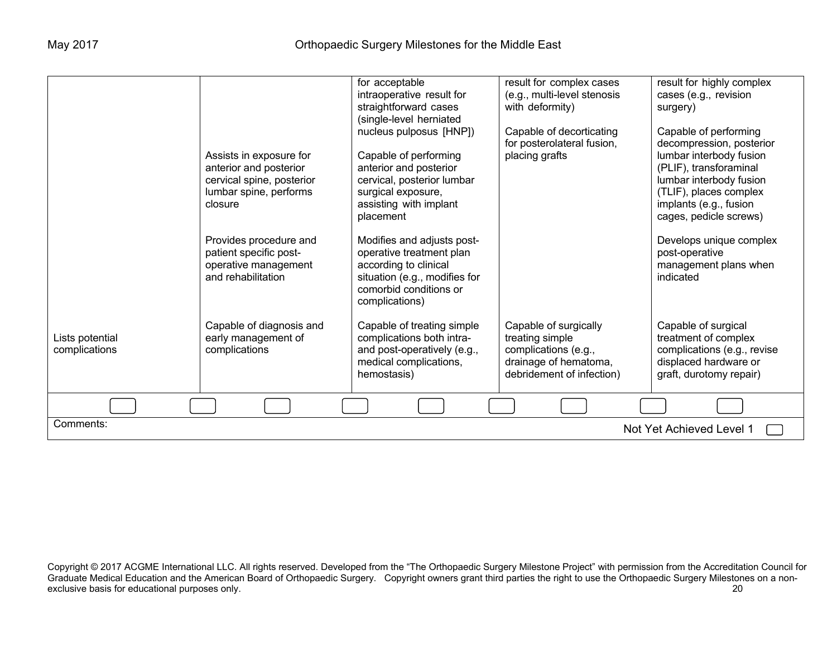|                                       |                                                                                                                     | for acceptable<br>intraoperative result for<br>straightforward cases<br>(single-level herniated                                                                       | result for complex cases<br>(e.g., multi-level stenosis<br>with deformity)                                             | result for highly complex<br>cases (e.g., revision<br>surgery)                                                                                                                                                  |
|---------------------------------------|---------------------------------------------------------------------------------------------------------------------|-----------------------------------------------------------------------------------------------------------------------------------------------------------------------|------------------------------------------------------------------------------------------------------------------------|-----------------------------------------------------------------------------------------------------------------------------------------------------------------------------------------------------------------|
|                                       | Assists in exposure for<br>anterior and posterior<br>cervical spine, posterior<br>lumbar spine, performs<br>closure | nucleus pulposus [HNP])<br>Capable of performing<br>anterior and posterior<br>cervical, posterior lumbar<br>surgical exposure,<br>assisting with implant<br>placement | Capable of decorticating<br>for posterolateral fusion,<br>placing grafts                                               | Capable of performing<br>decompression, posterior<br>lumbar interbody fusion<br>(PLIF), transforaminal<br>lumbar interbody fusion<br>(TLIF), places complex<br>implants (e.g., fusion<br>cages, pedicle screws) |
|                                       | Provides procedure and<br>patient specific post-<br>operative management<br>and rehabilitation                      | Modifies and adjusts post-<br>operative treatment plan<br>according to clinical<br>situation (e.g., modifies for<br>comorbid conditions or<br>complications)          |                                                                                                                        | Develops unique complex<br>post-operative<br>management plans when<br>indicated                                                                                                                                 |
| Lists potential<br>complications      | Capable of diagnosis and<br>early management of<br>complications                                                    | Capable of treating simple<br>complications both intra-<br>and post-operatively (e.g.,<br>medical complications,<br>hemostasis)                                       | Capable of surgically<br>treating simple<br>complications (e.g.,<br>drainage of hematoma,<br>debridement of infection) | Capable of surgical<br>treatment of complex<br>complications (e.g., revise<br>displaced hardware or<br>graft, durotomy repair)                                                                                  |
|                                       |                                                                                                                     |                                                                                                                                                                       |                                                                                                                        |                                                                                                                                                                                                                 |
| Comments:<br>Not Yet Achieved Level 1 |                                                                                                                     |                                                                                                                                                                       |                                                                                                                        |                                                                                                                                                                                                                 |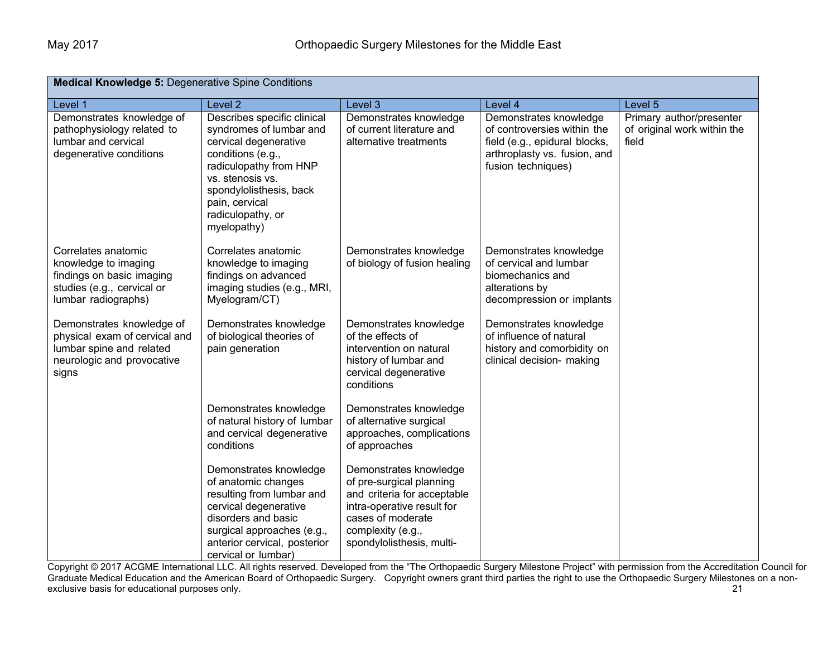| <b>Medical Knowledge 5: Degenerative Spine Conditions</b>                                                                     |                                                                                                                                                                                                                                     |                                                                                                                                                                                        |                                                                                                                                              |                                                                  |  |
|-------------------------------------------------------------------------------------------------------------------------------|-------------------------------------------------------------------------------------------------------------------------------------------------------------------------------------------------------------------------------------|----------------------------------------------------------------------------------------------------------------------------------------------------------------------------------------|----------------------------------------------------------------------------------------------------------------------------------------------|------------------------------------------------------------------|--|
| Level 1                                                                                                                       | Level <sub>2</sub>                                                                                                                                                                                                                  | Level 3                                                                                                                                                                                | Level 4                                                                                                                                      | Level 5                                                          |  |
| Demonstrates knowledge of<br>pathophysiology related to<br>lumbar and cervical<br>degenerative conditions                     | Describes specific clinical<br>syndromes of lumbar and<br>cervical degenerative<br>conditions (e.g.,<br>radiculopathy from HNP<br>vs. stenosis vs.<br>spondylolisthesis, back<br>pain, cervical<br>radiculopathy, or<br>myelopathy) | Demonstrates knowledge<br>of current literature and<br>alternative treatments                                                                                                          | Demonstrates knowledge<br>of controversies within the<br>field (e.g., epidural blocks,<br>arthroplasty vs. fusion, and<br>fusion techniques) | Primary author/presenter<br>of original work within the<br>field |  |
| Correlates anatomic<br>knowledge to imaging<br>findings on basic imaging<br>studies (e.g., cervical or<br>lumbar radiographs) | Correlates anatomic<br>knowledge to imaging<br>findings on advanced<br>imaging studies (e.g., MRI,<br>Myelogram/CT)                                                                                                                 | Demonstrates knowledge<br>of biology of fusion healing                                                                                                                                 | Demonstrates knowledge<br>of cervical and lumbar<br>biomechanics and<br>alterations by<br>decompression or implants                          |                                                                  |  |
| Demonstrates knowledge of<br>physical exam of cervical and<br>lumbar spine and related<br>neurologic and provocative<br>signs | Demonstrates knowledge<br>of biological theories of<br>pain generation                                                                                                                                                              | Demonstrates knowledge<br>of the effects of<br>intervention on natural<br>history of lumbar and<br>cervical degenerative<br>conditions                                                 | Demonstrates knowledge<br>of influence of natural<br>history and comorbidity on<br>clinical decision- making                                 |                                                                  |  |
|                                                                                                                               | Demonstrates knowledge<br>of natural history of lumbar<br>and cervical degenerative<br>conditions                                                                                                                                   | Demonstrates knowledge<br>of alternative surgical<br>approaches, complications<br>of approaches                                                                                        |                                                                                                                                              |                                                                  |  |
|                                                                                                                               | Demonstrates knowledge<br>of anatomic changes<br>resulting from lumbar and<br>cervical degenerative<br>disorders and basic<br>surgical approaches (e.g.,<br>anterior cervical, posterior<br>cervical or lumbar)                     | Demonstrates knowledge<br>of pre-surgical planning<br>and criteria for acceptable<br>intra-operative result for<br>cases of moderate<br>complexity (e.g.,<br>spondylolisthesis, multi- |                                                                                                                                              |                                                                  |  |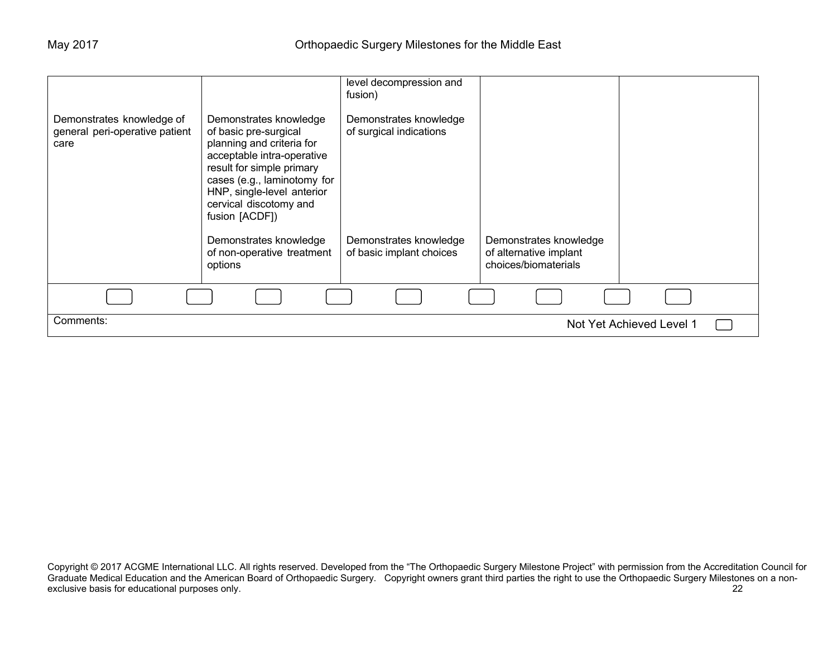| Demonstrates knowledge of<br>general peri-operative patient<br>care | Demonstrates knowledge<br>of basic pre-surgical<br>planning and criteria for<br>acceptable intra-operative<br>result for simple primary                                  | level decompression and<br>fusion)<br>Demonstrates knowledge<br>of surgical indications |                                                                          |
|---------------------------------------------------------------------|--------------------------------------------------------------------------------------------------------------------------------------------------------------------------|-----------------------------------------------------------------------------------------|--------------------------------------------------------------------------|
|                                                                     | cases (e.g., laminotomy for<br>HNP, single-level anterior<br>cervical discotomy and<br>fusion [ACDF])<br>Demonstrates knowledge<br>of non-operative treatment<br>options | Demonstrates knowledge<br>of basic implant choices                                      | Demonstrates knowledge<br>of alternative implant<br>choices/biomaterials |
|                                                                     |                                                                                                                                                                          |                                                                                         |                                                                          |
| Comments:                                                           |                                                                                                                                                                          |                                                                                         | Not Yet Achieved Level 1                                                 |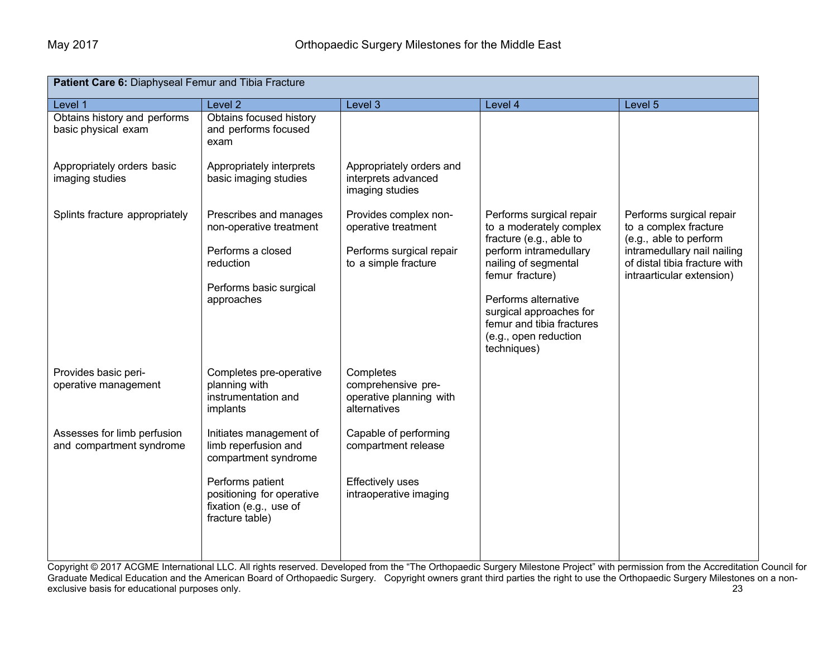| Patient Care 6: Diaphyseal Femur and Tibia Fracture                                                  |                                                                                                                              |                                                                                                  |                                                                                                                                                                                                                                                                             |                                                                                                                                                                          |  |
|------------------------------------------------------------------------------------------------------|------------------------------------------------------------------------------------------------------------------------------|--------------------------------------------------------------------------------------------------|-----------------------------------------------------------------------------------------------------------------------------------------------------------------------------------------------------------------------------------------------------------------------------|--------------------------------------------------------------------------------------------------------------------------------------------------------------------------|--|
| Level 1                                                                                              | Level <sub>2</sub>                                                                                                           | Level 3                                                                                          | Level 4                                                                                                                                                                                                                                                                     | Level 5                                                                                                                                                                  |  |
| Obtains history and performs<br>basic physical exam<br>Appropriately orders basic<br>imaging studies | Obtains focused history<br>and performs focused<br>exam<br>Appropriately interprets<br>basic imaging studies                 | Appropriately orders and<br>interprets advanced<br>imaging studies                               |                                                                                                                                                                                                                                                                             |                                                                                                                                                                          |  |
| Splints fracture appropriately                                                                       | Prescribes and manages<br>non-operative treatment<br>Performs a closed<br>reduction<br>Performs basic surgical<br>approaches | Provides complex non-<br>operative treatment<br>Performs surgical repair<br>to a simple fracture | Performs surgical repair<br>to a moderately complex<br>fracture (e.g., able to<br>perform intramedullary<br>nailing of segmental<br>femur fracture)<br>Performs alternative<br>surgical approaches for<br>femur and tibia fractures<br>(e.g., open reduction<br>techniques) | Performs surgical repair<br>to a complex fracture<br>(e.g., able to perform<br>intramedullary nail nailing<br>of distal tibia fracture with<br>intraarticular extension) |  |
| Provides basic peri-<br>operative management                                                         | Completes pre-operative<br>planning with<br>instrumentation and<br>implants                                                  | Completes<br>comprehensive pre-<br>operative planning with<br>alternatives                       |                                                                                                                                                                                                                                                                             |                                                                                                                                                                          |  |
| Assesses for limb perfusion<br>and compartment syndrome                                              | Initiates management of<br>limb reperfusion and<br>compartment syndrome                                                      | Capable of performing<br>compartment release                                                     |                                                                                                                                                                                                                                                                             |                                                                                                                                                                          |  |
|                                                                                                      | Performs patient<br>positioning for operative<br>fixation (e.g., use of<br>fracture table)                                   | <b>Effectively uses</b><br>intraoperative imaging                                                |                                                                                                                                                                                                                                                                             |                                                                                                                                                                          |  |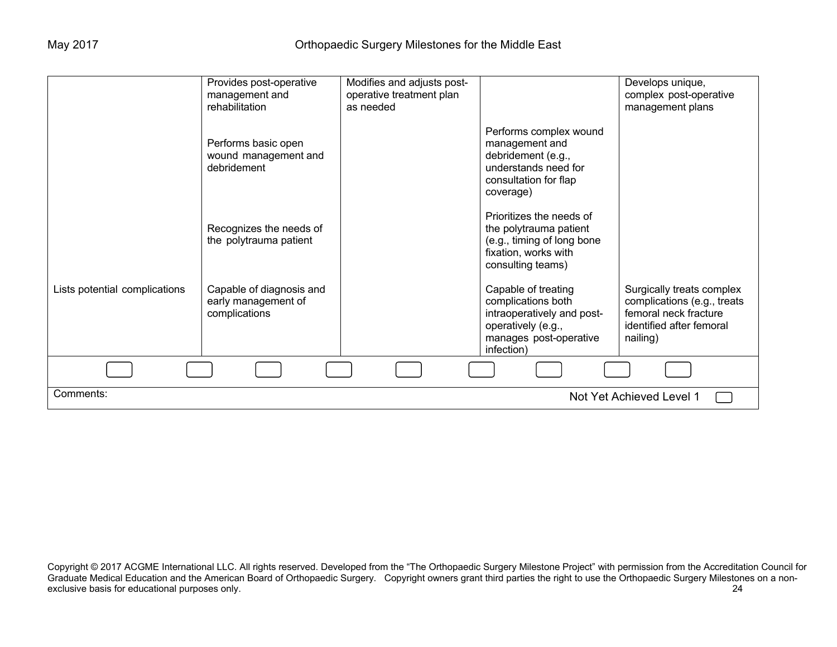|                               | Provides post-operative<br>management and<br>rehabilitation      | Modifies and adjusts post-<br>operative treatment plan<br>as needed |                                                                                                                                       | Develops unique,<br>complex post-operative<br>management plans                                                            |
|-------------------------------|------------------------------------------------------------------|---------------------------------------------------------------------|---------------------------------------------------------------------------------------------------------------------------------------|---------------------------------------------------------------------------------------------------------------------------|
|                               | Performs basic open<br>wound management and<br>debridement       |                                                                     | Performs complex wound<br>management and<br>debridement (e.g.,<br>understands need for<br>consultation for flap<br>coverage)          |                                                                                                                           |
|                               | Recognizes the needs of<br>the polytrauma patient                |                                                                     | Prioritizes the needs of<br>the polytrauma patient<br>(e.g., timing of long bone<br>fixation, works with<br>consulting teams)         |                                                                                                                           |
| Lists potential complications | Capable of diagnosis and<br>early management of<br>complications |                                                                     | Capable of treating<br>complications both<br>intraoperatively and post-<br>operatively (e.g.,<br>manages post-operative<br>infection) | Surgically treats complex<br>complications (e.g., treats<br>femoral neck fracture<br>identified after femoral<br>nailing) |
|                               |                                                                  |                                                                     |                                                                                                                                       |                                                                                                                           |
| Comments:                     |                                                                  |                                                                     |                                                                                                                                       | Not Yet Achieved Level 1                                                                                                  |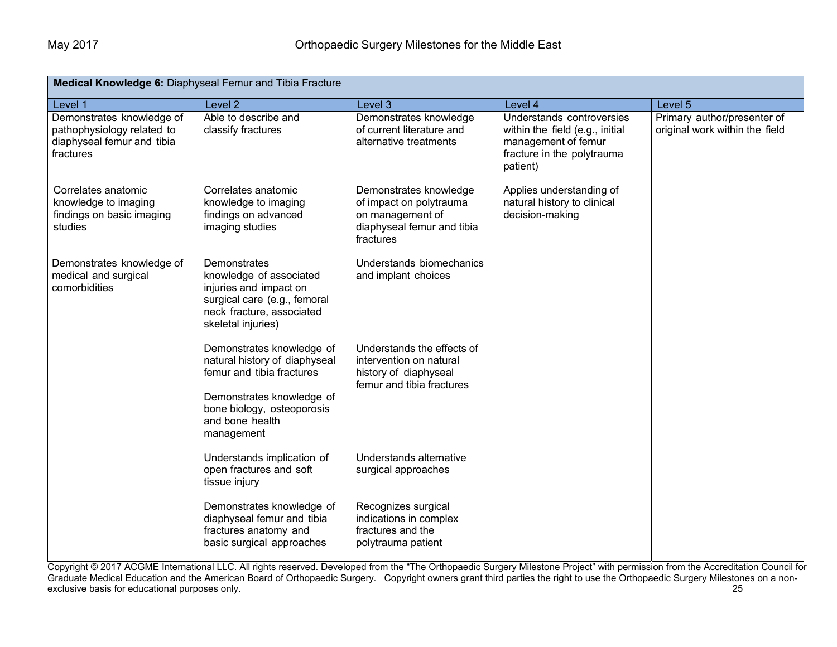| Medical Knowledge 6: Diaphyseal Femur and Tibia Fracture                                           |                                                                                                                                                                                     |                                                                                                                  |                                                                                                                               |                                                               |
|----------------------------------------------------------------------------------------------------|-------------------------------------------------------------------------------------------------------------------------------------------------------------------------------------|------------------------------------------------------------------------------------------------------------------|-------------------------------------------------------------------------------------------------------------------------------|---------------------------------------------------------------|
| Level 1                                                                                            | Level <sub>2</sub>                                                                                                                                                                  | Level 3                                                                                                          | Level 4                                                                                                                       | Level 5                                                       |
| Demonstrates knowledge of<br>pathophysiology related to<br>diaphyseal femur and tibia<br>fractures | Able to describe and<br>classify fractures                                                                                                                                          | Demonstrates knowledge<br>of current literature and<br>alternative treatments                                    | Understands controversies<br>within the field (e.g., initial<br>management of femur<br>fracture in the polytrauma<br>patient) | Primary author/presenter of<br>original work within the field |
| Correlates anatomic<br>knowledge to imaging<br>findings on basic imaging<br>studies                | Correlates anatomic<br>knowledge to imaging<br>findings on advanced<br>imaging studies                                                                                              | Demonstrates knowledge<br>of impact on polytrauma<br>on management of<br>diaphyseal femur and tibia<br>fractures | Applies understanding of<br>natural history to clinical<br>decision-making                                                    |                                                               |
| Demonstrates knowledge of<br>medical and surgical<br>comorbidities                                 | Demonstrates<br>knowledge of associated<br>injuries and impact on<br>surgical care (e.g., femoral<br>neck fracture, associated<br>skeletal injuries)                                | Understands biomechanics<br>and implant choices                                                                  |                                                                                                                               |                                                               |
|                                                                                                    | Demonstrates knowledge of<br>natural history of diaphyseal<br>femur and tibia fractures<br>Demonstrates knowledge of<br>bone biology, osteoporosis<br>and bone health<br>management | Understands the effects of<br>intervention on natural<br>history of diaphyseal<br>femur and tibia fractures      |                                                                                                                               |                                                               |
|                                                                                                    | Understands implication of<br>open fractures and soft<br>tissue injury                                                                                                              | Understands alternative<br>surgical approaches                                                                   |                                                                                                                               |                                                               |
|                                                                                                    | Demonstrates knowledge of<br>diaphyseal femur and tibia<br>fractures anatomy and<br>basic surgical approaches                                                                       | Recognizes surgical<br>indications in complex<br>fractures and the<br>polytrauma patient                         |                                                                                                                               |                                                               |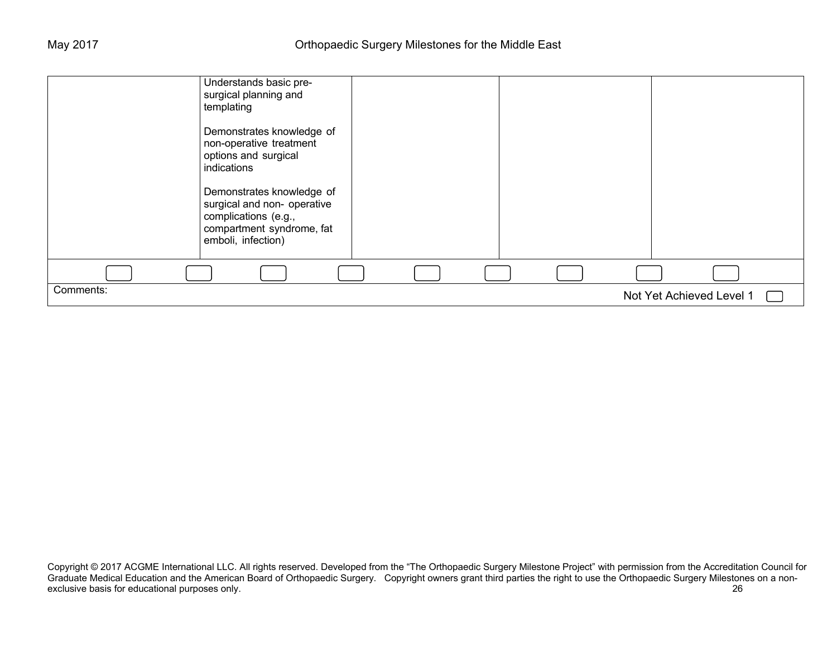| Understands basic pre-<br>surgical planning and<br>templating                                                                       |  |                          |  |
|-------------------------------------------------------------------------------------------------------------------------------------|--|--------------------------|--|
| Demonstrates knowledge of<br>non-operative treatment<br>options and surgical<br>indications                                         |  |                          |  |
| Demonstrates knowledge of<br>surgical and non- operative<br>complications (e.g.,<br>compartment syndrome, fat<br>emboli, infection) |  |                          |  |
|                                                                                                                                     |  |                          |  |
| Comments:                                                                                                                           |  | Not Yet Achieved Level 1 |  |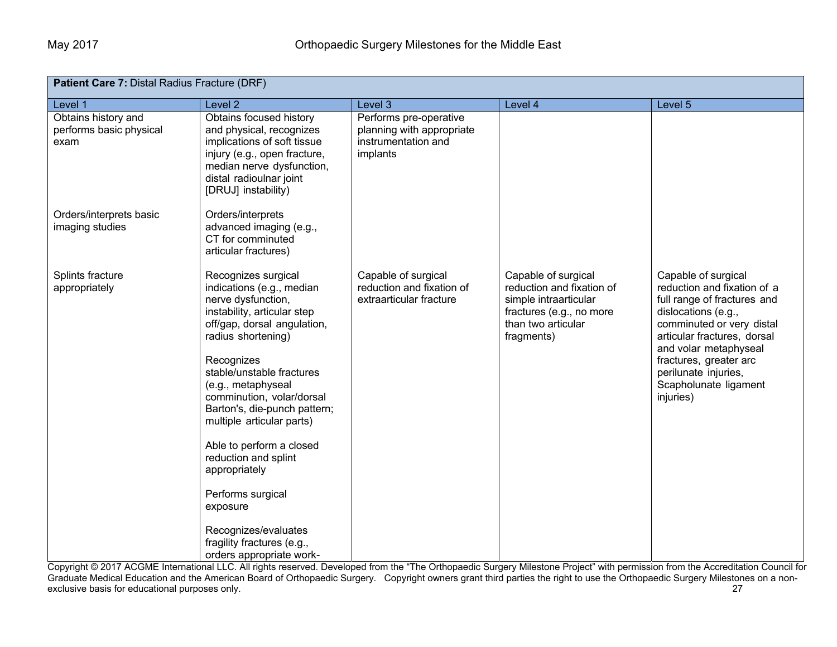| Patient Care 7: Distal Radius Fracture (DRF)           |                                                                                                                                                                                                                                                                                                                                                                                                                                                                                                               |                                                                                        |                                                                                                                                           |                                                                                                                                                                                                                                                                                       |  |
|--------------------------------------------------------|---------------------------------------------------------------------------------------------------------------------------------------------------------------------------------------------------------------------------------------------------------------------------------------------------------------------------------------------------------------------------------------------------------------------------------------------------------------------------------------------------------------|----------------------------------------------------------------------------------------|-------------------------------------------------------------------------------------------------------------------------------------------|---------------------------------------------------------------------------------------------------------------------------------------------------------------------------------------------------------------------------------------------------------------------------------------|--|
| Level 1                                                | Level <sub>2</sub>                                                                                                                                                                                                                                                                                                                                                                                                                                                                                            | Level 3                                                                                | Level 4                                                                                                                                   | Level 5                                                                                                                                                                                                                                                                               |  |
| Obtains history and<br>performs basic physical<br>exam | Obtains focused history<br>and physical, recognizes<br>implications of soft tissue<br>injury (e.g., open fracture,<br>median nerve dysfunction,<br>distal radioulnar joint<br>[DRUJ] instability)                                                                                                                                                                                                                                                                                                             | Performs pre-operative<br>planning with appropriate<br>instrumentation and<br>implants |                                                                                                                                           |                                                                                                                                                                                                                                                                                       |  |
| Orders/interprets basic<br>imaging studies             | Orders/interprets<br>advanced imaging (e.g.,<br>CT for comminuted<br>articular fractures)                                                                                                                                                                                                                                                                                                                                                                                                                     |                                                                                        |                                                                                                                                           |                                                                                                                                                                                                                                                                                       |  |
| Splints fracture<br>appropriately                      | Recognizes surgical<br>indications (e.g., median<br>nerve dysfunction,<br>instability, articular step<br>off/gap, dorsal angulation,<br>radius shortening)<br>Recognizes<br>stable/unstable fractures<br>(e.g., metaphyseal<br>comminution, volar/dorsal<br>Barton's, die-punch pattern;<br>multiple articular parts)<br>Able to perform a closed<br>reduction and splint<br>appropriately<br>Performs surgical<br>exposure<br>Recognizes/evaluates<br>fragility fractures (e.g.,<br>orders appropriate work- | Capable of surgical<br>reduction and fixation of<br>extraarticular fracture            | Capable of surgical<br>reduction and fixation of<br>simple intraarticular<br>fractures (e.g., no more<br>than two articular<br>fragments) | Capable of surgical<br>reduction and fixation of a<br>full range of fractures and<br>dislocations (e.g.,<br>comminuted or very distal<br>articular fractures, dorsal<br>and volar metaphyseal<br>fractures, greater arc<br>perilunate injuries,<br>Scapholunate ligament<br>injuries) |  |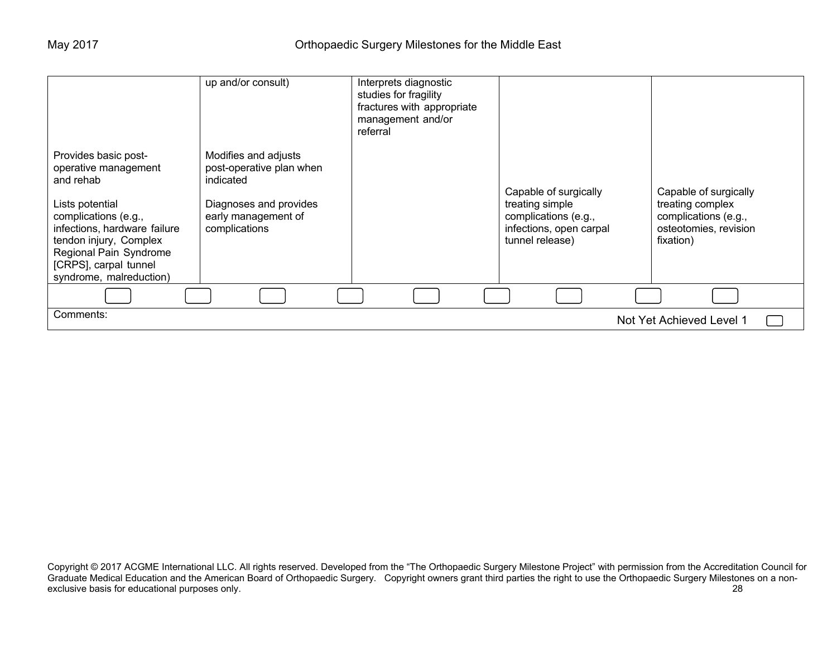|                                                                                                                                                                                          | $\overline{up}$ and/or consult)                                                                                                 | Interprets diagnostic<br>studies for fragility<br>fractures with appropriate<br>management and/or<br>referral |                                                                                                                |                                                                                                         |
|------------------------------------------------------------------------------------------------------------------------------------------------------------------------------------------|---------------------------------------------------------------------------------------------------------------------------------|---------------------------------------------------------------------------------------------------------------|----------------------------------------------------------------------------------------------------------------|---------------------------------------------------------------------------------------------------------|
| Provides basic post-<br>operative management<br>and rehab<br>Lists potential<br>complications (e.g.,<br>infections, hardware failure<br>tendon injury, Complex<br>Regional Pain Syndrome | Modifies and adjusts<br>post-operative plan when<br>indicated<br>Diagnoses and provides<br>early management of<br>complications |                                                                                                               | Capable of surgically<br>treating simple<br>complications (e.g.,<br>infections, open carpal<br>tunnel release) | Capable of surgically<br>treating complex<br>complications (e.g.,<br>osteotomies, revision<br>fixation) |
| [CRPS], carpal tunnel<br>syndrome, malreduction)                                                                                                                                         |                                                                                                                                 |                                                                                                               |                                                                                                                |                                                                                                         |
|                                                                                                                                                                                          |                                                                                                                                 |                                                                                                               |                                                                                                                |                                                                                                         |
| Comments:                                                                                                                                                                                |                                                                                                                                 |                                                                                                               |                                                                                                                | Not Yet Achieved Level 1                                                                                |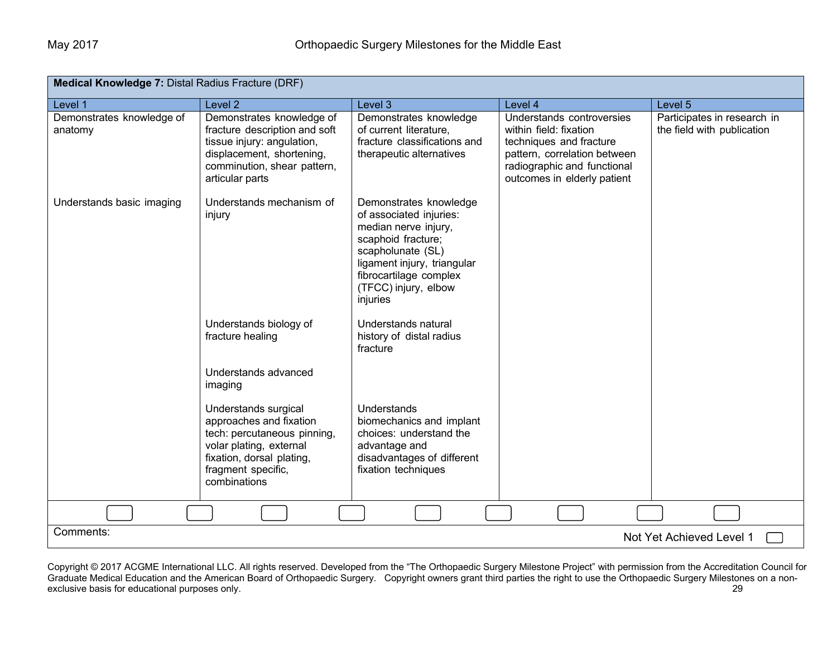| Medical Knowledge 7: Distal Radius Fracture (DRF) |                                                                                                                                                                              |                                                                                                                                                                                                                   |                                                                                                                                                                              |                                                           |  |  |
|---------------------------------------------------|------------------------------------------------------------------------------------------------------------------------------------------------------------------------------|-------------------------------------------------------------------------------------------------------------------------------------------------------------------------------------------------------------------|------------------------------------------------------------------------------------------------------------------------------------------------------------------------------|-----------------------------------------------------------|--|--|
| Level 1                                           | Level <sub>2</sub>                                                                                                                                                           | Level 3                                                                                                                                                                                                           | Level 4                                                                                                                                                                      | Level 5                                                   |  |  |
| Demonstrates knowledge of<br>anatomy              | Demonstrates knowledge of<br>fracture description and soft<br>tissue injury: angulation,<br>displacement, shortening,<br>comminution, shear pattern,<br>articular parts      | Demonstrates knowledge<br>of current literature,<br>fracture classifications and<br>therapeutic alternatives                                                                                                      | Understands controversies<br>within field: fixation<br>techniques and fracture<br>pattern, correlation between<br>radiographic and functional<br>outcomes in elderly patient | Participates in research in<br>the field with publication |  |  |
| Understands basic imaging                         | Understands mechanism of<br>injury                                                                                                                                           | Demonstrates knowledge<br>of associated injuries:<br>median nerve injury,<br>scaphoid fracture;<br>scapholunate (SL)<br>ligament injury, triangular<br>fibrocartilage complex<br>(TFCC) injury, elbow<br>injuries |                                                                                                                                                                              |                                                           |  |  |
|                                                   | Understands biology of<br>fracture healing                                                                                                                                   | Understands natural<br>history of distal radius<br>fracture                                                                                                                                                       |                                                                                                                                                                              |                                                           |  |  |
|                                                   | Understands advanced<br>imaging                                                                                                                                              |                                                                                                                                                                                                                   |                                                                                                                                                                              |                                                           |  |  |
|                                                   | Understands surgical<br>approaches and fixation<br>tech: percutaneous pinning,<br>volar plating, external<br>fixation, dorsal plating,<br>fragment specific,<br>combinations | Understands<br>biomechanics and implant<br>choices: understand the<br>advantage and<br>disadvantages of different<br>fixation techniques                                                                          |                                                                                                                                                                              |                                                           |  |  |
|                                                   |                                                                                                                                                                              |                                                                                                                                                                                                                   |                                                                                                                                                                              |                                                           |  |  |
|                                                   | Comments:<br>Not Yet Achieved Level 1                                                                                                                                        |                                                                                                                                                                                                                   |                                                                                                                                                                              |                                                           |  |  |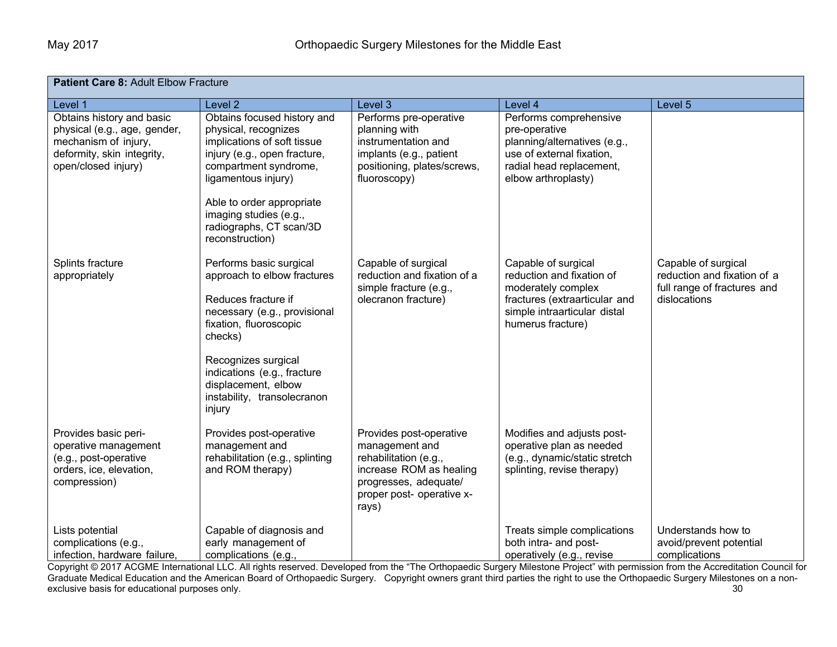| Patient Care 8: Adult Elbow Fracture                                                                                                   |                                                                                                                                                                    |                                                                                                                                                              |                                                                                                                                                         |                                                                                   |  |  |
|----------------------------------------------------------------------------------------------------------------------------------------|--------------------------------------------------------------------------------------------------------------------------------------------------------------------|--------------------------------------------------------------------------------------------------------------------------------------------------------------|---------------------------------------------------------------------------------------------------------------------------------------------------------|-----------------------------------------------------------------------------------|--|--|
| Level 1                                                                                                                                | Level <sub>2</sub>                                                                                                                                                 | Level 3                                                                                                                                                      | Level 4                                                                                                                                                 | Level 5                                                                           |  |  |
| Obtains history and basic<br>physical (e.g., age, gender,<br>mechanism of injury,<br>deformity, skin integrity,<br>open/closed injury) | Obtains focused history and<br>physical, recognizes<br>implications of soft tissue<br>injury (e.g., open fracture,<br>compartment syndrome,<br>ligamentous injury) | Performs pre-operative<br>planning with<br>instrumentation and<br>implants (e.g., patient<br>positioning, plates/screws,<br>fluoroscopy)                     | Performs comprehensive<br>pre-operative<br>planning/alternatives (e.g.,<br>use of external fixation,<br>radial head replacement,<br>elbow arthroplasty) |                                                                                   |  |  |
|                                                                                                                                        | Able to order appropriate<br>imaging studies (e.g.,<br>radiographs, CT scan/3D<br>reconstruction)                                                                  |                                                                                                                                                              |                                                                                                                                                         |                                                                                   |  |  |
| Splints fracture<br>appropriately                                                                                                      | Performs basic surgical<br>approach to elbow fractures                                                                                                             | Capable of surgical<br>reduction and fixation of a<br>simple fracture (e.g.,                                                                                 | Capable of surgical<br>reduction and fixation of<br>moderately complex                                                                                  | Capable of surgical<br>reduction and fixation of a<br>full range of fractures and |  |  |
|                                                                                                                                        | Reduces fracture if<br>necessary (e.g., provisional<br>fixation, fluoroscopic<br>checks)                                                                           | olecranon fracture)                                                                                                                                          | fractures (extraarticular and<br>simple intraarticular distal<br>humerus fracture)                                                                      | dislocations                                                                      |  |  |
|                                                                                                                                        | Recognizes surgical<br>indications (e.g., fracture<br>displacement, elbow<br>instability, transolecranon<br>injury                                                 |                                                                                                                                                              |                                                                                                                                                         |                                                                                   |  |  |
| Provides basic peri-<br>operative management<br>(e.g., post-operative<br>orders, ice, elevation,<br>compression)                       | Provides post-operative<br>management and<br>rehabilitation (e.g., splinting<br>and ROM therapy)                                                                   | Provides post-operative<br>management and<br>rehabilitation (e.g.,<br>increase ROM as healing<br>progresses, adequate/<br>proper post- operative x-<br>rays) | Modifies and adjusts post-<br>operative plan as needed<br>(e.g., dynamic/static stretch<br>splinting, revise therapy)                                   |                                                                                   |  |  |
| Lists potential<br>complications (e.g.,<br>infection, hardware failure,                                                                | Capable of diagnosis and<br>early management of<br>complications (e.g.,                                                                                            |                                                                                                                                                              | Treats simple complications<br>both intra- and post-<br>operatively (e.g., revise                                                                       | Understands how to<br>avoid/prevent potential<br>complications                    |  |  |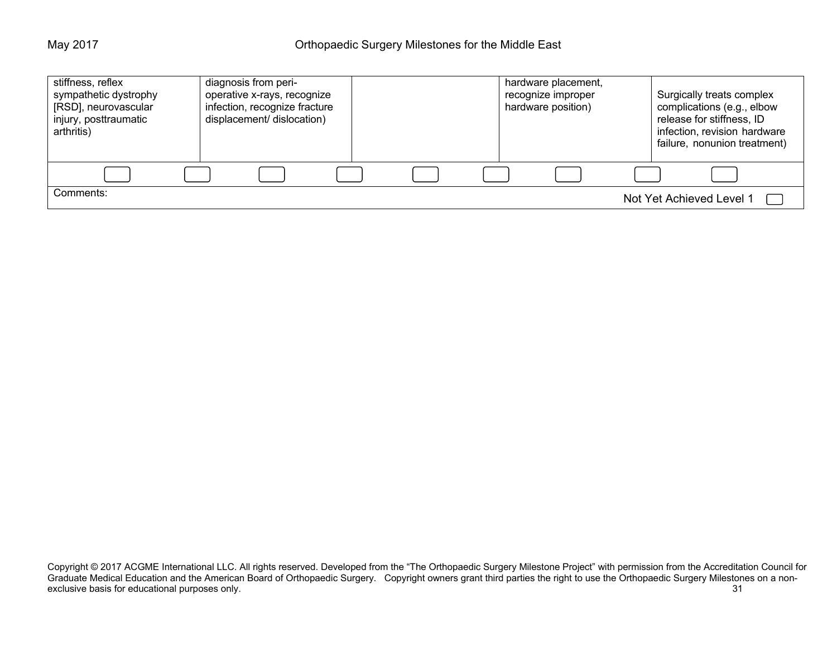| stiffness, reflex<br>sympathetic dystrophy<br>[RSD], neurovascular<br>injury, posttraumatic<br>arthritis) | diagnosis from peri-<br>operative x-rays, recognize<br>infection, recognize fracture<br>displacement/ dislocation) |  | hardware placement,<br>recognize improper<br>hardware position) | Surgically treats complex<br>complications (e.g., elbow<br>release for stiffness, ID<br>infection, revision hardware<br>failure, nonunion treatment) |
|-----------------------------------------------------------------------------------------------------------|--------------------------------------------------------------------------------------------------------------------|--|-----------------------------------------------------------------|------------------------------------------------------------------------------------------------------------------------------------------------------|
|                                                                                                           |                                                                                                                    |  |                                                                 |                                                                                                                                                      |
| Comments:                                                                                                 |                                                                                                                    |  |                                                                 | Not Yet Achieved Level 1                                                                                                                             |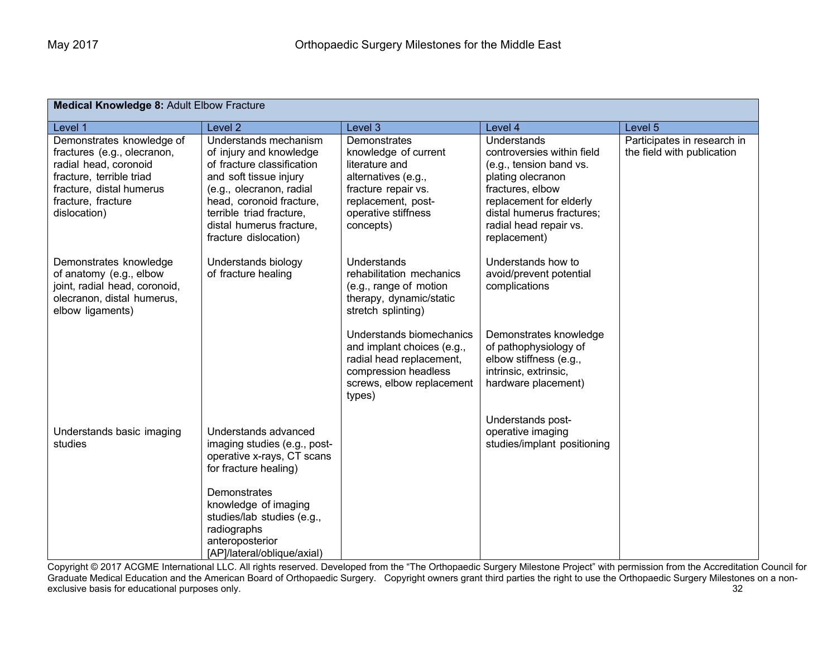| Medical Knowledge 8: Adult Elbow Fracture                                                                                                                                       |                                                                                                                                                                                                                                                   |                                                                                                                                                                |                                                                                                                                                                                                                 |                                                           |  |  |  |
|---------------------------------------------------------------------------------------------------------------------------------------------------------------------------------|---------------------------------------------------------------------------------------------------------------------------------------------------------------------------------------------------------------------------------------------------|----------------------------------------------------------------------------------------------------------------------------------------------------------------|-----------------------------------------------------------------------------------------------------------------------------------------------------------------------------------------------------------------|-----------------------------------------------------------|--|--|--|
| Level 1                                                                                                                                                                         | Level <sub>2</sub>                                                                                                                                                                                                                                | Level 3                                                                                                                                                        | Level 4                                                                                                                                                                                                         | Level 5                                                   |  |  |  |
| Demonstrates knowledge of<br>fractures (e.g., olecranon,<br>radial head, coronoid<br>fracture, terrible triad<br>fracture, distal humerus<br>fracture, fracture<br>dislocation) | Understands mechanism<br>of injury and knowledge<br>of fracture classification<br>and soft tissue injury<br>(e.g., olecranon, radial<br>head, coronoid fracture,<br>terrible triad fracture,<br>distal humerus fracture.<br>fracture dislocation) | Demonstrates<br>knowledge of current<br>literature and<br>alternatives (e.g.,<br>fracture repair vs.<br>replacement, post-<br>operative stiffness<br>concepts) | Understands<br>controversies within field<br>(e.g., tension band vs.<br>plating olecranon<br>fractures, elbow<br>replacement for elderly<br>distal humerus fractures;<br>radial head repair vs.<br>replacement) | Participates in research in<br>the field with publication |  |  |  |
| Demonstrates knowledge<br>of anatomy (e.g., elbow<br>joint, radial head, coronoid,<br>olecranon, distal humerus,<br>elbow ligaments)                                            | Understands biology<br>of fracture healing                                                                                                                                                                                                        | Understands<br>rehabilitation mechanics<br>(e.g., range of motion<br>therapy, dynamic/static<br>stretch splinting)                                             | Understands how to<br>avoid/prevent potential<br>complications                                                                                                                                                  |                                                           |  |  |  |
|                                                                                                                                                                                 |                                                                                                                                                                                                                                                   | Understands biomechanics<br>and implant choices (e.g.,<br>radial head replacement,<br>compression headless<br>screws, elbow replacement<br>types)              | Demonstrates knowledge<br>of pathophysiology of<br>elbow stiffness (e.g.,<br>intrinsic, extrinsic,<br>hardware placement)                                                                                       |                                                           |  |  |  |
| Understands basic imaging<br>studies                                                                                                                                            | Understands advanced<br>imaging studies (e.g., post-<br>operative x-rays, CT scans<br>for fracture healing)                                                                                                                                       |                                                                                                                                                                | Understands post-<br>operative imaging<br>studies/implant positioning                                                                                                                                           |                                                           |  |  |  |
|                                                                                                                                                                                 | Demonstrates<br>knowledge of imaging<br>studies/lab studies (e.g.,<br>radiographs<br>anteroposterior<br>[AP]/lateral/oblique/axial)                                                                                                               |                                                                                                                                                                |                                                                                                                                                                                                                 |                                                           |  |  |  |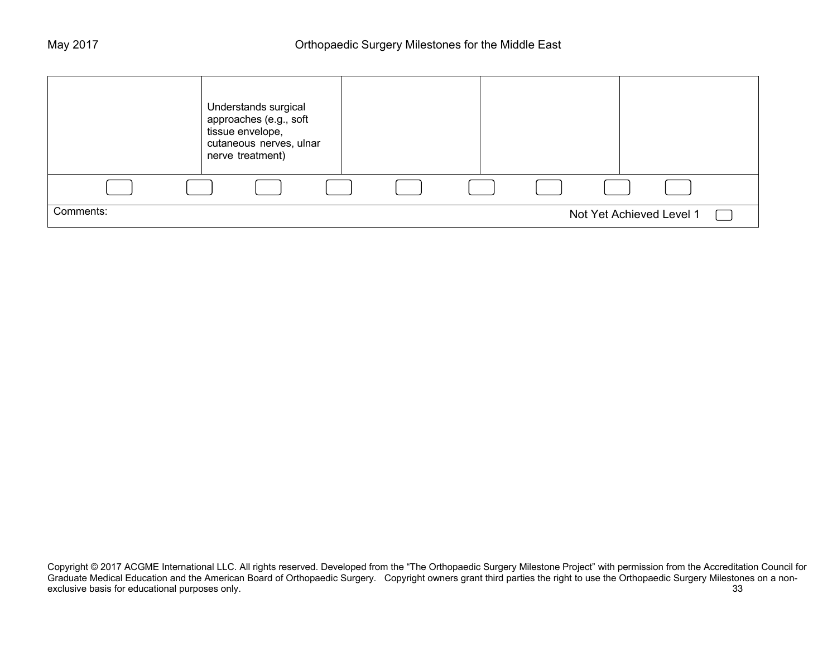|           | Understands surgical<br>approaches (e.g., soft<br>tissue envelope,<br>cutaneous nerves, ulnar<br>nerve treatment) |  |  |                          |  |
|-----------|-------------------------------------------------------------------------------------------------------------------|--|--|--------------------------|--|
|           |                                                                                                                   |  |  |                          |  |
| Comments: |                                                                                                                   |  |  | Not Yet Achieved Level 1 |  |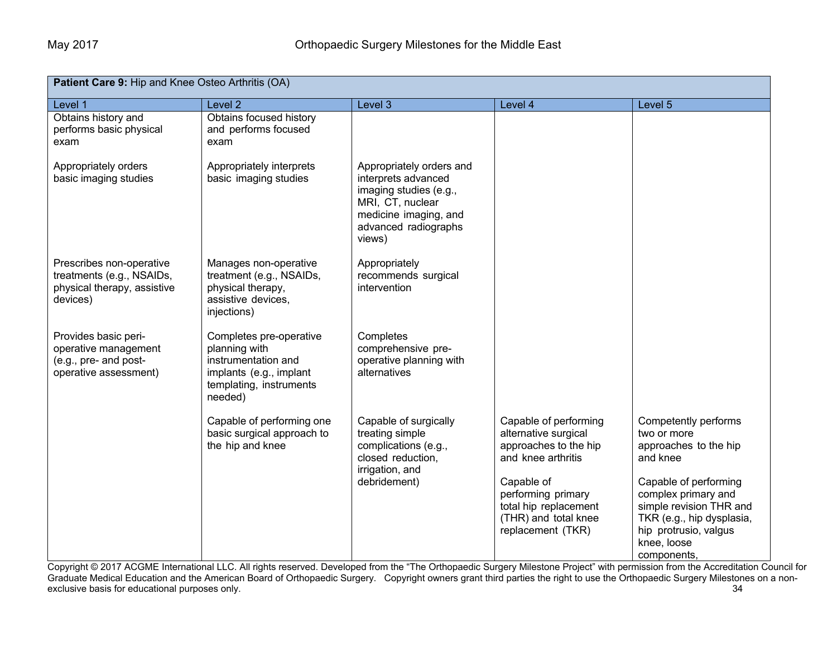| Patient Care 9: Hip and Knee Osteo Arthritis (OA)                                                |                                                                                                                                  |                                                                                                                                                          |                                                                                                                                                                                                        |                                                                                                                                                                                                                                         |  |
|--------------------------------------------------------------------------------------------------|----------------------------------------------------------------------------------------------------------------------------------|----------------------------------------------------------------------------------------------------------------------------------------------------------|--------------------------------------------------------------------------------------------------------------------------------------------------------------------------------------------------------|-----------------------------------------------------------------------------------------------------------------------------------------------------------------------------------------------------------------------------------------|--|
| Level 1                                                                                          | Level <sub>2</sub>                                                                                                               | Level 3                                                                                                                                                  | Level 4                                                                                                                                                                                                | Level 5                                                                                                                                                                                                                                 |  |
| Obtains history and<br>performs basic physical<br>exam                                           | Obtains focused history<br>and performs focused<br>exam                                                                          |                                                                                                                                                          |                                                                                                                                                                                                        |                                                                                                                                                                                                                                         |  |
| Appropriately orders<br>basic imaging studies                                                    | Appropriately interprets<br>basic imaging studies                                                                                | Appropriately orders and<br>interprets advanced<br>imaging studies (e.g.,<br>MRI, CT, nuclear<br>medicine imaging, and<br>advanced radiographs<br>views) |                                                                                                                                                                                                        |                                                                                                                                                                                                                                         |  |
| Prescribes non-operative<br>treatments (e.g., NSAIDs,<br>physical therapy, assistive<br>devices) | Manages non-operative<br>treatment (e.g., NSAIDs,<br>physical therapy,<br>assistive devices,<br>injections)                      | Appropriately<br>recommends surgical<br>intervention                                                                                                     |                                                                                                                                                                                                        |                                                                                                                                                                                                                                         |  |
| Provides basic peri-<br>operative management<br>(e.g., pre- and post-<br>operative assessment)   | Completes pre-operative<br>planning with<br>instrumentation and<br>implants (e.g., implant<br>templating, instruments<br>needed) | Completes<br>comprehensive pre-<br>operative planning with<br>alternatives                                                                               |                                                                                                                                                                                                        |                                                                                                                                                                                                                                         |  |
|                                                                                                  | Capable of performing one<br>basic surgical approach to<br>the hip and knee                                                      | Capable of surgically<br>treating simple<br>complications (e.g.,<br>closed reduction,<br>irrigation, and<br>debridement)                                 | Capable of performing<br>alternative surgical<br>approaches to the hip<br>and knee arthritis<br>Capable of<br>performing primary<br>total hip replacement<br>(THR) and total knee<br>replacement (TKR) | Competently performs<br>two or more<br>approaches to the hip<br>and knee<br>Capable of performing<br>complex primary and<br>simple revision THR and<br>TKR (e.g., hip dysplasia,<br>hip protrusio, valgus<br>knee, loose<br>components, |  |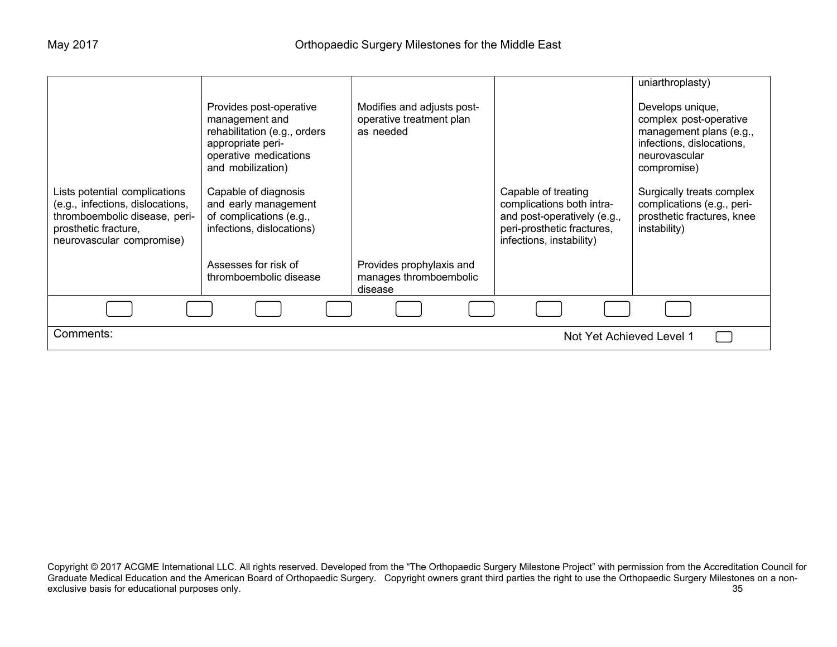|                                                                                                                                                         |                                                                                                                                              |                                                                     |                                                                                                                                           | uniarthroplasty)                                                                                                                   |
|---------------------------------------------------------------------------------------------------------------------------------------------------------|----------------------------------------------------------------------------------------------------------------------------------------------|---------------------------------------------------------------------|-------------------------------------------------------------------------------------------------------------------------------------------|------------------------------------------------------------------------------------------------------------------------------------|
|                                                                                                                                                         | Provides post-operative<br>management and<br>rehabilitation (e.g., orders<br>appropriate peri-<br>operative medications<br>and mobilization) | Modifies and adjusts post-<br>operative treatment plan<br>as needed |                                                                                                                                           | Develops unique,<br>complex post-operative<br>management plans (e.g.,<br>infections, dislocations,<br>neurovascular<br>compromise) |
| Lists potential complications<br>(e.g., infections, dislocations,<br>thromboembolic disease, peri-<br>prosthetic fracture,<br>neurovascular compromise) | Capable of diagnosis<br>and early management<br>of complications (e.g.,<br>infections, dislocations)                                         |                                                                     | Capable of treating<br>complications both intra-<br>and post-operatively (e.g.,<br>peri-prosthetic fractures,<br>infections, instability) | Surgically treats complex<br>complications (e.g., peri-<br>prosthetic fractures, knee<br>instability)                              |
|                                                                                                                                                         | Assesses for risk of<br>thromboembolic disease                                                                                               | Provides prophylaxis and<br>manages thromboembolic<br>disease       |                                                                                                                                           |                                                                                                                                    |
|                                                                                                                                                         |                                                                                                                                              |                                                                     |                                                                                                                                           |                                                                                                                                    |
| Comments:<br>Not Yet Achieved Level 1                                                                                                                   |                                                                                                                                              |                                                                     |                                                                                                                                           |                                                                                                                                    |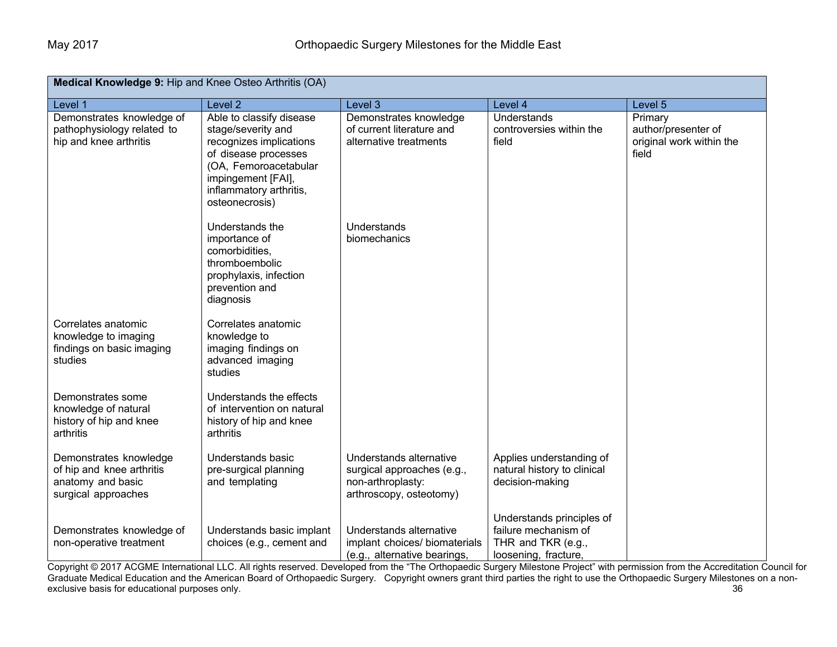| Medical Knowledge 9: Hip and Knee Osteo Arthritis (OA)                                          |                                                                                                                                                                                               |                                                                                                       |                                                                                                 |                                                                     |  |
|-------------------------------------------------------------------------------------------------|-----------------------------------------------------------------------------------------------------------------------------------------------------------------------------------------------|-------------------------------------------------------------------------------------------------------|-------------------------------------------------------------------------------------------------|---------------------------------------------------------------------|--|
| Level 1                                                                                         | Level <sub>2</sub>                                                                                                                                                                            | Level 3                                                                                               | Level 4                                                                                         | Level 5                                                             |  |
| Demonstrates knowledge of<br>pathophysiology related to<br>hip and knee arthritis               | Able to classify disease<br>stage/severity and<br>recognizes implications<br>of disease processes<br>(OA, Femoroacetabular<br>impingement [FAI],<br>inflammatory arthritis,<br>osteonecrosis) | Demonstrates knowledge<br>of current literature and<br>alternative treatments                         | Understands<br>controversies within the<br>field                                                | Primary<br>author/presenter of<br>original work within the<br>field |  |
|                                                                                                 | Understands the<br>importance of<br>comorbidities,<br>thromboembolic<br>prophylaxis, infection<br>prevention and<br>diagnosis                                                                 | Understands<br>biomechanics                                                                           |                                                                                                 |                                                                     |  |
| Correlates anatomic<br>knowledge to imaging<br>findings on basic imaging<br>studies             | Correlates anatomic<br>knowledge to<br>imaging findings on<br>advanced imaging<br>studies                                                                                                     |                                                                                                       |                                                                                                 |                                                                     |  |
| Demonstrates some<br>knowledge of natural<br>history of hip and knee<br>arthritis               | Understands the effects<br>of intervention on natural<br>history of hip and knee<br>arthritis                                                                                                 |                                                                                                       |                                                                                                 |                                                                     |  |
| Demonstrates knowledge<br>of hip and knee arthritis<br>anatomy and basic<br>surgical approaches | Understands basic<br>pre-surgical planning<br>and templating                                                                                                                                  | Understands alternative<br>surgical approaches (e.g.,<br>non-arthroplasty:<br>arthroscopy, osteotomy) | Applies understanding of<br>natural history to clinical<br>decision-making                      |                                                                     |  |
| Demonstrates knowledge of<br>non-operative treatment                                            | Understands basic implant<br>choices (e.g., cement and                                                                                                                                        | Understands alternative<br>implant choices/ biomaterials<br>(e.g., alternative bearings,              | Understands principles of<br>failure mechanism of<br>THR and TKR (e.g.,<br>loosening, fracture, |                                                                     |  |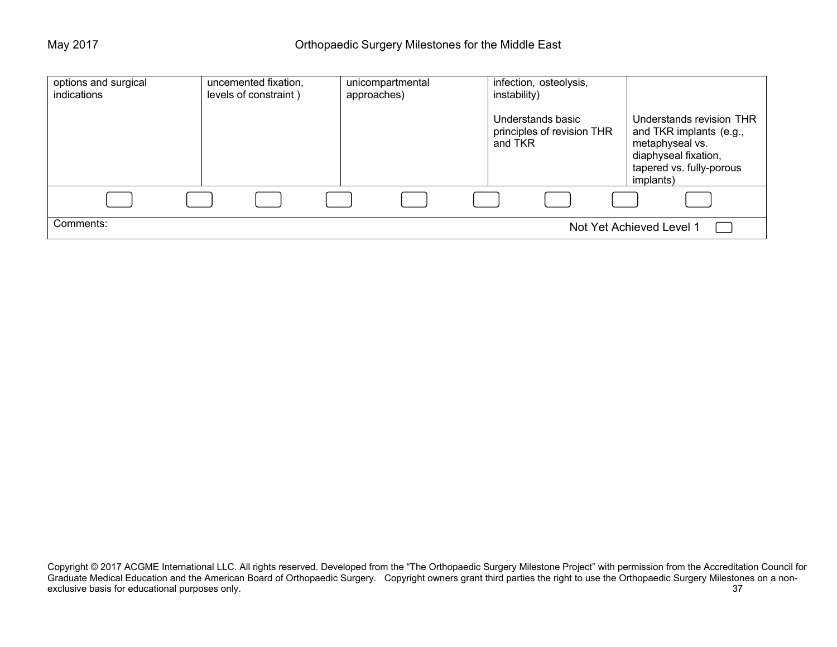| options and surgical<br>indications | uncemented fixation,<br>levels of constraint) | unicompartmental<br>approaches) | infection, osteolysis,<br>instability)                     |                                                                                                                                         |
|-------------------------------------|-----------------------------------------------|---------------------------------|------------------------------------------------------------|-----------------------------------------------------------------------------------------------------------------------------------------|
|                                     |                                               |                                 | Understands basic<br>principles of revision THR<br>and TKR | Understands revision THR<br>and TKR implants (e.g.,<br>metaphyseal vs.<br>diaphyseal fixation,<br>tapered vs. fully-porous<br>implants) |
|                                     |                                               |                                 |                                                            |                                                                                                                                         |
| Comments:                           |                                               |                                 |                                                            | Not Yet Achieved Level 1                                                                                                                |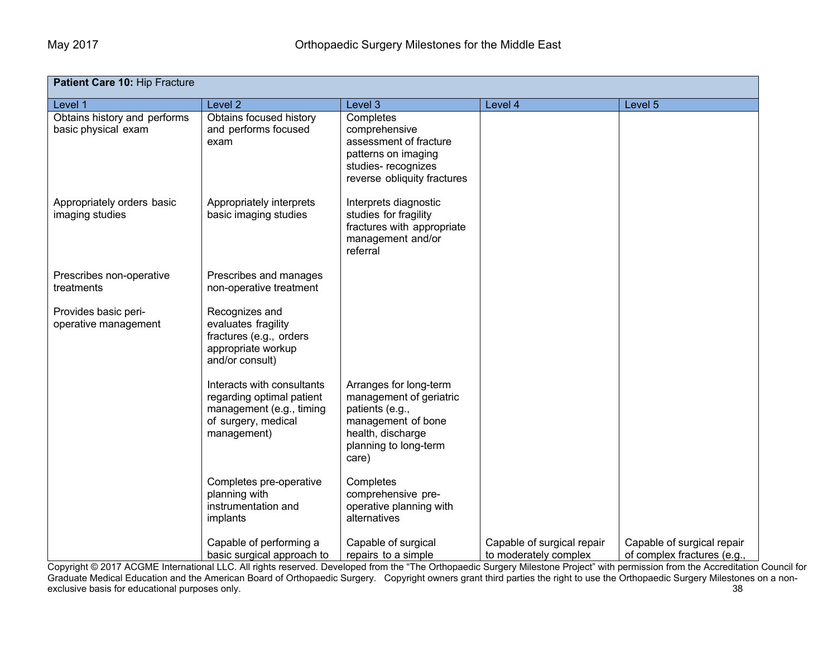| Patient Care 10: Hip Fracture                       |                                                                                                                           |                                                                                                                                                   |                                                     |                                                           |  |
|-----------------------------------------------------|---------------------------------------------------------------------------------------------------------------------------|---------------------------------------------------------------------------------------------------------------------------------------------------|-----------------------------------------------------|-----------------------------------------------------------|--|
| Level 1                                             | Level <sub>2</sub>                                                                                                        | Level 3                                                                                                                                           | Level 4                                             | Level 5                                                   |  |
| Obtains history and performs<br>basic physical exam | Obtains focused history<br>and performs focused<br>exam                                                                   | Completes<br>comprehensive<br>assessment of fracture<br>patterns on imaging<br>studies-recognizes<br>reverse obliquity fractures                  |                                                     |                                                           |  |
| Appropriately orders basic<br>imaging studies       | Appropriately interprets<br>basic imaging studies                                                                         | Interprets diagnostic<br>studies for fragility<br>fractures with appropriate<br>management and/or<br>referral                                     |                                                     |                                                           |  |
| Prescribes non-operative<br>treatments              | Prescribes and manages<br>non-operative treatment                                                                         |                                                                                                                                                   |                                                     |                                                           |  |
| Provides basic peri-<br>operative management        | Recognizes and<br>evaluates fragility<br>fractures (e.g., orders<br>appropriate workup<br>and/or consult)                 |                                                                                                                                                   |                                                     |                                                           |  |
|                                                     | Interacts with consultants<br>regarding optimal patient<br>management (e.g., timing<br>of surgery, medical<br>management) | Arranges for long-term<br>management of geriatric<br>patients (e.g.,<br>management of bone<br>health, discharge<br>planning to long-term<br>care) |                                                     |                                                           |  |
|                                                     | Completes pre-operative<br>planning with<br>instrumentation and<br>implants                                               | Completes<br>comprehensive pre-<br>operative planning with<br>alternatives                                                                        |                                                     |                                                           |  |
|                                                     | Capable of performing a<br>basic surgical approach to                                                                     | Capable of surgical<br>repairs to a simple                                                                                                        | Capable of surgical repair<br>to moderately complex | Capable of surgical repair<br>of complex fractures (e.g., |  |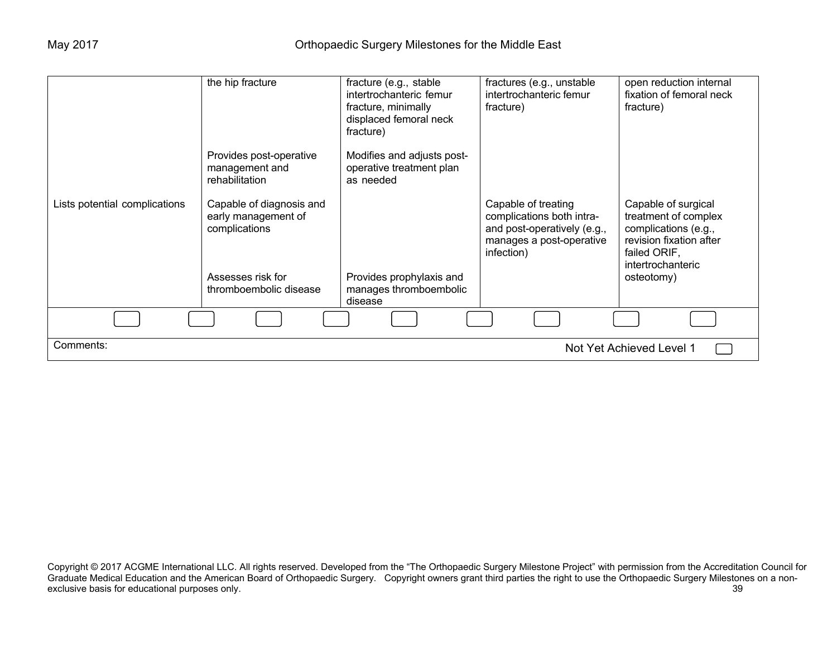|                                       | the hip fracture                                                 | fracture (e.g., stable<br>intertrochanteric femur<br>fracture, minimally<br>displaced femoral neck<br>fracture) | fractures (e.g., unstable<br>intertrochanteric femur<br>fracture)                                                         | open reduction internal<br>fixation of femoral neck<br>fracture)                                                                    |  |
|---------------------------------------|------------------------------------------------------------------|-----------------------------------------------------------------------------------------------------------------|---------------------------------------------------------------------------------------------------------------------------|-------------------------------------------------------------------------------------------------------------------------------------|--|
|                                       | Provides post-operative<br>management and<br>rehabilitation      | Modifies and adjusts post-<br>operative treatment plan<br>as needed                                             |                                                                                                                           |                                                                                                                                     |  |
| Lists potential complications         | Capable of diagnosis and<br>early management of<br>complications |                                                                                                                 | Capable of treating<br>complications both intra-<br>and post-operatively (e.g.,<br>manages a post-operative<br>infection) | Capable of surgical<br>treatment of complex<br>complications (e.g.,<br>revision fixation after<br>failed ORIF,<br>intertrochanteric |  |
|                                       | Assesses risk for<br>thromboembolic disease                      | Provides prophylaxis and<br>manages thromboembolic<br>disease                                                   |                                                                                                                           | osteotomy)                                                                                                                          |  |
|                                       |                                                                  |                                                                                                                 |                                                                                                                           |                                                                                                                                     |  |
| Comments:<br>Not Yet Achieved Level 1 |                                                                  |                                                                                                                 |                                                                                                                           |                                                                                                                                     |  |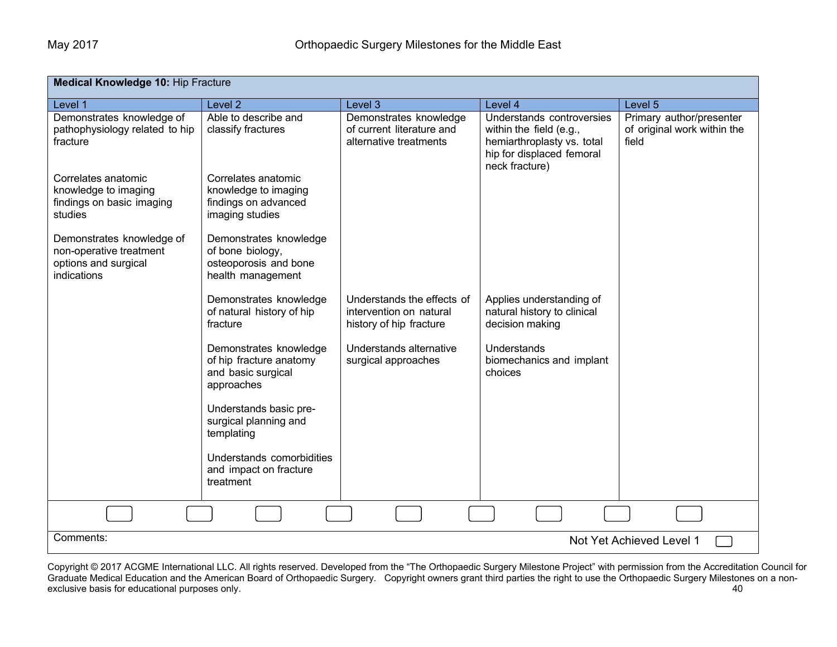| <b>Medical Knowledge 10: Hip Fracture</b>                                                   |                                                                                          |                                                                                  |                                                                                                                                   |                                                                  |  |
|---------------------------------------------------------------------------------------------|------------------------------------------------------------------------------------------|----------------------------------------------------------------------------------|-----------------------------------------------------------------------------------------------------------------------------------|------------------------------------------------------------------|--|
| Level 1                                                                                     | Level 2                                                                                  | Level 3                                                                          | Level 4                                                                                                                           | Level 5                                                          |  |
| Demonstrates knowledge of<br>pathophysiology related to hip<br>fracture                     | Able to describe and<br>classify fractures                                               | Demonstrates knowledge<br>of current literature and<br>alternative treatments    | Understands controversies<br>within the field (e.g.,<br>hemiarthroplasty vs. total<br>hip for displaced femoral<br>neck fracture) | Primary author/presenter<br>of original work within the<br>field |  |
| Correlates anatomic<br>knowledge to imaging<br>findings on basic imaging<br>studies         | Correlates anatomic<br>knowledge to imaging<br>findings on advanced<br>imaging studies   |                                                                                  |                                                                                                                                   |                                                                  |  |
| Demonstrates knowledge of<br>non-operative treatment<br>options and surgical<br>indications | Demonstrates knowledge<br>of bone biology,<br>osteoporosis and bone<br>health management |                                                                                  |                                                                                                                                   |                                                                  |  |
|                                                                                             | Demonstrates knowledge<br>of natural history of hip<br>fracture                          | Understands the effects of<br>intervention on natural<br>history of hip fracture | Applies understanding of<br>natural history to clinical<br>decision making                                                        |                                                                  |  |
|                                                                                             | Demonstrates knowledge<br>of hip fracture anatomy<br>and basic surgical<br>approaches    | Understands alternative<br>surgical approaches                                   | Understands<br>biomechanics and implant<br>choices                                                                                |                                                                  |  |
|                                                                                             | Understands basic pre-<br>surgical planning and<br>templating                            |                                                                                  |                                                                                                                                   |                                                                  |  |
|                                                                                             | Understands comorbidities<br>and impact on fracture<br>treatment                         |                                                                                  |                                                                                                                                   |                                                                  |  |
|                                                                                             |                                                                                          |                                                                                  |                                                                                                                                   |                                                                  |  |
| Comments:<br>Not Yet Achieved Level 1                                                       |                                                                                          |                                                                                  |                                                                                                                                   |                                                                  |  |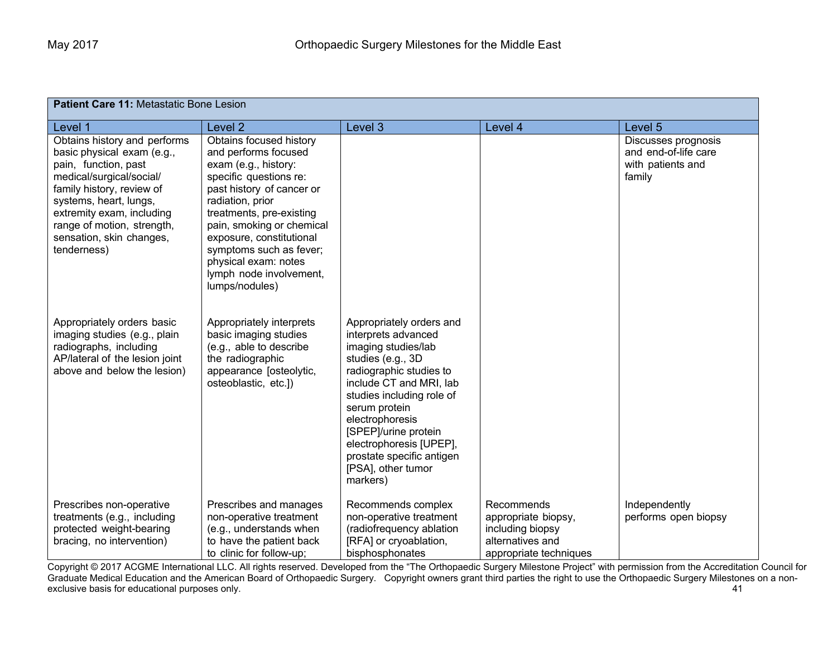| <b>Patient Care 11: Metastatic Bone Lesion</b>                                                                                                                                                                                                                              |                                                                                                                                                                                                                                                                                                                                         |                                                                                                                                                                                                                                                                                                                                      |                                                                                                     |                                                                            |  |
|-----------------------------------------------------------------------------------------------------------------------------------------------------------------------------------------------------------------------------------------------------------------------------|-----------------------------------------------------------------------------------------------------------------------------------------------------------------------------------------------------------------------------------------------------------------------------------------------------------------------------------------|--------------------------------------------------------------------------------------------------------------------------------------------------------------------------------------------------------------------------------------------------------------------------------------------------------------------------------------|-----------------------------------------------------------------------------------------------------|----------------------------------------------------------------------------|--|
| Level 1                                                                                                                                                                                                                                                                     | Level 2                                                                                                                                                                                                                                                                                                                                 | Level 3                                                                                                                                                                                                                                                                                                                              | Level 4                                                                                             | Level 5                                                                    |  |
| Obtains history and performs<br>basic physical exam (e.g.,<br>pain, function, past<br>medical/surgical/social/<br>family history, review of<br>systems, heart, lungs,<br>extremity exam, including<br>range of motion, strength,<br>sensation, skin changes,<br>tenderness) | Obtains focused history<br>and performs focused<br>exam (e.g., history:<br>specific questions re:<br>past history of cancer or<br>radiation, prior<br>treatments, pre-existing<br>pain, smoking or chemical<br>exposure, constitutional<br>symptoms such as fever;<br>physical exam: notes<br>lymph node involvement,<br>lumps/nodules) |                                                                                                                                                                                                                                                                                                                                      |                                                                                                     | Discusses prognosis<br>and end-of-life care<br>with patients and<br>family |  |
| Appropriately orders basic<br>imaging studies (e.g., plain<br>radiographs, including<br>AP/lateral of the lesion joint<br>above and below the lesion)                                                                                                                       | Appropriately interprets<br>basic imaging studies<br>(e.g., able to describe<br>the radiographic<br>appearance [osteolytic,<br>osteoblastic, etc.])                                                                                                                                                                                     | Appropriately orders and<br>interprets advanced<br>imaging studies/lab<br>studies (e.g., 3D<br>radiographic studies to<br>include CT and MRI, lab<br>studies including role of<br>serum protein<br>electrophoresis<br>[SPEP]/urine protein<br>electrophoresis [UPEP],<br>prostate specific antigen<br>[PSA], other tumor<br>markers) |                                                                                                     |                                                                            |  |
| Prescribes non-operative<br>treatments (e.g., including<br>protected weight-bearing<br>bracing, no intervention)                                                                                                                                                            | Prescribes and manages<br>non-operative treatment<br>(e.g., understands when<br>to have the patient back<br>to clinic for follow-up;                                                                                                                                                                                                    | Recommends complex<br>non-operative treatment<br>(radiofrequency ablation<br>[RFA] or cryoablation,<br>bisphosphonates                                                                                                                                                                                                               | Recommends<br>appropriate biopsy,<br>including biopsy<br>alternatives and<br>appropriate techniques | Independently<br>performs open biopsy                                      |  |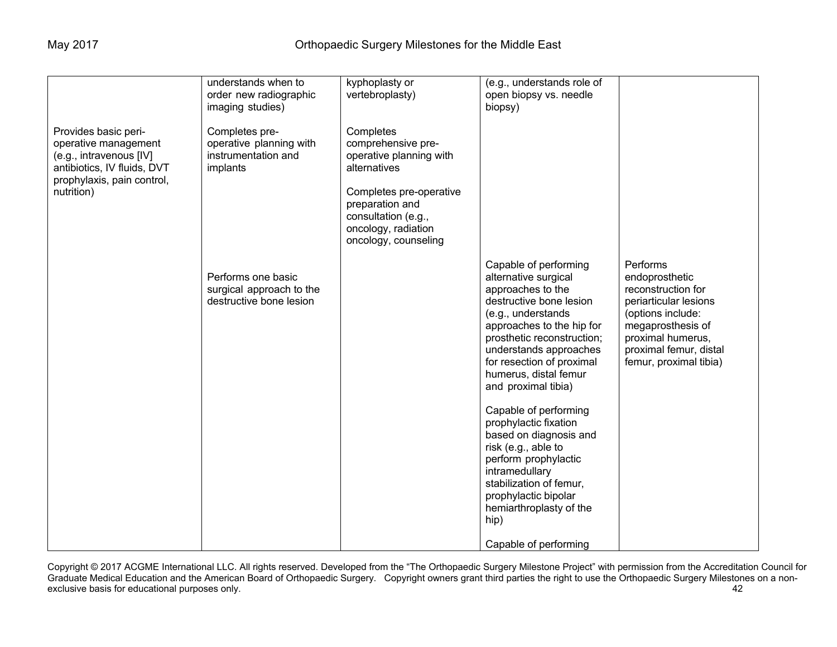|                                                                                                                                                    | understands when to<br>order new radiographic                                                    | kyphoplasty or<br>vertebroplasty)                                                                                                                                                              | (e.g., understands role of<br>open biopsy vs. needle                                                                                                                                                                                                                                                                                                                                                                                                                                                                                              |                                                                                                                                                                                              |
|----------------------------------------------------------------------------------------------------------------------------------------------------|--------------------------------------------------------------------------------------------------|------------------------------------------------------------------------------------------------------------------------------------------------------------------------------------------------|---------------------------------------------------------------------------------------------------------------------------------------------------------------------------------------------------------------------------------------------------------------------------------------------------------------------------------------------------------------------------------------------------------------------------------------------------------------------------------------------------------------------------------------------------|----------------------------------------------------------------------------------------------------------------------------------------------------------------------------------------------|
| Provides basic peri-<br>operative management<br>(e.g., intravenous [IV]<br>antibiotics, IV fluids, DVT<br>prophylaxis, pain control,<br>nutrition) | imaging studies)<br>Completes pre-<br>operative planning with<br>instrumentation and<br>implants | Completes<br>comprehensive pre-<br>operative planning with<br>alternatives<br>Completes pre-operative<br>preparation and<br>consultation (e.g.,<br>oncology, radiation<br>oncology, counseling | biopsy)                                                                                                                                                                                                                                                                                                                                                                                                                                                                                                                                           |                                                                                                                                                                                              |
|                                                                                                                                                    | Performs one basic<br>surgical approach to the<br>destructive bone lesion                        |                                                                                                                                                                                                | Capable of performing<br>alternative surgical<br>approaches to the<br>destructive bone lesion<br>(e.g., understands<br>approaches to the hip for<br>prosthetic reconstruction;<br>understands approaches<br>for resection of proximal<br>humerus, distal femur<br>and proximal tibia)<br>Capable of performing<br>prophylactic fixation<br>based on diagnosis and<br>risk (e.g., able to<br>perform prophylactic<br>intramedullary<br>stabilization of femur,<br>prophylactic bipolar<br>hemiarthroplasty of the<br>hip)<br>Capable of performing | Performs<br>endoprosthetic<br>reconstruction for<br>periarticular lesions<br>(options include:<br>megaprosthesis of<br>proximal humerus,<br>proximal femur, distal<br>femur, proximal tibia) |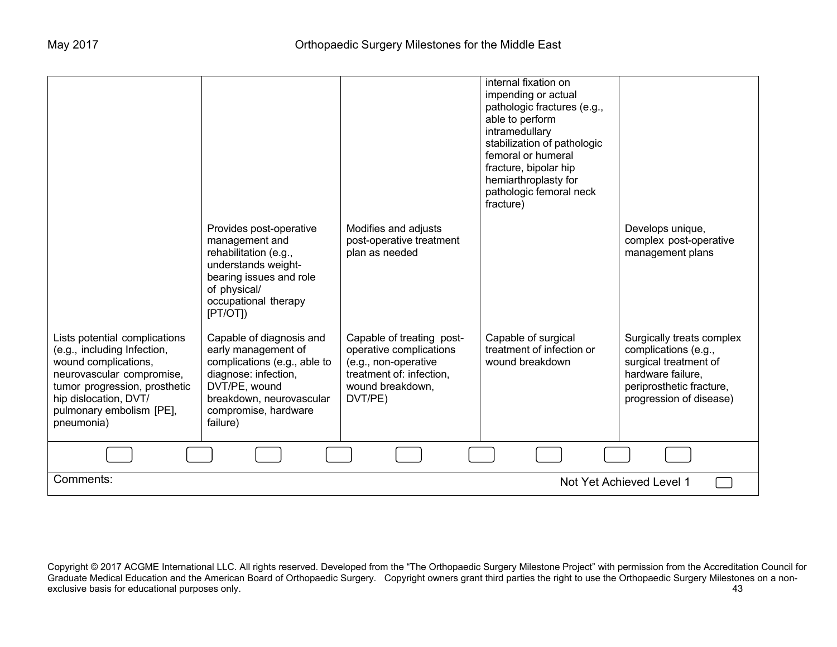|                                                                                                                                                                                                                       |                                                                                                                                                                                          |                                                                                                                                         | internal fixation on<br>impending or actual<br>pathologic fractures (e.g.,<br>able to perform<br>intramedullary<br>stabilization of pathologic<br>femoral or humeral<br>fracture, bipolar hip<br>hemiarthroplasty for<br>pathologic femoral neck<br>fracture) |                                                                                                                                                        |
|-----------------------------------------------------------------------------------------------------------------------------------------------------------------------------------------------------------------------|------------------------------------------------------------------------------------------------------------------------------------------------------------------------------------------|-----------------------------------------------------------------------------------------------------------------------------------------|---------------------------------------------------------------------------------------------------------------------------------------------------------------------------------------------------------------------------------------------------------------|--------------------------------------------------------------------------------------------------------------------------------------------------------|
|                                                                                                                                                                                                                       | Provides post-operative<br>management and<br>rehabilitation (e.g.,<br>understands weight-<br>bearing issues and role<br>of physical/<br>occupational therapy<br>[PT/OT]                  | Modifies and adjusts<br>post-operative treatment<br>plan as needed                                                                      |                                                                                                                                                                                                                                                               | Develops unique,<br>complex post-operative<br>management plans                                                                                         |
| Lists potential complications<br>(e.g., including Infection,<br>wound complications,<br>neurovascular compromise,<br>tumor progression, prosthetic<br>hip dislocation, DVT/<br>pulmonary embolism [PE],<br>pneumonia) | Capable of diagnosis and<br>early management of<br>complications (e.g., able to<br>diagnose: infection,<br>DVT/PE, wound<br>breakdown, neurovascular<br>compromise, hardware<br>failure) | Capable of treating post-<br>operative complications<br>(e.g., non-operative<br>treatment of: infection,<br>wound breakdown,<br>DVT/PE) | Capable of surgical<br>treatment of infection or<br>wound breakdown                                                                                                                                                                                           | Surgically treats complex<br>complications (e.g.,<br>surgical treatment of<br>hardware failure,<br>periprosthetic fracture,<br>progression of disease) |
|                                                                                                                                                                                                                       |                                                                                                                                                                                          |                                                                                                                                         |                                                                                                                                                                                                                                                               |                                                                                                                                                        |
| Comments:<br>Not Yet Achieved Level 1                                                                                                                                                                                 |                                                                                                                                                                                          |                                                                                                                                         |                                                                                                                                                                                                                                                               |                                                                                                                                                        |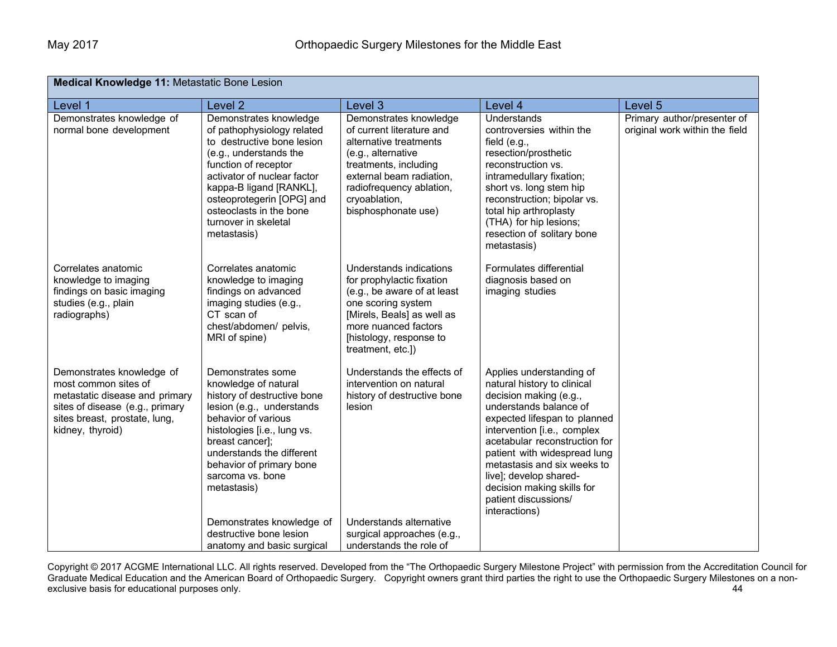| Medical Knowledge 11: Metastatic Bone Lesion                                                                                                                                |                                                                                                                                                                                                                                                                                                                                                                  |                                                                                                                                                                                                                              |                                                                                                                                                                                                                                                                                                                                                                             |                                                               |  |
|-----------------------------------------------------------------------------------------------------------------------------------------------------------------------------|------------------------------------------------------------------------------------------------------------------------------------------------------------------------------------------------------------------------------------------------------------------------------------------------------------------------------------------------------------------|------------------------------------------------------------------------------------------------------------------------------------------------------------------------------------------------------------------------------|-----------------------------------------------------------------------------------------------------------------------------------------------------------------------------------------------------------------------------------------------------------------------------------------------------------------------------------------------------------------------------|---------------------------------------------------------------|--|
| Level 1                                                                                                                                                                     | Level <sub>2</sub>                                                                                                                                                                                                                                                                                                                                               | Level 3                                                                                                                                                                                                                      | Level 4                                                                                                                                                                                                                                                                                                                                                                     | Level 5                                                       |  |
| Demonstrates knowledge of<br>normal bone development                                                                                                                        | Demonstrates knowledge<br>of pathophysiology related<br>to destructive bone lesion<br>(e.g., understands the<br>function of receptor<br>activator of nuclear factor<br>kappa-B ligand [RANKL],<br>osteoprotegerin [OPG] and<br>osteoclasts in the bone<br>turnover in skeletal<br>metastasis)                                                                    | Demonstrates knowledge<br>of current literature and<br>alternative treatments<br>(e.g., alternative<br>treatments, including<br>external beam radiation,<br>radiofrequency ablation,<br>cryoablation,<br>bisphosphonate use) | Understands<br>controversies within the<br>field (e.g.,<br>resection/prosthetic<br>reconstruction vs.<br>intramedullary fixation;<br>short vs. long stem hip<br>reconstruction; bipolar vs.<br>total hip arthroplasty<br>(THA) for hip lesions;<br>resection of solitary bone<br>metastasis)                                                                                | Primary author/presenter of<br>original work within the field |  |
| Correlates anatomic<br>knowledge to imaging<br>findings on basic imaging<br>studies (e.g., plain<br>radiographs)                                                            | Correlates anatomic<br>knowledge to imaging<br>findings on advanced<br>imaging studies (e.g.,<br>CT scan of<br>chest/abdomen/ pelvis,<br>MRI of spine)                                                                                                                                                                                                           | Understands indications<br>for prophylactic fixation<br>(e.g., be aware of at least<br>one scoring system<br>[Mirels, Beals] as well as<br>more nuanced factors<br>[histology, response to<br>treatment, etc.])              | Formulates differential<br>diagnosis based on<br>imaging studies                                                                                                                                                                                                                                                                                                            |                                                               |  |
| Demonstrates knowledge of<br>most common sites of<br>metastatic disease and primary<br>sites of disease (e.g., primary<br>sites breast, prostate, lung,<br>kidney, thyroid) | Demonstrates some<br>knowledge of natural<br>history of destructive bone<br>lesion (e.g., understands<br>behavior of various<br>histologies [i.e., lung vs.<br>breast cancer];<br>understands the different<br>behavior of primary bone<br>sarcoma vs. bone<br>metastasis)<br>Demonstrates knowledge of<br>destructive bone lesion<br>anatomy and basic surgical | Understands the effects of<br>intervention on natural<br>history of destructive bone<br>lesion<br>Understands alternative<br>surgical approaches (e.g.,<br>understands the role of                                           | Applies understanding of<br>natural history to clinical<br>decision making (e.g.,<br>understands balance of<br>expected lifespan to planned<br>intervention [i.e., complex<br>acetabular reconstruction for<br>patient with widespread lung<br>metastasis and six weeks to<br>live]; develop shared-<br>decision making skills for<br>patient discussions/<br>interactions) |                                                               |  |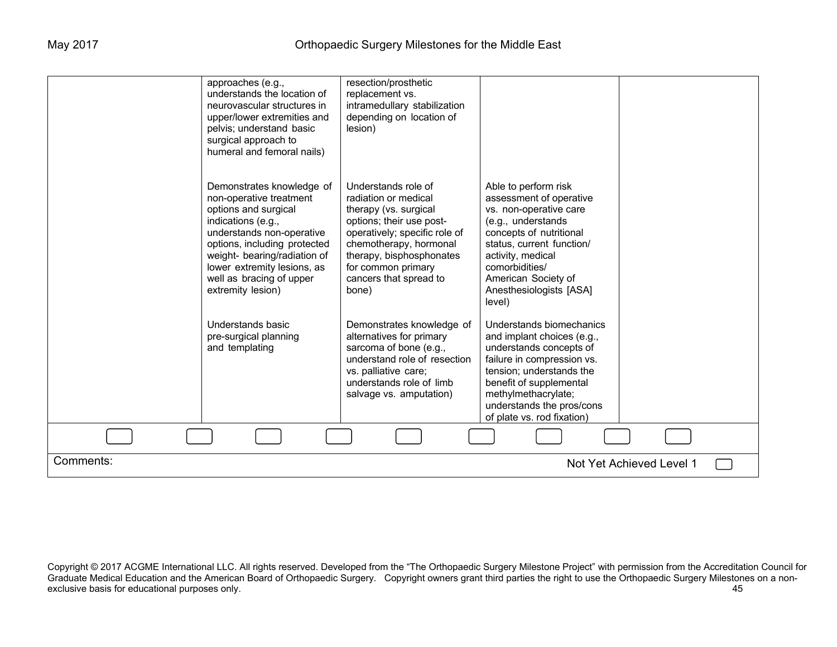|           | approaches (e.g.,<br>understands the location of<br>neurovascular structures in<br>upper/lower extremities and<br>pelvis; understand basic<br>surgical approach to<br>humeral and femoral nails)                                                                                | resection/prosthetic<br>replacement vs.<br>intramedullary stabilization<br>depending on location of<br>lesion)                                                                                                                                   |                                                                                                                                                                                                                                                            |                          |  |
|-----------|---------------------------------------------------------------------------------------------------------------------------------------------------------------------------------------------------------------------------------------------------------------------------------|--------------------------------------------------------------------------------------------------------------------------------------------------------------------------------------------------------------------------------------------------|------------------------------------------------------------------------------------------------------------------------------------------------------------------------------------------------------------------------------------------------------------|--------------------------|--|
|           | Demonstrates knowledge of<br>non-operative treatment<br>options and surgical<br>indications (e.g.,<br>understands non-operative<br>options, including protected<br>weight- bearing/radiation of<br>lower extremity lesions, as<br>well as bracing of upper<br>extremity lesion) | Understands role of<br>radiation or medical<br>therapy (vs. surgical<br>options; their use post-<br>operatively; specific role of<br>chemotherapy, hormonal<br>therapy, bisphosphonates<br>for common primary<br>cancers that spread to<br>bone) | Able to perform risk<br>assessment of operative<br>vs. non-operative care<br>(e.g., understands<br>concepts of nutritional<br>status, current function/<br>activity, medical<br>comorbidities/<br>American Society of<br>Anesthesiologists [ASA]<br>level) |                          |  |
|           | Understands basic<br>pre-surgical planning<br>and templating                                                                                                                                                                                                                    | Demonstrates knowledge of<br>alternatives for primary<br>sarcoma of bone (e.g.,<br>understand role of resection<br>vs. palliative care;<br>understands role of limb<br>salvage vs. amputation)                                                   | Understands biomechanics<br>and implant choices (e.g.,<br>understands concepts of<br>failure in compression vs.<br>tension: understands the<br>benefit of supplemental<br>methylmethacrylate;<br>understands the pros/cons<br>of plate vs. rod fixation)   |                          |  |
|           |                                                                                                                                                                                                                                                                                 |                                                                                                                                                                                                                                                  |                                                                                                                                                                                                                                                            |                          |  |
| Comments: |                                                                                                                                                                                                                                                                                 |                                                                                                                                                                                                                                                  |                                                                                                                                                                                                                                                            | Not Yet Achieved Level 1 |  |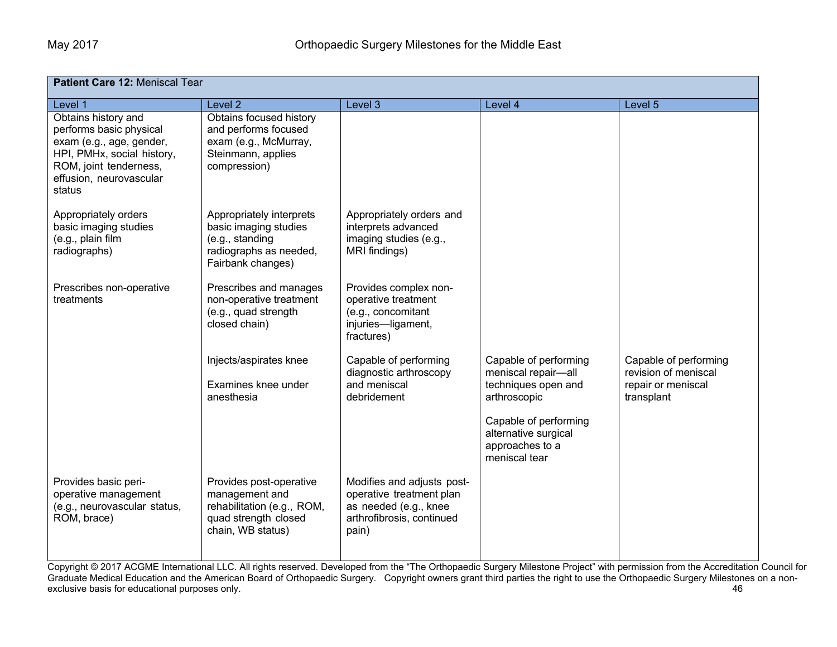| Patient Care 12: Meniscal Tear                                                                                                                                          |                                                                                                                      |                                                                                                                       |                                                                                                                                                                          |                                                                                   |
|-------------------------------------------------------------------------------------------------------------------------------------------------------------------------|----------------------------------------------------------------------------------------------------------------------|-----------------------------------------------------------------------------------------------------------------------|--------------------------------------------------------------------------------------------------------------------------------------------------------------------------|-----------------------------------------------------------------------------------|
| Level 1                                                                                                                                                                 | Level <sub>2</sub>                                                                                                   | Level 3                                                                                                               | Level 4                                                                                                                                                                  | Level 5                                                                           |
| Obtains history and<br>performs basic physical<br>exam (e.g., age, gender,<br>HPI, PMHx, social history,<br>ROM, joint tenderness,<br>effusion, neurovascular<br>status | Obtains focused history<br>and performs focused<br>exam (e.g., McMurray,<br>Steinmann, applies<br>compression)       |                                                                                                                       |                                                                                                                                                                          |                                                                                   |
| Appropriately orders<br>basic imaging studies<br>(e.g., plain film<br>radiographs)                                                                                      | Appropriately interprets<br>basic imaging studies<br>(e.g., standing<br>radiographs as needed,<br>Fairbank changes)  | Appropriately orders and<br>interprets advanced<br>imaging studies (e.g.,<br>MRI findings)                            |                                                                                                                                                                          |                                                                                   |
| Prescribes non-operative<br>treatments                                                                                                                                  | Prescribes and manages<br>non-operative treatment<br>(e.g., quad strength<br>closed chain)                           | Provides complex non-<br>operative treatment<br>(e.g., concomitant<br>injuries-ligament,<br>fractures)                |                                                                                                                                                                          |                                                                                   |
|                                                                                                                                                                         | Injects/aspirates knee<br>Examines knee under<br>anesthesia                                                          | Capable of performing<br>diagnostic arthroscopy<br>and meniscal<br>debridement                                        | Capable of performing<br>meniscal repair-all<br>techniques open and<br>arthroscopic<br>Capable of performing<br>alternative surgical<br>approaches to a<br>meniscal tear | Capable of performing<br>revision of meniscal<br>repair or meniscal<br>transplant |
| Provides basic peri-<br>operative management<br>(e.g., neurovascular status,<br>ROM, brace)                                                                             | Provides post-operative<br>management and<br>rehabilitation (e.g., ROM,<br>quad strength closed<br>chain, WB status) | Modifies and adjusts post-<br>operative treatment plan<br>as needed (e.g., knee<br>arthrofibrosis, continued<br>pain) |                                                                                                                                                                          |                                                                                   |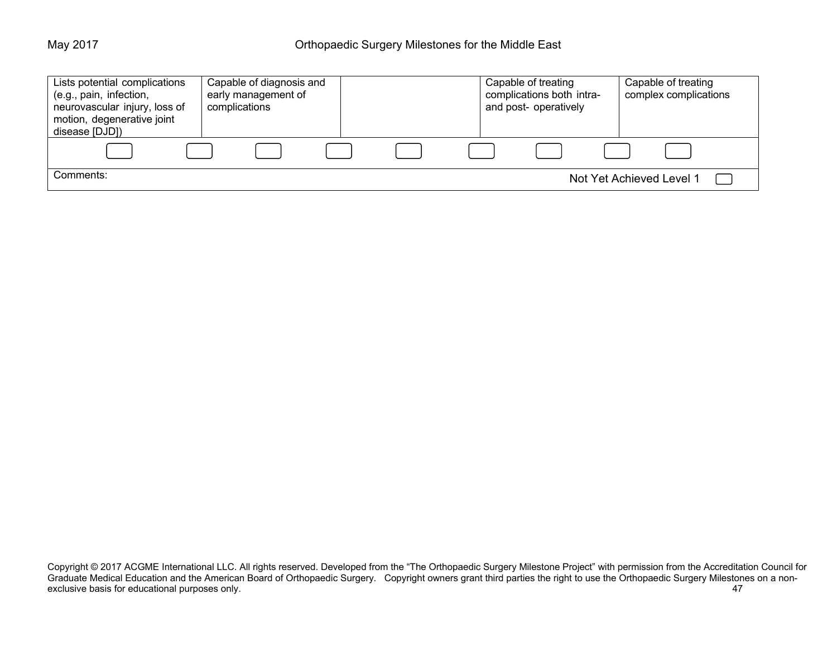| Lists potential complications<br>(e.g., pain, infection,<br>neurovascular injury, loss of<br>motion, degenerative joint<br>disease [DJD]) | Capable of diagnosis and<br>early management of<br>complications | Capable of treating<br>complications both intra-<br>and post- operatively | Capable of treating<br>complex complications |
|-------------------------------------------------------------------------------------------------------------------------------------------|------------------------------------------------------------------|---------------------------------------------------------------------------|----------------------------------------------|
|                                                                                                                                           |                                                                  |                                                                           |                                              |
| Comments:                                                                                                                                 |                                                                  |                                                                           | Not Yet Achieved Level 1                     |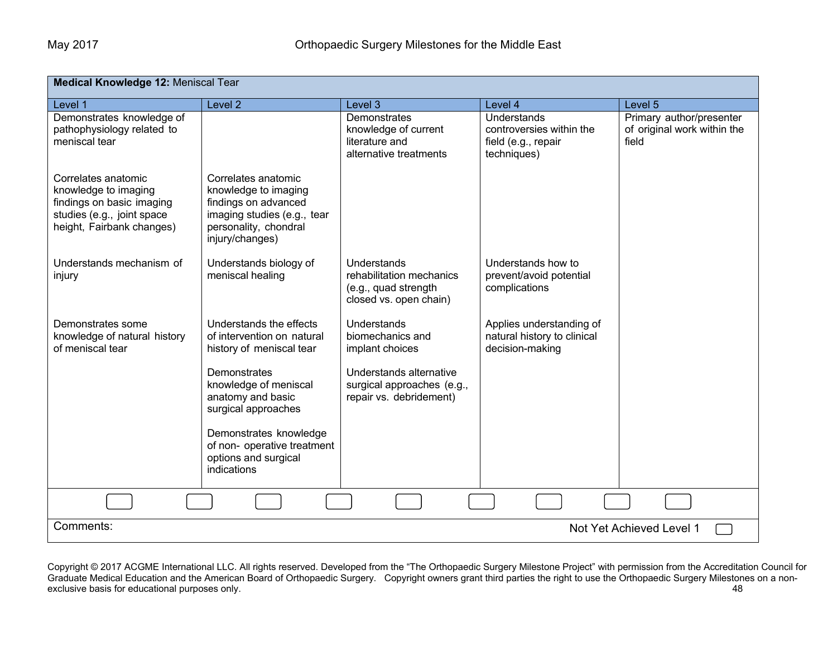| <b>Medical Knowledge 12: Meniscal Tear</b>                                                                                          |                                                                                                                                                |                                                                                           |                                                                                      |                                                                  |
|-------------------------------------------------------------------------------------------------------------------------------------|------------------------------------------------------------------------------------------------------------------------------------------------|-------------------------------------------------------------------------------------------|--------------------------------------------------------------------------------------|------------------------------------------------------------------|
| Level 1                                                                                                                             | Level <sub>2</sub>                                                                                                                             | Level 3                                                                                   | Level 4                                                                              | Level 5                                                          |
| Demonstrates knowledge of<br>pathophysiology related to<br>meniscal tear                                                            |                                                                                                                                                | Demonstrates<br>knowledge of current<br>literature and<br>alternative treatments          | <b>Understands</b><br>controversies within the<br>field (e.g., repair<br>techniques) | Primary author/presenter<br>of original work within the<br>field |
| Correlates anatomic<br>knowledge to imaging<br>findings on basic imaging<br>studies (e.g., joint space<br>height, Fairbank changes) | Correlates anatomic<br>knowledge to imaging<br>findings on advanced<br>imaging studies (e.g., tear<br>personality, chondral<br>injury/changes) |                                                                                           |                                                                                      |                                                                  |
| Understands mechanism of<br>injury                                                                                                  | Understands biology of<br>meniscal healing                                                                                                     | Understands<br>rehabilitation mechanics<br>(e.g., quad strength<br>closed vs. open chain) | Understands how to<br>prevent/avoid potential<br>complications                       |                                                                  |
| Demonstrates some<br>knowledge of natural history<br>of meniscal tear                                                               | Understands the effects<br>of intervention on natural<br>history of meniscal tear                                                              | Understands<br>biomechanics and<br>implant choices                                        | Applies understanding of<br>natural history to clinical<br>decision-making           |                                                                  |
|                                                                                                                                     | Demonstrates<br>knowledge of meniscal<br>anatomy and basic<br>surgical approaches                                                              | Understands alternative<br>surgical approaches (e.g.,<br>repair vs. debridement)          |                                                                                      |                                                                  |
|                                                                                                                                     | Demonstrates knowledge<br>of non- operative treatment<br>options and surgical<br>indications                                                   |                                                                                           |                                                                                      |                                                                  |
|                                                                                                                                     |                                                                                                                                                |                                                                                           |                                                                                      |                                                                  |
| Comments:                                                                                                                           |                                                                                                                                                |                                                                                           |                                                                                      | Not Yet Achieved Level 1                                         |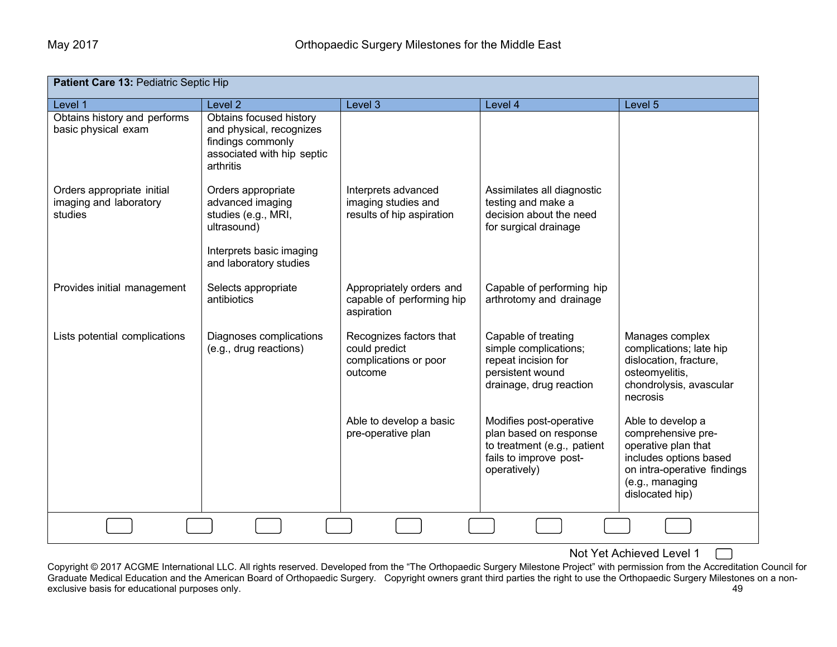| Patient Care 13: Pediatric Septic Hip                           |                                                                                                                                    |                                                                              |                                                                                                                            |                                                                                                                                                               |
|-----------------------------------------------------------------|------------------------------------------------------------------------------------------------------------------------------------|------------------------------------------------------------------------------|----------------------------------------------------------------------------------------------------------------------------|---------------------------------------------------------------------------------------------------------------------------------------------------------------|
| Level 1                                                         | Level <sub>2</sub>                                                                                                                 | Level 3                                                                      | Level 4                                                                                                                    | Level 5                                                                                                                                                       |
| Obtains history and performs<br>basic physical exam             | Obtains focused history<br>and physical, recognizes<br>findings commonly<br>associated with hip septic<br>arthritis                |                                                                              |                                                                                                                            |                                                                                                                                                               |
| Orders appropriate initial<br>imaging and laboratory<br>studies | Orders appropriate<br>advanced imaging<br>studies (e.g., MRI,<br>ultrasound)<br>Interprets basic imaging<br>and laboratory studies | Interprets advanced<br>imaging studies and<br>results of hip aspiration      | Assimilates all diagnostic<br>testing and make a<br>decision about the need<br>for surgical drainage                       |                                                                                                                                                               |
| Provides initial management                                     | Selects appropriate<br>antibiotics                                                                                                 | Appropriately orders and<br>capable of performing hip<br>aspiration          | Capable of performing hip<br>arthrotomy and drainage                                                                       |                                                                                                                                                               |
| Lists potential complications                                   | Diagnoses complications<br>(e.g., drug reactions)                                                                                  | Recognizes factors that<br>could predict<br>complications or poor<br>outcome | Capable of treating<br>simple complications;<br>repeat incision for<br>persistent wound<br>drainage, drug reaction         | Manages complex<br>complications; late hip<br>dislocation, fracture,<br>osteomyelitis,<br>chondrolysis, avascular<br>necrosis                                 |
|                                                                 |                                                                                                                                    | Able to develop a basic<br>pre-operative plan                                | Modifies post-operative<br>plan based on response<br>to treatment (e.g., patient<br>fails to improve post-<br>operatively) | Able to develop a<br>comprehensive pre-<br>operative plan that<br>includes options based<br>on intra-operative findings<br>(e.g., managing<br>dislocated hip) |
|                                                                 |                                                                                                                                    |                                                                              |                                                                                                                            |                                                                                                                                                               |

Not Yet Achieved Level 1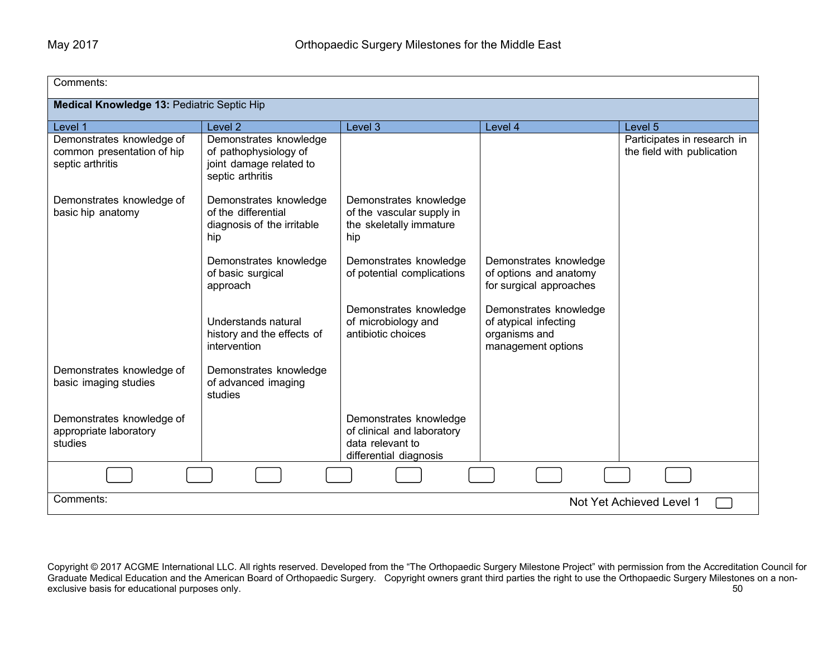| Comments:                                                                   |                                                                                                |                                                                                                    |                                                                                        |                                                           |
|-----------------------------------------------------------------------------|------------------------------------------------------------------------------------------------|----------------------------------------------------------------------------------------------------|----------------------------------------------------------------------------------------|-----------------------------------------------------------|
| Medical Knowledge 13: Pediatric Septic Hip                                  |                                                                                                |                                                                                                    |                                                                                        |                                                           |
| Level 1                                                                     | Level <sub>2</sub>                                                                             | Level 3                                                                                            | Level 4                                                                                | Level 5                                                   |
| Demonstrates knowledge of<br>common presentation of hip<br>septic arthritis | Demonstrates knowledge<br>of pathophysiology of<br>joint damage related to<br>septic arthritis |                                                                                                    |                                                                                        | Participates in research in<br>the field with publication |
| Demonstrates knowledge of<br>basic hip anatomy                              | Demonstrates knowledge<br>of the differential<br>diagnosis of the irritable<br>hip             | Demonstrates knowledge<br>of the vascular supply in<br>the skeletally immature<br>hip              |                                                                                        |                                                           |
|                                                                             | Demonstrates knowledge<br>of basic surgical<br>approach                                        | Demonstrates knowledge<br>of potential complications                                               | Demonstrates knowledge<br>of options and anatomy<br>for surgical approaches            |                                                           |
|                                                                             | Understands natural<br>history and the effects of<br>intervention                              | Demonstrates knowledge<br>of microbiology and<br>antibiotic choices                                | Demonstrates knowledge<br>of atypical infecting<br>organisms and<br>management options |                                                           |
| Demonstrates knowledge of<br>basic imaging studies                          | Demonstrates knowledge<br>of advanced imaging<br>studies                                       |                                                                                                    |                                                                                        |                                                           |
| Demonstrates knowledge of<br>appropriate laboratory<br>studies              |                                                                                                | Demonstrates knowledge<br>of clinical and laboratory<br>data relevant to<br>differential diagnosis |                                                                                        |                                                           |
|                                                                             |                                                                                                |                                                                                                    |                                                                                        |                                                           |
| Comments:<br>Not Yet Achieved Level 1                                       |                                                                                                |                                                                                                    |                                                                                        |                                                           |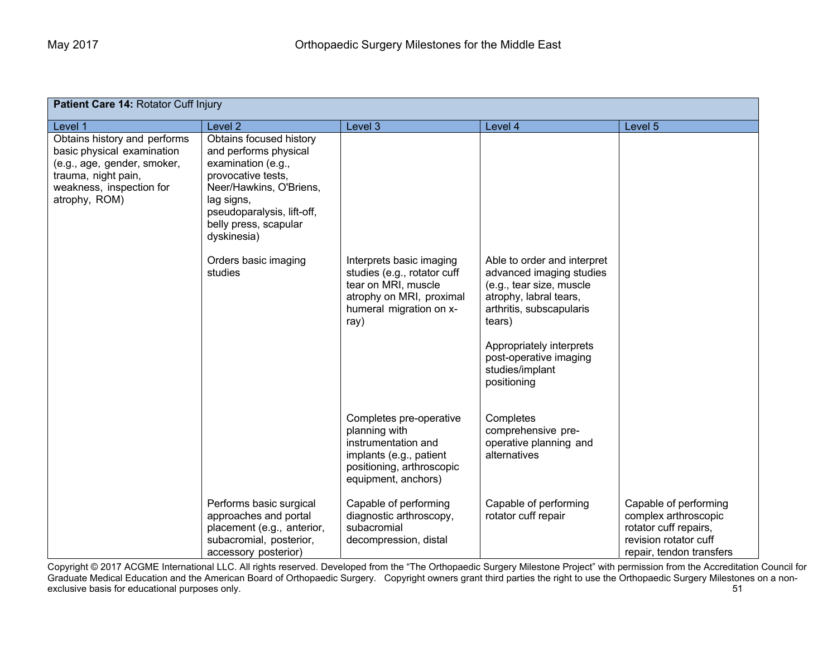| <b>Patient Care 14: Rotator Cuff Injury</b>                                                                                                                   |                                                                                                                                                                                                             |                                                                                                                                                |                                                                                                                                                                                                                                             |                                                                                                                             |  |
|---------------------------------------------------------------------------------------------------------------------------------------------------------------|-------------------------------------------------------------------------------------------------------------------------------------------------------------------------------------------------------------|------------------------------------------------------------------------------------------------------------------------------------------------|---------------------------------------------------------------------------------------------------------------------------------------------------------------------------------------------------------------------------------------------|-----------------------------------------------------------------------------------------------------------------------------|--|
| Level 1                                                                                                                                                       | Level <sub>2</sub>                                                                                                                                                                                          | Level 3                                                                                                                                        | Level 4                                                                                                                                                                                                                                     | Level 5                                                                                                                     |  |
| Obtains history and performs<br>basic physical examination<br>(e.g., age, gender, smoker,<br>trauma, night pain,<br>weakness, inspection for<br>atrophy, ROM) | Obtains focused history<br>and performs physical<br>examination (e.g.,<br>provocative tests,<br>Neer/Hawkins, O'Briens,<br>lag signs,<br>pseudoparalysis, lift-off,<br>belly press, scapular<br>dyskinesia) |                                                                                                                                                |                                                                                                                                                                                                                                             |                                                                                                                             |  |
|                                                                                                                                                               | Orders basic imaging<br>studies                                                                                                                                                                             | Interprets basic imaging<br>studies (e.g., rotator cuff<br>tear on MRI, muscle<br>atrophy on MRI, proximal<br>humeral migration on x-<br>ray)  | Able to order and interpret<br>advanced imaging studies<br>(e.g., tear size, muscle<br>atrophy, labral tears,<br>arthritis, subscapularis<br>tears)<br>Appropriately interprets<br>post-operative imaging<br>studies/implant<br>positioning |                                                                                                                             |  |
|                                                                                                                                                               |                                                                                                                                                                                                             | Completes pre-operative<br>planning with<br>instrumentation and<br>implants (e.g., patient<br>positioning, arthroscopic<br>equipment, anchors) | Completes<br>comprehensive pre-<br>operative planning and<br>alternatives                                                                                                                                                                   |                                                                                                                             |  |
|                                                                                                                                                               | Performs basic surgical<br>approaches and portal<br>placement (e.g., anterior,<br>subacromial, posterior,<br>accessory posterior)                                                                           | Capable of performing<br>diagnostic arthroscopy,<br>subacromial<br>decompression, distal                                                       | Capable of performing<br>rotator cuff repair                                                                                                                                                                                                | Capable of performing<br>complex arthroscopic<br>rotator cuff repairs,<br>revision rotator cuff<br>repair, tendon transfers |  |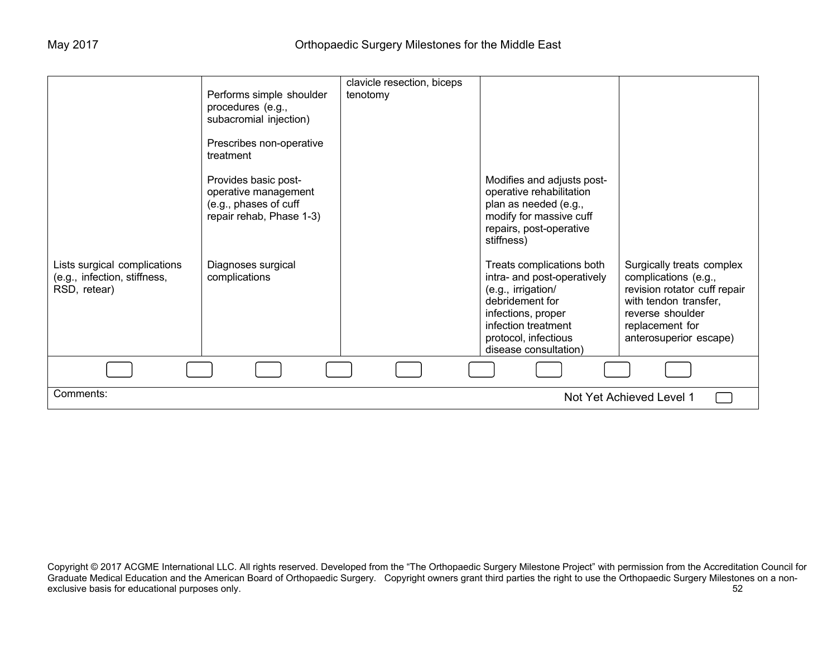|                                                                              | Performs simple shoulder<br>procedures (e.g.,<br>subacromial injection)<br>Prescribes non-operative            | clavicle resection, biceps<br>tenotomy |                                                                                                                                                                                                 |                                                                                                                                                                             |
|------------------------------------------------------------------------------|----------------------------------------------------------------------------------------------------------------|----------------------------------------|-------------------------------------------------------------------------------------------------------------------------------------------------------------------------------------------------|-----------------------------------------------------------------------------------------------------------------------------------------------------------------------------|
|                                                                              | treatment<br>Provides basic post-<br>operative management<br>(e.g., phases of cuff<br>repair rehab, Phase 1-3) |                                        | Modifies and adjusts post-<br>operative rehabilitation<br>plan as needed (e.g.,<br>modify for massive cuff<br>repairs, post-operative<br>stiffness)                                             |                                                                                                                                                                             |
| Lists surgical complications<br>(e.g., infection, stiffness,<br>RSD, retear) | Diagnoses surgical<br>complications                                                                            |                                        | Treats complications both<br>intra- and post-operatively<br>(e.g., irrigation/<br>debridement for<br>infections, proper<br>infection treatment<br>protocol, infectious<br>disease consultation) | Surgically treats complex<br>complications (e.g.,<br>revision rotator cuff repair<br>with tendon transfer,<br>reverse shoulder<br>replacement for<br>anterosuperior escape) |
|                                                                              |                                                                                                                |                                        |                                                                                                                                                                                                 |                                                                                                                                                                             |
| Comments:                                                                    |                                                                                                                |                                        |                                                                                                                                                                                                 | Not Yet Achieved Level 1                                                                                                                                                    |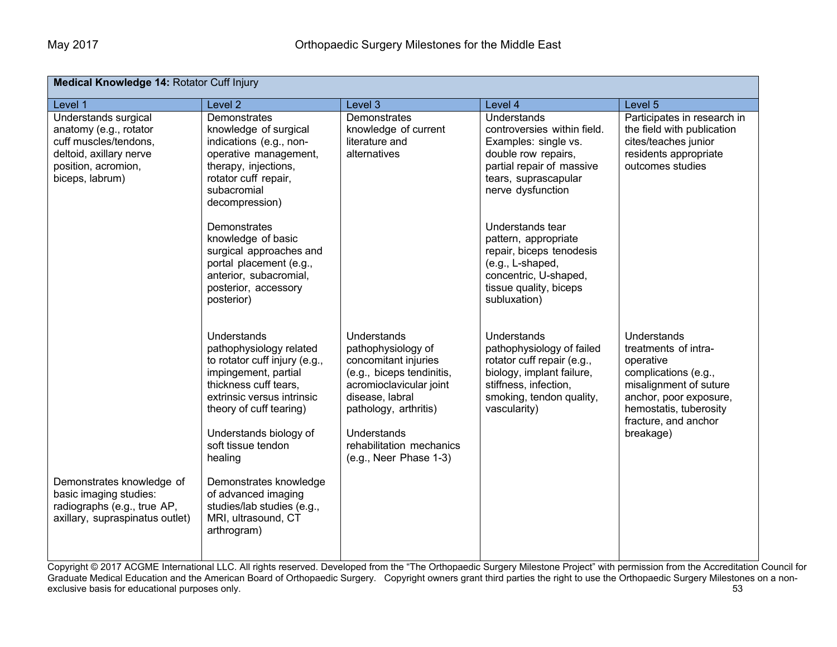| Medical Knowledge 14: Rotator Cuff Injury                                                                                                    |                                                                                                                                                                                                                                              |                                                                                                                                                                                                                                    |                                                                                                                                                                          |                                                                                                                                                                                             |  |
|----------------------------------------------------------------------------------------------------------------------------------------------|----------------------------------------------------------------------------------------------------------------------------------------------------------------------------------------------------------------------------------------------|------------------------------------------------------------------------------------------------------------------------------------------------------------------------------------------------------------------------------------|--------------------------------------------------------------------------------------------------------------------------------------------------------------------------|---------------------------------------------------------------------------------------------------------------------------------------------------------------------------------------------|--|
| Level 1                                                                                                                                      | Level <sub>2</sub>                                                                                                                                                                                                                           | Level 3                                                                                                                                                                                                                            | Level 4                                                                                                                                                                  | Level 5                                                                                                                                                                                     |  |
| Understands surgical<br>anatomy (e.g., rotator<br>cuff muscles/tendons,<br>deltoid, axillary nerve<br>position, acromion,<br>biceps, labrum) | Demonstrates<br>knowledge of surgical<br>indications (e.g., non-<br>operative management,<br>therapy, injections,<br>rotator cuff repair,<br>subacromial<br>decompression)                                                                   | Demonstrates<br>knowledge of current<br>literature and<br>alternatives                                                                                                                                                             | Understands<br>controversies within field.<br>Examples: single vs.<br>double row repairs,<br>partial repair of massive<br>tears, suprascapular<br>nerve dysfunction      | Participates in research in<br>the field with publication<br>cites/teaches junior<br>residents appropriate<br>outcomes studies                                                              |  |
|                                                                                                                                              | Demonstrates<br>knowledge of basic<br>surgical approaches and<br>portal placement (e.g.,<br>anterior, subacromial,<br>posterior, accessory<br>posterior)                                                                                     |                                                                                                                                                                                                                                    | Understands tear<br>pattern, appropriate<br>repair, biceps tenodesis<br>(e.g., L-shaped,<br>concentric, U-shaped,<br>tissue quality, biceps<br>subluxation)              |                                                                                                                                                                                             |  |
|                                                                                                                                              | Understands<br>pathophysiology related<br>to rotator cuff injury (e.g.,<br>impingement, partial<br>thickness cuff tears,<br>extrinsic versus intrinsic<br>theory of cuff tearing)<br>Understands biology of<br>soft tissue tendon<br>healing | Understands<br>pathophysiology of<br>concomitant injuries<br>(e.g., biceps tendinitis,<br>acromioclavicular joint<br>disease, labral<br>pathology, arthritis)<br>Understands<br>rehabilitation mechanics<br>(e.g., Neer Phase 1-3) | Understands<br>pathophysiology of failed<br>rotator cuff repair (e.g.,<br>biology, implant failure,<br>stiffness, infection,<br>smoking, tendon quality,<br>vascularity) | Understands<br>treatments of intra-<br>operative<br>complications (e.g.,<br>misalignment of suture<br>anchor, poor exposure,<br>hemostatis, tuberosity<br>fracture, and anchor<br>breakage) |  |
| Demonstrates knowledge of<br>basic imaging studies:<br>radiographs (e.g., true AP,<br>axillary, supraspinatus outlet)                        | Demonstrates knowledge<br>of advanced imaging<br>studies/lab studies (e.g.,<br>MRI, ultrasound, CT<br>arthrogram)                                                                                                                            |                                                                                                                                                                                                                                    |                                                                                                                                                                          |                                                                                                                                                                                             |  |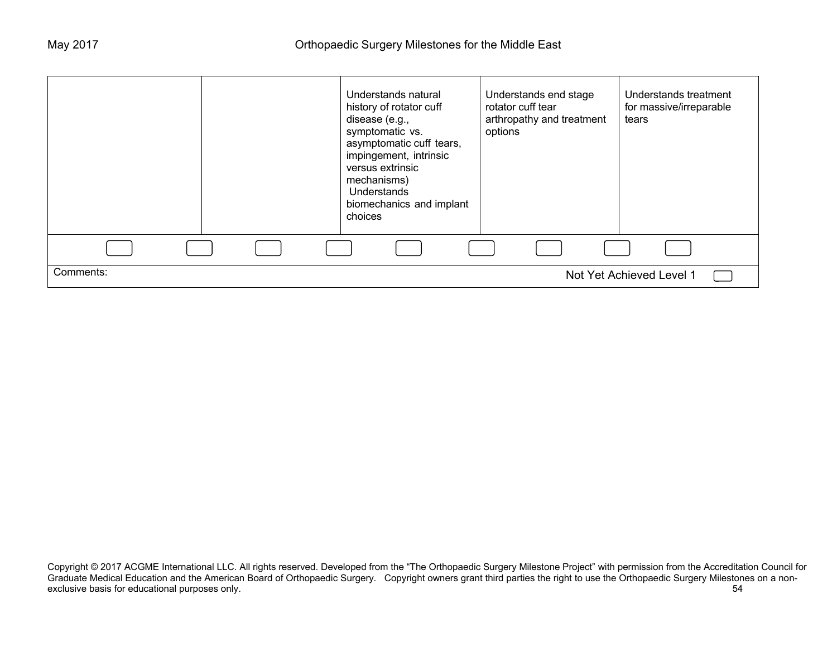|           | Understands natural<br>history of rotator cuff<br>disease (e.g.,<br>symptomatic vs.<br>asymptomatic cuff tears,<br>impingement, intrinsic<br>versus extrinsic<br>mechanisms)<br>Understands<br>biomechanics and implant<br>choices | Understands end stage<br>rotator cuff tear<br>arthropathy and treatment<br>options | Understands treatment<br>for massive/irreparable<br>tears |
|-----------|------------------------------------------------------------------------------------------------------------------------------------------------------------------------------------------------------------------------------------|------------------------------------------------------------------------------------|-----------------------------------------------------------|
|           |                                                                                                                                                                                                                                    |                                                                                    |                                                           |
| Comments: |                                                                                                                                                                                                                                    |                                                                                    | Not Yet Achieved Level 1                                  |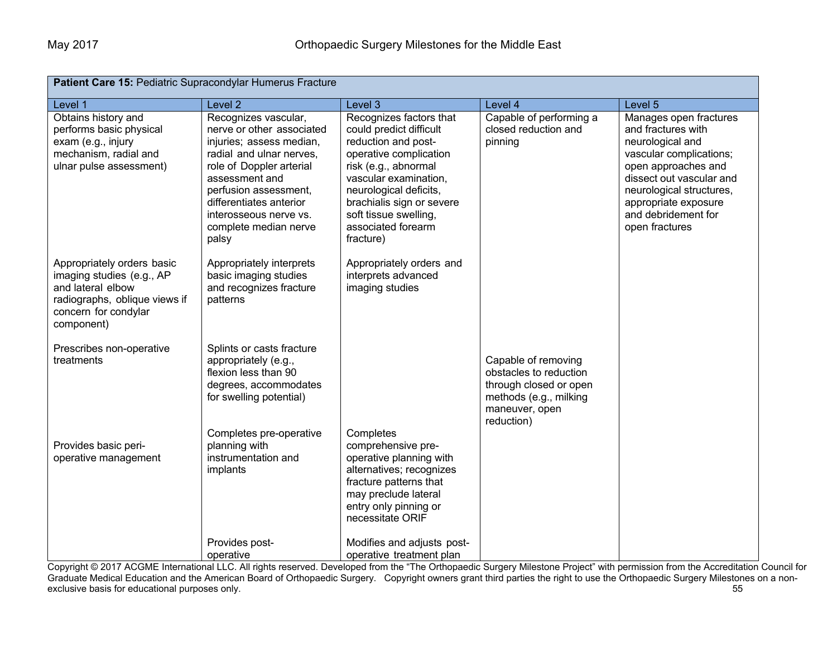| Patient Care 15: Pediatric Supracondylar Humerus Fracture                                                                                           |                                                                                                                                                                                                                                                                         |                                                                                                                                                                                                                                                                         |                                                                                                                                   |                                                                                                                                                                                                                                             |
|-----------------------------------------------------------------------------------------------------------------------------------------------------|-------------------------------------------------------------------------------------------------------------------------------------------------------------------------------------------------------------------------------------------------------------------------|-------------------------------------------------------------------------------------------------------------------------------------------------------------------------------------------------------------------------------------------------------------------------|-----------------------------------------------------------------------------------------------------------------------------------|---------------------------------------------------------------------------------------------------------------------------------------------------------------------------------------------------------------------------------------------|
| Level 1                                                                                                                                             | Level 2                                                                                                                                                                                                                                                                 | Level 3                                                                                                                                                                                                                                                                 | Level 4                                                                                                                           | Level 5                                                                                                                                                                                                                                     |
| Obtains history and<br>performs basic physical<br>exam (e.g., injury<br>mechanism, radial and<br>ulnar pulse assessment)                            | Recognizes vascular,<br>nerve or other associated<br>injuries; assess median,<br>radial and ulnar nerves,<br>role of Doppler arterial<br>assessment and<br>perfusion assessment,<br>differentiates anterior<br>interosseous nerve vs.<br>complete median nerve<br>palsy | Recognizes factors that<br>could predict difficult<br>reduction and post-<br>operative complication<br>risk (e.g., abnormal<br>vascular examination,<br>neurological deficits,<br>brachialis sign or severe<br>soft tissue swelling,<br>associated forearm<br>fracture) | Capable of performing a<br>closed reduction and<br>pinning                                                                        | Manages open fractures<br>and fractures with<br>neurological and<br>vascular complications;<br>open approaches and<br>dissect out vascular and<br>neurological structures,<br>appropriate exposure<br>and debridement for<br>open fractures |
| Appropriately orders basic<br>imaging studies (e.g., AP<br>and lateral elbow<br>radiographs, oblique views if<br>concern for condylar<br>component) | Appropriately interprets<br>basic imaging studies<br>and recognizes fracture<br>patterns                                                                                                                                                                                | Appropriately orders and<br>interprets advanced<br>imaging studies                                                                                                                                                                                                      |                                                                                                                                   |                                                                                                                                                                                                                                             |
| Prescribes non-operative<br>treatments                                                                                                              | Splints or casts fracture<br>appropriately (e.g.,<br>flexion less than 90<br>degrees, accommodates<br>for swelling potential)<br>Completes pre-operative                                                                                                                | Completes                                                                                                                                                                                                                                                               | Capable of removing<br>obstacles to reduction<br>through closed or open<br>methods (e.g., milking<br>maneuver, open<br>reduction) |                                                                                                                                                                                                                                             |
| Provides basic peri-<br>operative management                                                                                                        | planning with<br>instrumentation and<br>implants                                                                                                                                                                                                                        | comprehensive pre-<br>operative planning with<br>alternatives; recognizes<br>fracture patterns that<br>may preclude lateral<br>entry only pinning or<br>necessitate ORIF                                                                                                |                                                                                                                                   |                                                                                                                                                                                                                                             |
|                                                                                                                                                     | Provides post-<br>operative                                                                                                                                                                                                                                             | Modifies and adjusts post-<br>operative treatment plan                                                                                                                                                                                                                  |                                                                                                                                   |                                                                                                                                                                                                                                             |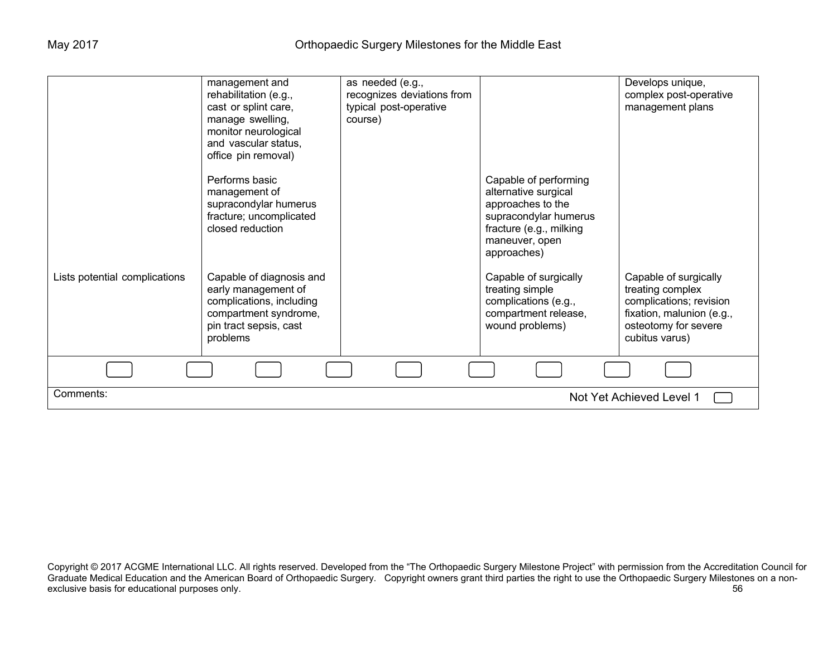|                                       | management and<br>rehabilitation (e.g.,<br>cast or splint care,<br>manage swelling,<br>monitor neurological<br>and vascular status,<br>office pin removal) | as needed (e.g.,<br>recognizes deviations from<br>typical post-operative<br>course) |                                                                                                                                                         | Develops unique,<br>complex post-operative<br>management plans                                                                              |
|---------------------------------------|------------------------------------------------------------------------------------------------------------------------------------------------------------|-------------------------------------------------------------------------------------|---------------------------------------------------------------------------------------------------------------------------------------------------------|---------------------------------------------------------------------------------------------------------------------------------------------|
|                                       | Performs basic<br>management of<br>supracondylar humerus<br>fracture; uncomplicated<br>closed reduction                                                    |                                                                                     | Capable of performing<br>alternative surgical<br>approaches to the<br>supracondylar humerus<br>fracture (e.g., milking<br>maneuver, open<br>approaches) |                                                                                                                                             |
| Lists potential complications         | Capable of diagnosis and<br>early management of<br>complications, including<br>compartment syndrome,<br>pin tract sepsis, cast<br>problems                 |                                                                                     | Capable of surgically<br>treating simple<br>complications (e.g.,<br>compartment release,<br>wound problems)                                             | Capable of surgically<br>treating complex<br>complications; revision<br>fixation, malunion (e.g.,<br>osteotomy for severe<br>cubitus varus) |
|                                       |                                                                                                                                                            |                                                                                     |                                                                                                                                                         |                                                                                                                                             |
| Comments:<br>Not Yet Achieved Level 1 |                                                                                                                                                            |                                                                                     |                                                                                                                                                         |                                                                                                                                             |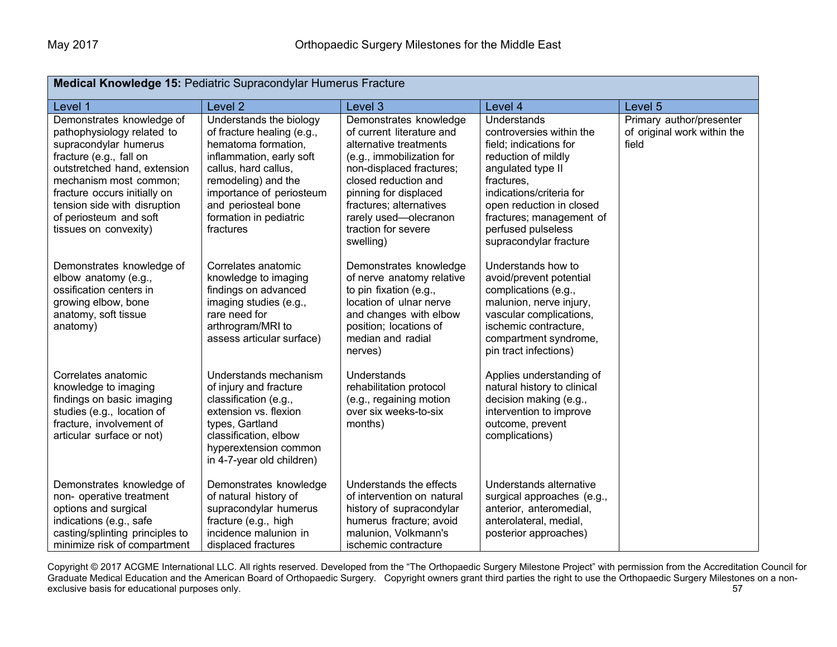| Medical Knowledge 15: Pediatric Supracondylar Humerus Fracture                                                                                                                                                                                                                           |                                                                                                                                                                                                                                                   |                                                                                                                                                                                                                                                                                 |                                                                                                                                                                                                                                                                 |                                                                  |
|------------------------------------------------------------------------------------------------------------------------------------------------------------------------------------------------------------------------------------------------------------------------------------------|---------------------------------------------------------------------------------------------------------------------------------------------------------------------------------------------------------------------------------------------------|---------------------------------------------------------------------------------------------------------------------------------------------------------------------------------------------------------------------------------------------------------------------------------|-----------------------------------------------------------------------------------------------------------------------------------------------------------------------------------------------------------------------------------------------------------------|------------------------------------------------------------------|
| Level 1                                                                                                                                                                                                                                                                                  | Level <sub>2</sub>                                                                                                                                                                                                                                | Level 3                                                                                                                                                                                                                                                                         | Level 4                                                                                                                                                                                                                                                         | Level 5                                                          |
| Demonstrates knowledge of<br>pathophysiology related to<br>supracondylar humerus<br>fracture (e.g., fall on<br>outstretched hand, extension<br>mechanism most common;<br>fracture occurs initially on<br>tension side with disruption<br>of periosteum and soft<br>tissues on convexity) | Understands the biology<br>of fracture healing (e.g.,<br>hematoma formation,<br>inflammation, early soft<br>callus, hard callus,<br>remodeling) and the<br>importance of periosteum<br>and periosteal bone<br>formation in pediatric<br>fractures | Demonstrates knowledge<br>of current literature and<br>alternative treatments<br>(e.g., immobilization for<br>non-displaced fractures;<br>closed reduction and<br>pinning for displaced<br>fractures; alternatives<br>rarely used-olecranon<br>traction for severe<br>swelling) | Understands<br>controversies within the<br>field; indications for<br>reduction of mildly<br>angulated type II<br>fractures.<br>indications/criteria for<br>open reduction in closed<br>fractures; management of<br>perfused pulseless<br>supracondylar fracture | Primary author/presenter<br>of original work within the<br>field |
| Demonstrates knowledge of<br>elbow anatomy (e.g.,<br>ossification centers in<br>growing elbow, bone<br>anatomy, soft tissue<br>anatomy)                                                                                                                                                  | Correlates anatomic<br>knowledge to imaging<br>findings on advanced<br>imaging studies (e.g.,<br>rare need for<br>arthrogram/MRI to<br>assess articular surface)                                                                                  | Demonstrates knowledge<br>of nerve anatomy relative<br>to pin fixation (e.g.,<br>location of ulnar nerve<br>and changes with elbow<br>position; locations of<br>median and radial<br>nerves)                                                                                    | Understands how to<br>avoid/prevent potential<br>complications (e.g.,<br>malunion, nerve injury,<br>vascular complications,<br>ischemic contracture,<br>compartment syndrome,<br>pin tract infections)                                                          |                                                                  |
| Correlates anatomic<br>knowledge to imaging<br>findings on basic imaging<br>studies (e.g., location of<br>fracture, involvement of<br>articular surface or not)                                                                                                                          | Understands mechanism<br>of injury and fracture<br>classification (e.g.,<br>extension vs. flexion<br>types, Gartland<br>classification, elbow<br>hyperextension common<br>in 4-7-year old children)                                               | <b>Understands</b><br>rehabilitation protocol<br>(e.g., regaining motion<br>over six weeks-to-six<br>months)                                                                                                                                                                    | Applies understanding of<br>natural history to clinical<br>decision making (e.g.,<br>intervention to improve<br>outcome, prevent<br>complications)                                                                                                              |                                                                  |
| Demonstrates knowledge of<br>non- operative treatment<br>options and surgical<br>indications (e.g., safe<br>casting/splinting principles to<br>minimize risk of compartment                                                                                                              | Demonstrates knowledge<br>of natural history of<br>supracondylar humerus<br>fracture (e.g., high<br>incidence malunion in<br>displaced fractures                                                                                                  | Understands the effects<br>of intervention on natural<br>history of supracondylar<br>humerus fracture; avoid<br>malunion, Volkmann's<br>ischemic contracture                                                                                                                    | Understands alternative<br>surgical approaches (e.g.,<br>anterior, anteromedial,<br>anterolateral, medial,<br>posterior approaches)                                                                                                                             |                                                                  |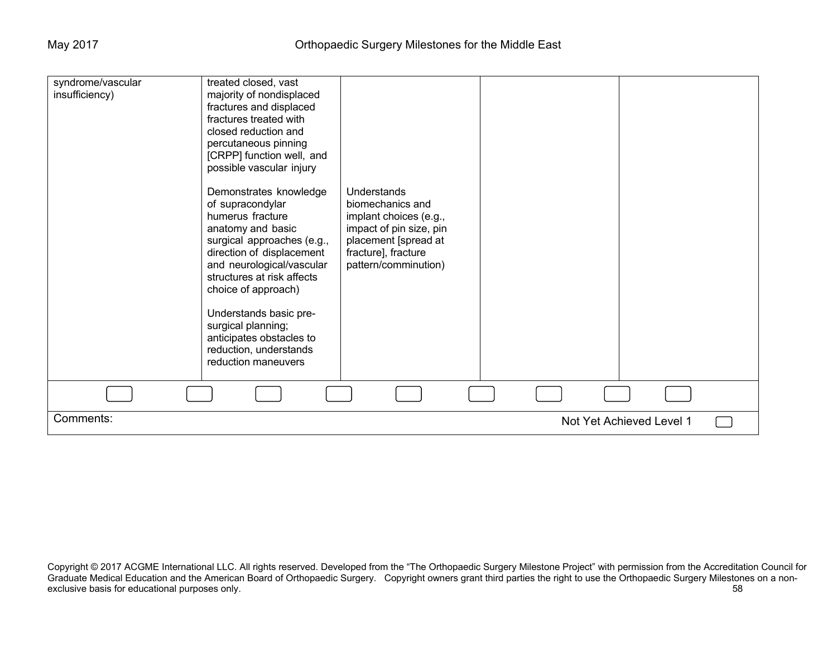| syndrome/vascular<br>insufficiency) | treated closed, vast<br>majority of nondisplaced<br>fractures and displaced<br>fractures treated with<br>closed reduction and<br>percutaneous pinning<br>[CRPP] function well, and<br>possible vascular injury<br>Demonstrates knowledge<br>of supracondylar<br>humerus fracture<br>anatomy and basic<br>surgical approaches (e.g.,<br>direction of displacement<br>and neurological/vascular<br>structures at risk affects<br>choice of approach)<br>Understands basic pre-<br>surgical planning;<br>anticipates obstacles to<br>reduction, understands<br>reduction maneuvers | Understands<br>biomechanics and<br>implant choices (e.g.,<br>impact of pin size, pin<br>placement [spread at<br>fracture], fracture<br>pattern/comminution) |  |                          |  |
|-------------------------------------|---------------------------------------------------------------------------------------------------------------------------------------------------------------------------------------------------------------------------------------------------------------------------------------------------------------------------------------------------------------------------------------------------------------------------------------------------------------------------------------------------------------------------------------------------------------------------------|-------------------------------------------------------------------------------------------------------------------------------------------------------------|--|--------------------------|--|
|                                     |                                                                                                                                                                                                                                                                                                                                                                                                                                                                                                                                                                                 |                                                                                                                                                             |  |                          |  |
| Comments:                           |                                                                                                                                                                                                                                                                                                                                                                                                                                                                                                                                                                                 |                                                                                                                                                             |  | Not Yet Achieved Level 1 |  |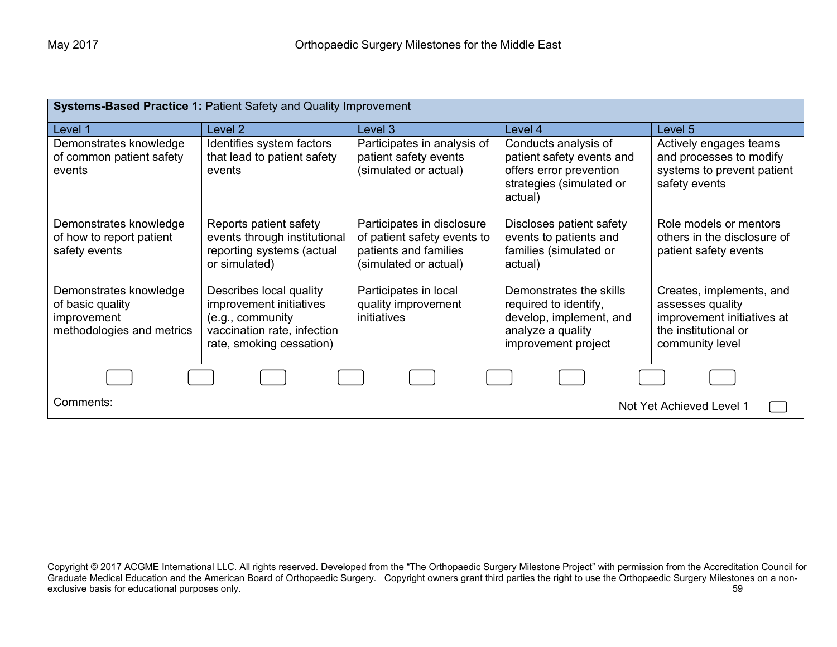| Systems-Based Practice 1: Patient Safety and Quality Improvement                       |                                                                                                                                   |                                                                                                             |                                                                                                                         |                                                                                                                       |  |
|----------------------------------------------------------------------------------------|-----------------------------------------------------------------------------------------------------------------------------------|-------------------------------------------------------------------------------------------------------------|-------------------------------------------------------------------------------------------------------------------------|-----------------------------------------------------------------------------------------------------------------------|--|
| Level 1                                                                                | Level 2                                                                                                                           | Level 3                                                                                                     | Level 4                                                                                                                 | Level 5                                                                                                               |  |
| Demonstrates knowledge<br>of common patient safety<br>events                           | Identifies system factors<br>that lead to patient safety<br>events                                                                | Participates in analysis of<br>patient safety events<br>(simulated or actual)                               | Conducts analysis of<br>patient safety events and<br>offers error prevention<br>strategies (simulated or<br>actual)     | Actively engages teams<br>and processes to modify<br>systems to prevent patient<br>safety events                      |  |
| Demonstrates knowledge<br>of how to report patient<br>safety events                    | Reports patient safety<br>events through institutional<br>reporting systems (actual<br>or simulated)                              | Participates in disclosure<br>of patient safety events to<br>patients and families<br>(simulated or actual) | Discloses patient safety<br>events to patients and<br>families (simulated or<br>actual)                                 | Role models or mentors<br>others in the disclosure of<br>patient safety events                                        |  |
| Demonstrates knowledge<br>of basic quality<br>improvement<br>methodologies and metrics | Describes local quality<br>improvement initiatives<br>(e.g., community<br>vaccination rate, infection<br>rate, smoking cessation) | Participates in local<br>quality improvement<br><i>initiatives</i>                                          | Demonstrates the skills<br>required to identify,<br>develop, implement, and<br>analyze a quality<br>improvement project | Creates, implements, and<br>assesses quality<br>improvement initiatives at<br>the institutional or<br>community level |  |
|                                                                                        |                                                                                                                                   |                                                                                                             |                                                                                                                         |                                                                                                                       |  |
| Comments:                                                                              | Not Yet Achieved Level 1                                                                                                          |                                                                                                             |                                                                                                                         |                                                                                                                       |  |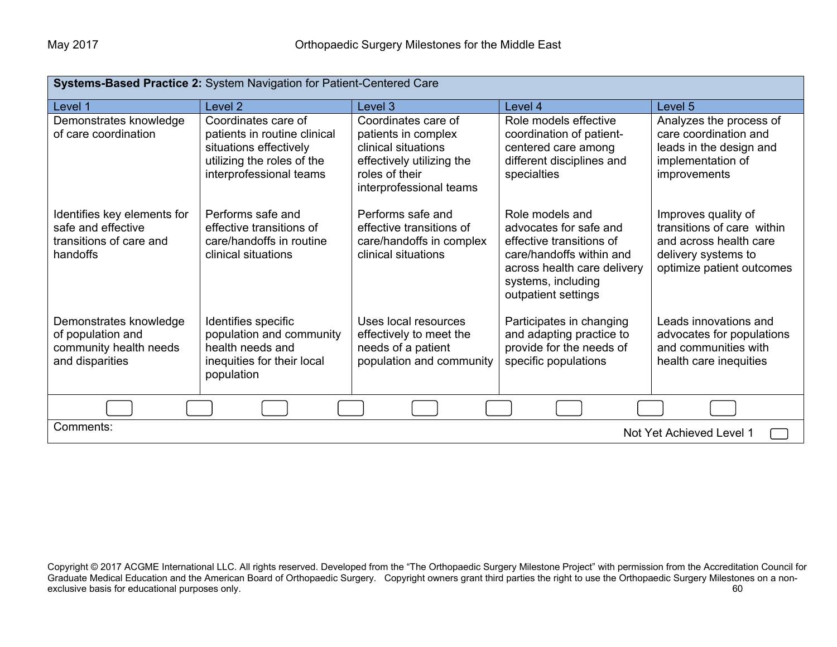| Systems-Based Practice 2: System Navigation for Patient-Centered Care                    |                                                                                                                                        |                                                                                                                                             |                                                                                                                                                                               |                                                                                                                                 |  |
|------------------------------------------------------------------------------------------|----------------------------------------------------------------------------------------------------------------------------------------|---------------------------------------------------------------------------------------------------------------------------------------------|-------------------------------------------------------------------------------------------------------------------------------------------------------------------------------|---------------------------------------------------------------------------------------------------------------------------------|--|
| Level 1                                                                                  | Level <sub>2</sub>                                                                                                                     | Level 3                                                                                                                                     | Level 4                                                                                                                                                                       | Level 5                                                                                                                         |  |
| Demonstrates knowledge<br>of care coordination                                           | Coordinates care of<br>patients in routine clinical<br>situations effectively<br>utilizing the roles of the<br>interprofessional teams | Coordinates care of<br>patients in complex<br>clinical situations<br>effectively utilizing the<br>roles of their<br>interprofessional teams | Role models effective<br>coordination of patient-<br>centered care among<br>different disciplines and<br>specialties                                                          | Analyzes the process of<br>care coordination and<br>leads in the design and<br>implementation of<br>improvements                |  |
| Identifies key elements for<br>safe and effective<br>transitions of care and<br>handoffs | Performs safe and<br>effective transitions of<br>care/handoffs in routine<br>clinical situations                                       | Performs safe and<br>effective transitions of<br>care/handoffs in complex<br>clinical situations                                            | Role models and<br>advocates for safe and<br>effective transitions of<br>care/handoffs within and<br>across health care delivery<br>systems, including<br>outpatient settings | Improves quality of<br>transitions of care within<br>and across health care<br>delivery systems to<br>optimize patient outcomes |  |
| Demonstrates knowledge<br>of population and<br>community health needs<br>and disparities | Identifies specific<br>population and community<br>health needs and<br>inequities for their local<br>population                        | Uses local resources<br>effectively to meet the<br>needs of a patient<br>population and community                                           | Participates in changing<br>and adapting practice to<br>provide for the needs of<br>specific populations                                                                      | Leads innovations and<br>advocates for populations<br>and communities with<br>health care inequities                            |  |
|                                                                                          |                                                                                                                                        |                                                                                                                                             |                                                                                                                                                                               |                                                                                                                                 |  |
| Comments:<br>Not Yet Achieved Level 1                                                    |                                                                                                                                        |                                                                                                                                             |                                                                                                                                                                               |                                                                                                                                 |  |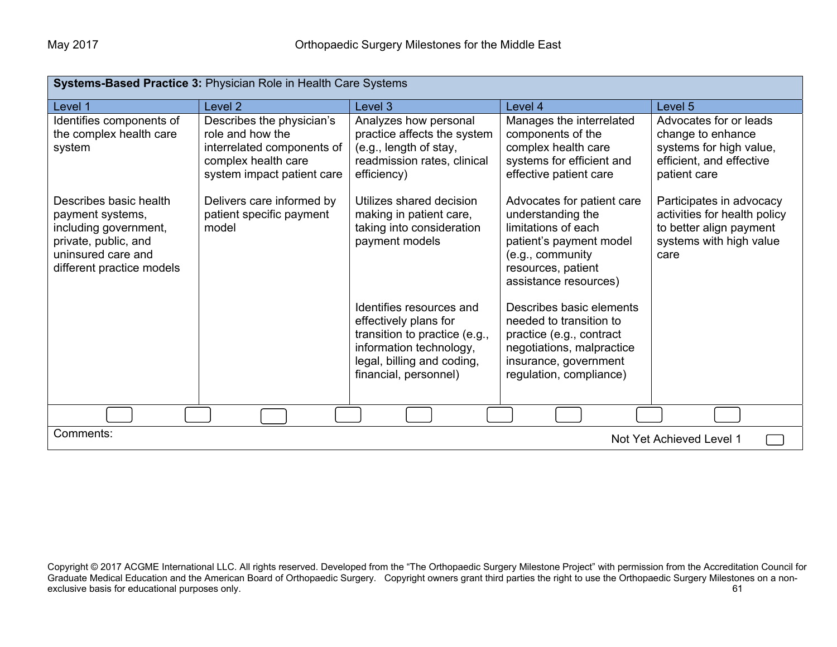| Systems-Based Practice 3: Physician Role in Health Care Systems                                                                                |                                                                                                                                  |                                                                                                                                                                      |                                                                                                                                                                      |                                                                                                                        |
|------------------------------------------------------------------------------------------------------------------------------------------------|----------------------------------------------------------------------------------------------------------------------------------|----------------------------------------------------------------------------------------------------------------------------------------------------------------------|----------------------------------------------------------------------------------------------------------------------------------------------------------------------|------------------------------------------------------------------------------------------------------------------------|
| Level 1                                                                                                                                        | Level <sub>2</sub>                                                                                                               | Level 3                                                                                                                                                              | Level 4                                                                                                                                                              | Level 5                                                                                                                |
| Identifies components of<br>the complex health care<br>system                                                                                  | Describes the physician's<br>role and how the<br>interrelated components of<br>complex health care<br>system impact patient care | Analyzes how personal<br>practice affects the system<br>(e.g., length of stay,<br>readmission rates, clinical<br>efficiency)                                         | Manages the interrelated<br>components of the<br>complex health care<br>systems for efficient and<br>effective patient care                                          | Advocates for or leads<br>change to enhance<br>systems for high value,<br>efficient, and effective<br>patient care     |
| Describes basic health<br>payment systems,<br>including government,<br>private, public, and<br>uninsured care and<br>different practice models | Delivers care informed by<br>patient specific payment<br>model                                                                   | Utilizes shared decision<br>making in patient care,<br>taking into consideration<br>payment models                                                                   | Advocates for patient care<br>understanding the<br>limitations of each<br>patient's payment model<br>(e.g., community<br>resources, patient<br>assistance resources) | Participates in advocacy<br>activities for health policy<br>to better align payment<br>systems with high value<br>care |
|                                                                                                                                                |                                                                                                                                  | Identifies resources and<br>effectively plans for<br>transition to practice (e.g.,<br>information technology,<br>legal, billing and coding,<br>financial, personnel) | Describes basic elements<br>needed to transition to<br>practice (e.g., contract<br>negotiations, malpractice<br>insurance, government<br>regulation, compliance)     |                                                                                                                        |
|                                                                                                                                                |                                                                                                                                  |                                                                                                                                                                      |                                                                                                                                                                      |                                                                                                                        |
| Comments:<br>Not Yet Achieved Level 1                                                                                                          |                                                                                                                                  |                                                                                                                                                                      |                                                                                                                                                                      |                                                                                                                        |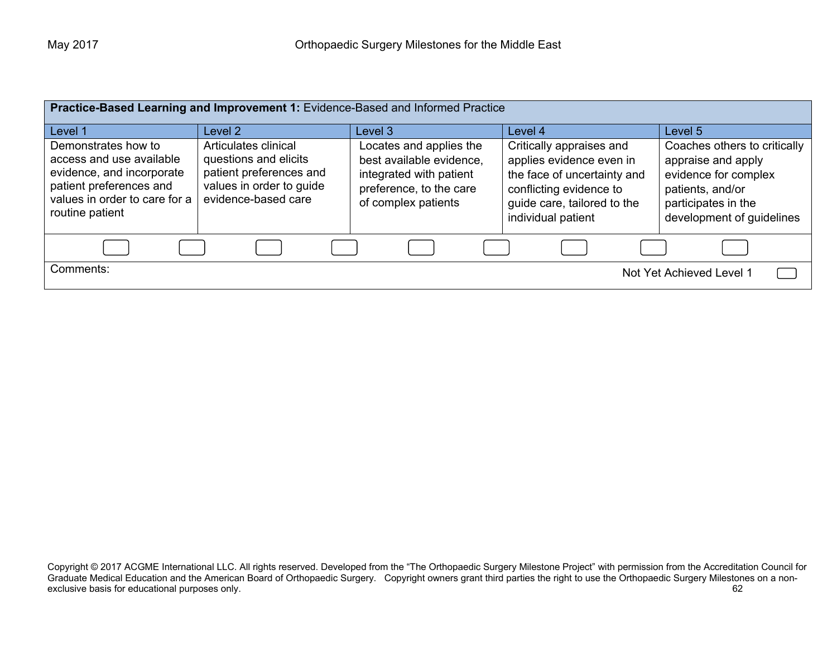| Practice-Based Learning and Improvement 1: Evidence-Based and Informed Practice                                                                             |                                                                                                                             |                                                                                                                                  |                                                                                                                                                                     |                                                                                                                                                    |
|-------------------------------------------------------------------------------------------------------------------------------------------------------------|-----------------------------------------------------------------------------------------------------------------------------|----------------------------------------------------------------------------------------------------------------------------------|---------------------------------------------------------------------------------------------------------------------------------------------------------------------|----------------------------------------------------------------------------------------------------------------------------------------------------|
| Level 1                                                                                                                                                     | Level 2                                                                                                                     | Level 3                                                                                                                          | Level 4                                                                                                                                                             | Level 5                                                                                                                                            |
| Demonstrates how to<br>access and use available<br>evidence, and incorporate<br>patient preferences and<br>values in order to care for a<br>routine patient | Articulates clinical<br>questions and elicits<br>patient preferences and<br>values in order to guide<br>evidence-based care | Locates and applies the<br>best available evidence,<br>integrated with patient<br>preference, to the care<br>of complex patients | Critically appraises and<br>applies evidence even in<br>the face of uncertainty and<br>conflicting evidence to<br>guide care, tailored to the<br>individual patient | Coaches others to critically<br>appraise and apply<br>evidence for complex<br>patients, and/or<br>participates in the<br>development of guidelines |
|                                                                                                                                                             |                                                                                                                             |                                                                                                                                  |                                                                                                                                                                     |                                                                                                                                                    |
| Comments:<br>Not Yet Achieved Level 1                                                                                                                       |                                                                                                                             |                                                                                                                                  |                                                                                                                                                                     |                                                                                                                                                    |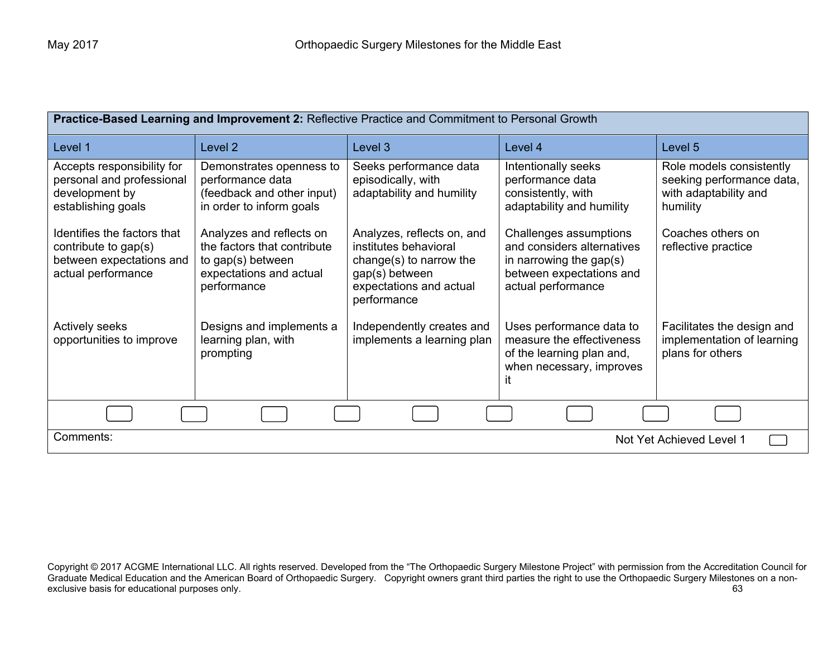| Practice-Based Learning and Improvement 2: Reflective Practice and Commitment to Personal Growth      |                                                                                                                        |                                                                                                                                            |                                                                                                                                      |                                                                                            |
|-------------------------------------------------------------------------------------------------------|------------------------------------------------------------------------------------------------------------------------|--------------------------------------------------------------------------------------------------------------------------------------------|--------------------------------------------------------------------------------------------------------------------------------------|--------------------------------------------------------------------------------------------|
| Level 1                                                                                               | Level <sub>2</sub>                                                                                                     | Level 3                                                                                                                                    | Level 4                                                                                                                              | Level 5                                                                                    |
| Accepts responsibility for<br>personal and professional<br>development by<br>establishing goals       | Demonstrates openness to<br>performance data<br>(feedback and other input)<br>in order to inform goals                 | Seeks performance data<br>episodically, with<br>adaptability and humility                                                                  | Intentionally seeks<br>performance data<br>consistently, with<br>adaptability and humility                                           | Role models consistently<br>seeking performance data,<br>with adaptability and<br>humility |
| Identifies the factors that<br>contribute to gap(s)<br>between expectations and<br>actual performance | Analyzes and reflects on<br>the factors that contribute<br>to gap(s) between<br>expectations and actual<br>performance | Analyzes, reflects on, and<br>institutes behavioral<br>change(s) to narrow the<br>gap(s) between<br>expectations and actual<br>performance | Challenges assumptions<br>and considers alternatives<br>in narrowing the gap $(s)$<br>between expectations and<br>actual performance | Coaches others on<br>reflective practice                                                   |
| <b>Actively seeks</b><br>opportunities to improve                                                     | Designs and implements a<br>learning plan, with<br>prompting                                                           | Independently creates and<br>implements a learning plan                                                                                    | Uses performance data to<br>measure the effectiveness<br>of the learning plan and,<br>when necessary, improves<br>it                 | Facilitates the design and<br>implementation of learning<br>plans for others               |
|                                                                                                       |                                                                                                                        |                                                                                                                                            |                                                                                                                                      |                                                                                            |
| Comments:<br>Not Yet Achieved Level 1                                                                 |                                                                                                                        |                                                                                                                                            |                                                                                                                                      |                                                                                            |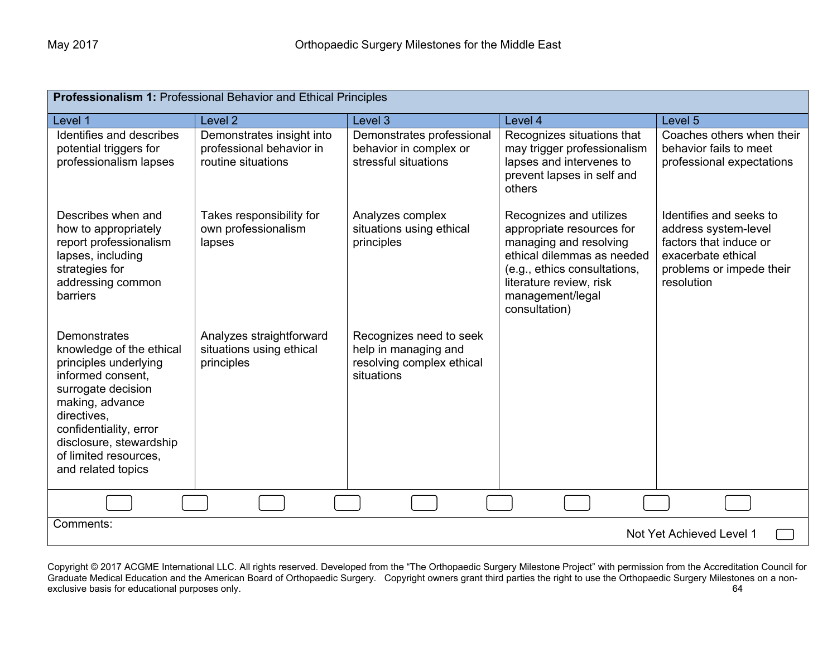| <b>Professionalism 1: Professional Behavior and Ethical Principles</b>                                                                                                                                                                             |                                                                             |                                                                                            |                                                                                                                                                                                                              |                                                                                                                                           |
|----------------------------------------------------------------------------------------------------------------------------------------------------------------------------------------------------------------------------------------------------|-----------------------------------------------------------------------------|--------------------------------------------------------------------------------------------|--------------------------------------------------------------------------------------------------------------------------------------------------------------------------------------------------------------|-------------------------------------------------------------------------------------------------------------------------------------------|
| Level 1                                                                                                                                                                                                                                            | Level <sub>2</sub>                                                          | Level 3                                                                                    | Level 4                                                                                                                                                                                                      | Level 5                                                                                                                                   |
| Identifies and describes<br>potential triggers for<br>professionalism lapses                                                                                                                                                                       | Demonstrates insight into<br>professional behavior in<br>routine situations | Demonstrates professional<br>behavior in complex or<br>stressful situations                | Recognizes situations that<br>may trigger professionalism<br>lapses and intervenes to<br>prevent lapses in self and<br>others                                                                                | Coaches others when their<br>behavior fails to meet<br>professional expectations                                                          |
| Describes when and<br>how to appropriately<br>report professionalism<br>lapses, including<br>strategies for<br>addressing common<br>barriers                                                                                                       | Takes responsibility for<br>own professionalism<br>lapses                   | Analyzes complex<br>situations using ethical<br>principles                                 | Recognizes and utilizes<br>appropriate resources for<br>managing and resolving<br>ethical dilemmas as needed<br>(e.g., ethics consultations,<br>literature review, risk<br>management/legal<br>consultation) | Identifies and seeks to<br>address system-level<br>factors that induce or<br>exacerbate ethical<br>problems or impede their<br>resolution |
| Demonstrates<br>knowledge of the ethical<br>principles underlying<br>informed consent,<br>surrogate decision<br>making, advance<br>directives,<br>confidentiality, error<br>disclosure, stewardship<br>of limited resources.<br>and related topics | Analyzes straightforward<br>situations using ethical<br>principles          | Recognizes need to seek<br>help in managing and<br>resolving complex ethical<br>situations |                                                                                                                                                                                                              |                                                                                                                                           |
|                                                                                                                                                                                                                                                    |                                                                             |                                                                                            |                                                                                                                                                                                                              |                                                                                                                                           |
| Comments:<br>Not Yet Achieved Level 1                                                                                                                                                                                                              |                                                                             |                                                                                            |                                                                                                                                                                                                              |                                                                                                                                           |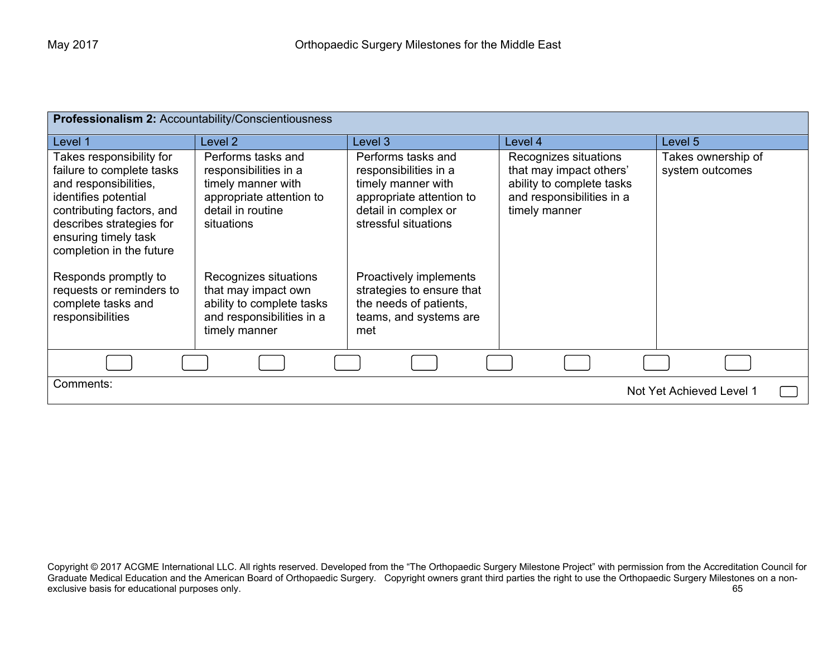| <b>Professionalism 2: Accountability/Conscientiousness</b>                                                                                                                                                          |                                                                                                                                  |                                                                                                                                               |                                                                                                                             |                                       |
|---------------------------------------------------------------------------------------------------------------------------------------------------------------------------------------------------------------------|----------------------------------------------------------------------------------------------------------------------------------|-----------------------------------------------------------------------------------------------------------------------------------------------|-----------------------------------------------------------------------------------------------------------------------------|---------------------------------------|
| Level 1                                                                                                                                                                                                             | Level 2                                                                                                                          | Level 3                                                                                                                                       | Level 4                                                                                                                     | Level 5                               |
| Takes responsibility for<br>failure to complete tasks<br>and responsibilities,<br>identifies potential<br>contributing factors, and<br>describes strategies for<br>ensuring timely task<br>completion in the future | Performs tasks and<br>responsibilities in a<br>timely manner with<br>appropriate attention to<br>detail in routine<br>situations | Performs tasks and<br>responsibilities in a<br>timely manner with<br>appropriate attention to<br>detail in complex or<br>stressful situations | Recognizes situations<br>that may impact others'<br>ability to complete tasks<br>and responsibilities in a<br>timely manner | Takes ownership of<br>system outcomes |
| Responds promptly to<br>requests or reminders to<br>complete tasks and<br>responsibilities                                                                                                                          | Recognizes situations<br>that may impact own<br>ability to complete tasks<br>and responsibilities in a<br>timely manner          | Proactively implements<br>strategies to ensure that<br>the needs of patients,<br>teams, and systems are<br>met                                |                                                                                                                             |                                       |
|                                                                                                                                                                                                                     |                                                                                                                                  |                                                                                                                                               |                                                                                                                             |                                       |
| Comments:<br>Not Yet Achieved Level 1                                                                                                                                                                               |                                                                                                                                  |                                                                                                                                               |                                                                                                                             |                                       |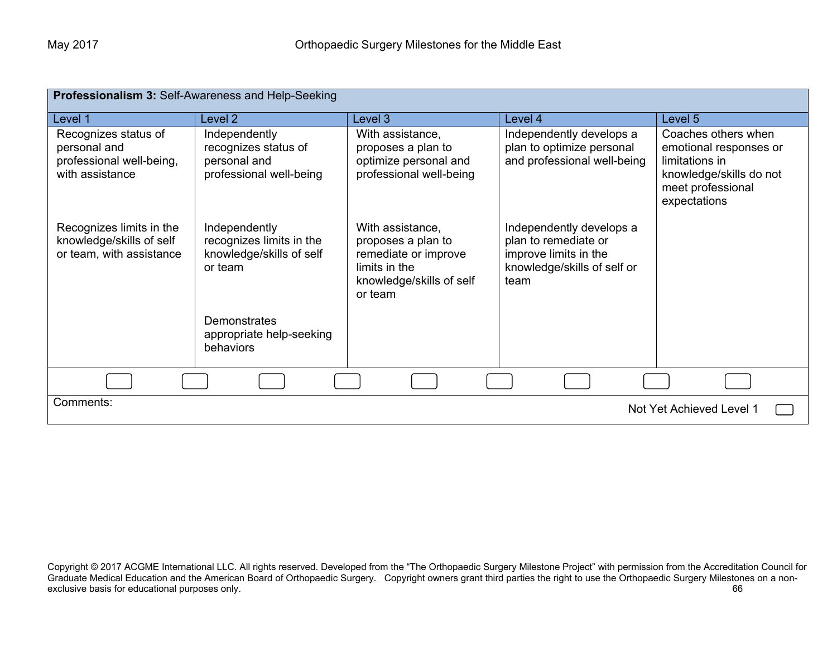| Professionalism 3: Self-Awareness and Help-Seeking                                  |                                                                                  |                                                                                                                        |                                                                                                                  |                                                                                                                                 |
|-------------------------------------------------------------------------------------|----------------------------------------------------------------------------------|------------------------------------------------------------------------------------------------------------------------|------------------------------------------------------------------------------------------------------------------|---------------------------------------------------------------------------------------------------------------------------------|
| Level 1                                                                             | Level 2                                                                          | Level 3                                                                                                                | Level 4                                                                                                          | Level 5                                                                                                                         |
| Recognizes status of<br>personal and<br>professional well-being,<br>with assistance | Independently<br>recognizes status of<br>personal and<br>professional well-being | With assistance,<br>proposes a plan to<br>optimize personal and<br>professional well-being                             | Independently develops a<br>plan to optimize personal<br>and professional well-being                             | Coaches others when<br>emotional responses or<br>limitations in<br>knowledge/skills do not<br>meet professional<br>expectations |
| Recognizes limits in the<br>knowledge/skills of self<br>or team, with assistance    | Independently<br>recognizes limits in the<br>knowledge/skills of self<br>or team | With assistance,<br>proposes a plan to<br>remediate or improve<br>limits in the<br>knowledge/skills of self<br>or team | Independently develops a<br>plan to remediate or<br>improve limits in the<br>knowledge/skills of self or<br>team |                                                                                                                                 |
|                                                                                     | <b>Demonstrates</b><br>appropriate help-seeking<br>behaviors                     |                                                                                                                        |                                                                                                                  |                                                                                                                                 |
|                                                                                     |                                                                                  |                                                                                                                        |                                                                                                                  |                                                                                                                                 |
| Comments:<br>Not Yet Achieved Level 1                                               |                                                                                  |                                                                                                                        |                                                                                                                  |                                                                                                                                 |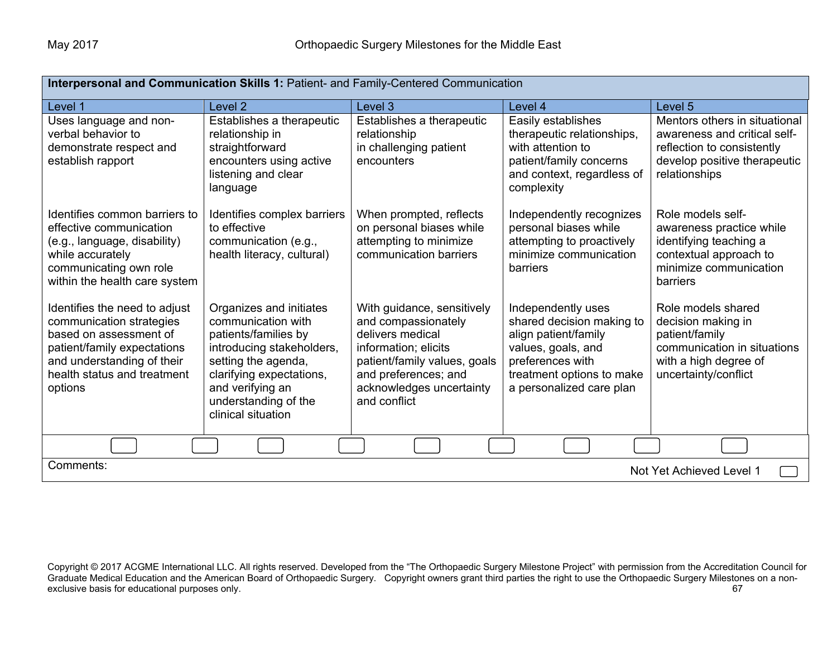| Interpersonal and Communication Skills 1: Patient- and Family-Centered Communication                                                                                                       |                                                                                                                                                                                                                         |                                                                                                                                                                                                   |                                                                                                                                                                            |                                                                                                                                              |
|--------------------------------------------------------------------------------------------------------------------------------------------------------------------------------------------|-------------------------------------------------------------------------------------------------------------------------------------------------------------------------------------------------------------------------|---------------------------------------------------------------------------------------------------------------------------------------------------------------------------------------------------|----------------------------------------------------------------------------------------------------------------------------------------------------------------------------|----------------------------------------------------------------------------------------------------------------------------------------------|
| Level 1                                                                                                                                                                                    | Level 2                                                                                                                                                                                                                 | Level 3                                                                                                                                                                                           | Level 4                                                                                                                                                                    | Level 5                                                                                                                                      |
| Uses language and non-<br>verbal behavior to<br>demonstrate respect and<br>establish rapport                                                                                               | Establishes a therapeutic<br>relationship in<br>straightforward<br>encounters using active<br>listening and clear<br>language                                                                                           | Establishes a therapeutic<br>relationship<br>in challenging patient<br>encounters                                                                                                                 | Easily establishes<br>therapeutic relationships,<br>with attention to<br>patient/family concerns<br>and context, regardless of<br>complexity                               | Mentors others in situational<br>awareness and critical self-<br>reflection to consistently<br>develop positive therapeutic<br>relationships |
| Identifies common barriers to<br>effective communication<br>(e.g., language, disability)<br>while accurately<br>communicating own role<br>within the health care system                    | Identifies complex barriers<br>to effective<br>communication (e.g.,<br>health literacy, cultural)                                                                                                                       | When prompted, reflects<br>on personal biases while<br>attempting to minimize<br>communication barriers                                                                                           | Independently recognizes<br>personal biases while<br>attempting to proactively<br>minimize communication<br>barriers                                                       | Role models self-<br>awareness practice while<br>identifying teaching a<br>contextual approach to<br>minimize communication<br>barriers      |
| Identifies the need to adjust<br>communication strategies<br>based on assessment of<br>patient/family expectations<br>and understanding of their<br>health status and treatment<br>options | Organizes and initiates<br>communication with<br>patients/families by<br>introducing stakeholders,<br>setting the agenda,<br>clarifying expectations,<br>and verifying an<br>understanding of the<br>clinical situation | With guidance, sensitively<br>and compassionately<br>delivers medical<br>information; elicits<br>patient/family values, goals<br>and preferences; and<br>acknowledges uncertainty<br>and conflict | Independently uses<br>shared decision making to<br>align patient/family<br>values, goals, and<br>preferences with<br>treatment options to make<br>a personalized care plan | Role models shared<br>decision making in<br>patient/family<br>communication in situations<br>with a high degree of<br>uncertainty/conflict   |
|                                                                                                                                                                                            |                                                                                                                                                                                                                         |                                                                                                                                                                                                   |                                                                                                                                                                            |                                                                                                                                              |
| Comments:<br>Not Yet Achieved Level 1                                                                                                                                                      |                                                                                                                                                                                                                         |                                                                                                                                                                                                   |                                                                                                                                                                            |                                                                                                                                              |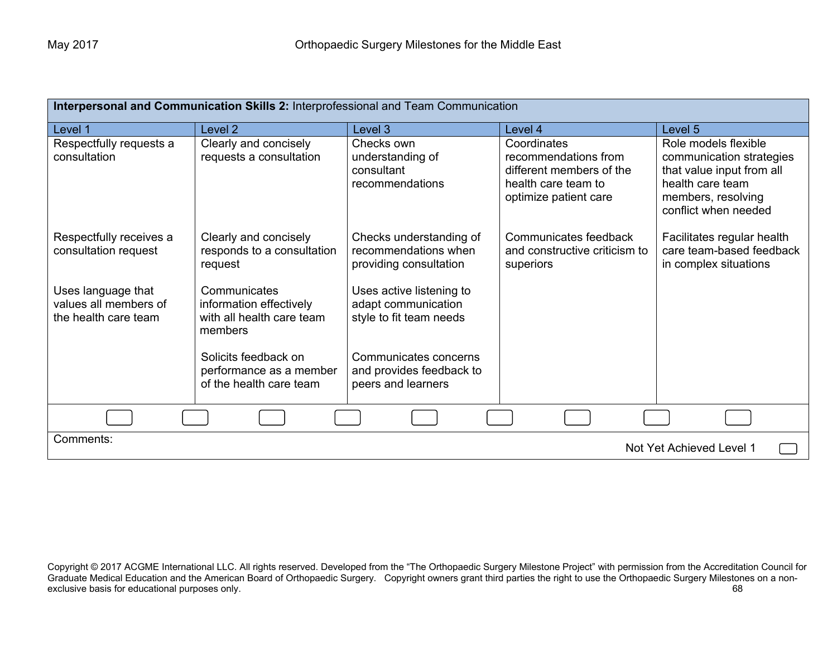| Interpersonal and Communication Skills 2: Interprofessional and Team Communication |                                                                                 |                                                                            |                                                                                                                 |                                                                                                                                                 |
|------------------------------------------------------------------------------------|---------------------------------------------------------------------------------|----------------------------------------------------------------------------|-----------------------------------------------------------------------------------------------------------------|-------------------------------------------------------------------------------------------------------------------------------------------------|
| Level 1                                                                            | Level <sub>2</sub>                                                              | Level 3                                                                    | Level 4                                                                                                         | Level 5                                                                                                                                         |
| Respectfully requests a<br>consultation                                            | Clearly and concisely<br>requests a consultation                                | Checks own<br>understanding of<br>consultant<br>recommendations            | Coordinates<br>recommendations from<br>different members of the<br>health care team to<br>optimize patient care | Role models flexible<br>communication strategies<br>that value input from all<br>health care team<br>members, resolving<br>conflict when needed |
| Respectfully receives a<br>consultation request                                    | Clearly and concisely<br>responds to a consultation<br>request                  | Checks understanding of<br>recommendations when<br>providing consultation  | Communicates feedback<br>and constructive criticism to<br>superiors                                             | Facilitates regular health<br>care team-based feedback<br>in complex situations                                                                 |
| Uses language that<br>values all members of<br>the health care team                | Communicates<br>information effectively<br>with all health care team<br>members | Uses active listening to<br>adapt communication<br>style to fit team needs |                                                                                                                 |                                                                                                                                                 |
|                                                                                    | Solicits feedback on<br>performance as a member<br>of the health care team      | Communicates concerns<br>and provides feedback to<br>peers and learners    |                                                                                                                 |                                                                                                                                                 |
|                                                                                    |                                                                                 |                                                                            |                                                                                                                 |                                                                                                                                                 |
| Comments:<br>Not Yet Achieved Level 1                                              |                                                                                 |                                                                            |                                                                                                                 |                                                                                                                                                 |